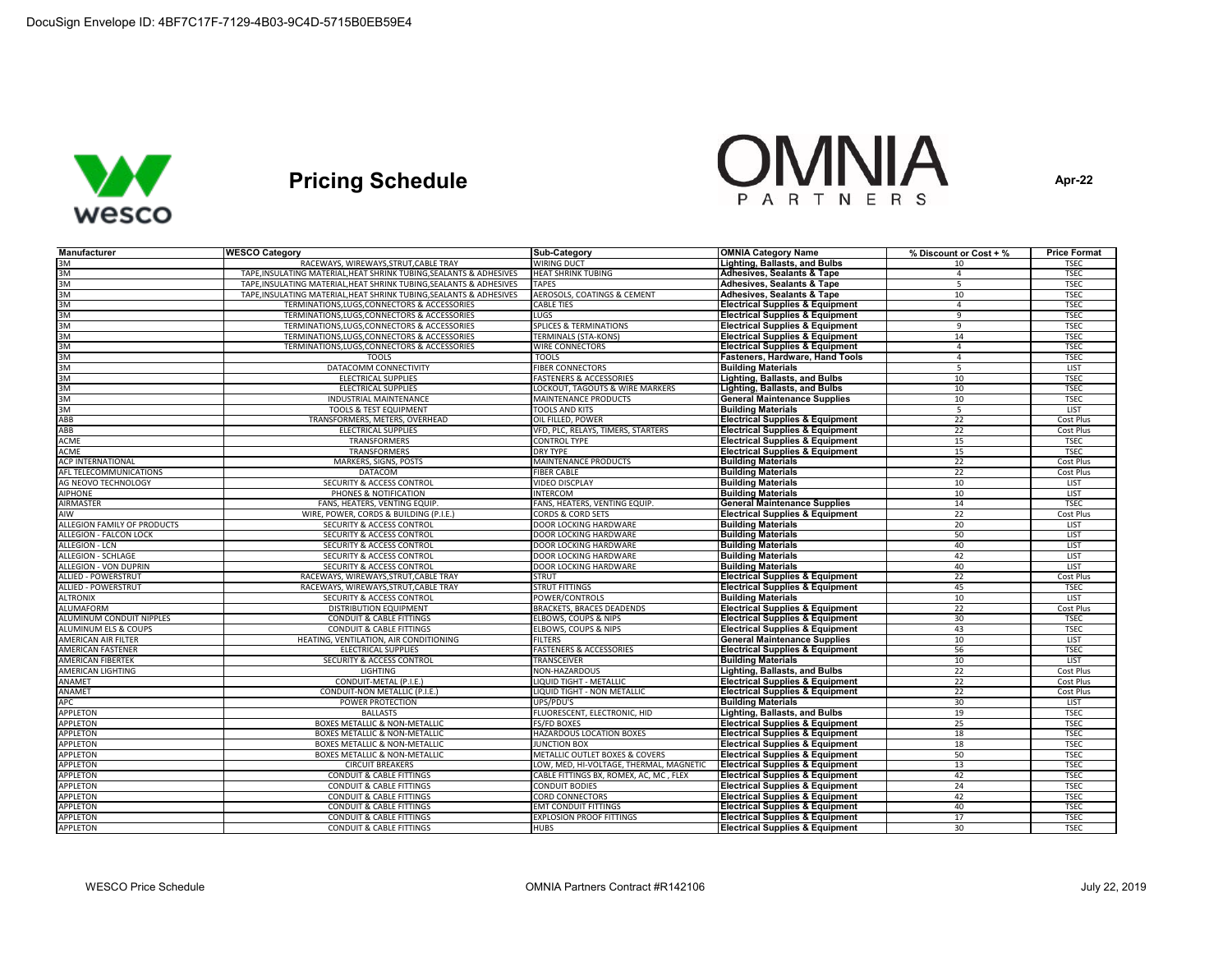



| <b>Manufacturer</b>         | <b>WESCO Category</b>                                               | <b>Sub-Category</b>                     | <b>OMNIA Category Name</b>                 | % Discount or Cost + % | <b>Price Format</b>        |
|-----------------------------|---------------------------------------------------------------------|-----------------------------------------|--------------------------------------------|------------------------|----------------------------|
| 3M                          | RACEWAYS, WIREWAYS, STRUT, CABLE TRAY                               | WIRING DUCT                             | Lighting, Ballasts, and Bulbs              | 10                     | <b>TSEC</b>                |
| 3M                          | TAPE.INSULATING MATERIAL.HEAT SHRINK TUBING.SEALANTS & ADHESIVES    | <b>HEAT SHRINK TUBING</b>               | <b>Adhesives, Sealants &amp; Tape</b>      | $\overline{4}$         | <b>TSEC</b>                |
| 3M                          | TAPE, INSULATING MATERIAL, HEAT SHRINK TUBING, SEALANTS & ADHESIVES | <b>TAPES</b>                            | <b>Adhesives, Sealants &amp; Tape</b>      | 5                      | <b>TSEC</b>                |
| 3M                          | TAPE, INSULATING MATERIAL, HEAT SHRINK TUBING, SEALANTS & ADHESIVES | AEROSOLS, COATINGS & CEMENT             | <b>Adhesives, Sealants &amp; Tape</b>      | 10                     | <b>TSEC</b>                |
| 3M                          | TERMINATIONS, LUGS, CONNECTORS & ACCESSORIES                        | <b>CABLE TIES</b>                       | <b>Electrical Supplies &amp; Equipment</b> | $\overline{4}$         | <b>TSEC</b>                |
| 3M                          | TERMINATIONS, LUGS, CONNECTORS & ACCESSORIES                        | LUGS                                    | <b>Electrical Supplies &amp; Equipment</b> | 9                      | <b>TSEC</b>                |
| 3M                          | TERMINATIONS, LUGS, CONNECTORS & ACCESSORIES                        | <b>SPLICES &amp; TERMINATIONS</b>       | <b>Electrical Supplies &amp; Equipment</b> | $\overline{9}$         | <b>TSEC</b>                |
| 3M                          | TERMINATIONS, LUGS, CONNECTORS & ACCESSORIES                        | <b>TERMINALS (STA-KONS)</b>             | <b>Electrical Supplies &amp; Equipment</b> | 14                     | <b>TSEC</b>                |
| 3M                          | TERMINATIONS, LUGS, CONNECTORS & ACCESSORIES                        | <b>WIRE CONNECTORS</b>                  | <b>Electrical Supplies &amp; Equipment</b> | $\overline{4}$         | <b>TSEC</b>                |
| 3M                          | <b>TOOLS</b>                                                        | <b>TOOLS</b>                            | Fasteners, Hardware, Hand Tools            | $\overline{4}$         | <b>TSEC</b>                |
| 3M                          | DATACOMM CONNECTIVITY                                               | <b>FIBER CONNECTORS</b>                 | <b>Building Materials</b>                  | 5                      | <b>LIST</b>                |
| 3M                          | ELECTRICAL SUPPLIES                                                 | <b>FASTENERS &amp; ACCESSORIES</b>      | <b>Lighting, Ballasts, and Bulbs</b>       | 10                     | <b>TSEC</b>                |
| 3M                          | <b>ELECTRICAL SUPPLIES</b>                                          | LOCKOUT, TAGOUTS & WIRE MARKERS         | Lighting, Ballasts, and Bulbs              | 10                     | <b>TSEC</b>                |
| 3M                          | INDUSTRIAL MAINTENANCE                                              | MAINTENANCE PRODUCTS                    | <b>General Maintenance Supplies</b>        | 10                     | <b>TSEC</b>                |
| 3M                          | <b>TOOLS &amp; TEST EQUIPMENT</b>                                   | <b>TOOLS AND KITS</b>                   | <b>Building Materials</b>                  | 5                      | <b>LIST</b>                |
| ABB                         | TRANSFORMERS, METERS, OVERHEAD                                      | OIL FILLED, POWER                       | <b>Electrical Supplies &amp; Equipment</b> | 22                     | Cost Plus                  |
| ABB                         | <b>ELECTRICAL SUPPLIES</b>                                          |                                         | <b>Electrical Supplies &amp; Equipment</b> | 22                     | <b>Cost Plus</b>           |
| <b>ACME</b>                 | <b>TRANSFORMERS</b>                                                 | VFD, PLC, RELAYS, TIMERS, STARTERS      | <b>Electrical Supplies &amp; Equipment</b> | 15                     |                            |
| <b>ACME</b>                 | <b>TRANSFORMERS</b>                                                 | <b>CONTROL TYPE</b><br><b>DRY TYPE</b>  |                                            | 15                     | <b>TSEC</b><br><b>TSEC</b> |
|                             |                                                                     |                                         | <b>Electrical Supplies &amp; Equipment</b> | 22                     |                            |
| <b>ACP INTERNATIONAL</b>    | MARKERS, SIGNS, POSTS                                               | MAINTENANCE PRODUCTS                    | <b>Building Materials</b>                  |                        | Cost Plus                  |
| AFL TELECOMMUNICATIONS      | <b>DATACOM</b>                                                      | <b>FIBER CABLE</b>                      | <b>Building Materials</b>                  | 22                     | Cost Plus                  |
| AG NEOVO TECHNOLOGY         | <b>SECURITY &amp; ACCESS CONTROL</b>                                | <b>VIDEO DISCPLAY</b>                   | <b>Building Materials</b>                  | 10                     | <b>LIST</b>                |
| AIPHONE                     | PHONES & NOTIFICATION                                               | <b>INTERCOM</b>                         | <b>Building Materials</b>                  | 10                     | LIST                       |
| <b>AIRMASTER</b>            | FANS, HEATERS, VENTING EQUIP                                        | FANS, HEATERS, VENTING EQUIP.           | <b>General Maintenance Supplies</b>        | 14                     | <b>TSEC</b>                |
| AIW                         | WIRE, POWER, CORDS & BUILDING (P.I.E.)                              | <b>CORDS &amp; CORD SETS</b>            | <b>Electrical Supplies &amp; Equipment</b> | 22                     | Cost Plus                  |
| ALLEGION FAMILY OF PRODUCTS | SECURITY & ACCESS CONTROL                                           | DOOR LOCKING HARDWARE                   | <b>Building Materials</b>                  | 20                     | <b>LIST</b>                |
| ALLEGION - FALCON LOCK      | <b>SECURITY &amp; ACCESS CONTROL</b>                                | DOOR LOCKING HARDWARE                   | <b>Building Materials</b>                  | 50                     | LIST                       |
| <b>ALLEGION - LCN</b>       | SECURITY & ACCESS CONTROL                                           | DOOR LOCKING HARDWARE                   | <b>Building Materials</b>                  | 40                     | <b>LIST</b>                |
| ALLEGION - SCHLAGE          | <b>SECURITY &amp; ACCESS CONTROL</b>                                | <b>DOOR LOCKING HARDWARE</b>            | <b>Building Materials</b>                  | 42                     | LIST                       |
| ALLEGION - VON DUPRIN       | SECURITY & ACCESS CONTROL                                           | DOOR LOCKING HARDWARE                   | <b>Building Materials</b>                  | 40                     | <b>LIST</b>                |
| <b>ALLIED - POWERSTRUT</b>  | RACEWAYS, WIREWAYS, STRUT, CABLE TRAY                               | <b>STRUT</b>                            | <b>Electrical Supplies &amp; Equipment</b> | 22                     | Cost Plus                  |
| <b>ALLIED - POWERSTRUT</b>  | RACEWAYS, WIREWAYS, STRUT, CABLE TRAY                               | <b>STRUT FITTINGS</b>                   | <b>Electrical Supplies &amp; Equipment</b> | 45                     | <b>TSEC</b>                |
| <b>ALTRONIX</b>             | SECURITY & ACCESS CONTROL                                           | POWER/CONTROLS                          | <b>Building Materials</b>                  | 10                     | <b>LIST</b>                |
| ALUMAFORM                   | <b>DISTRIBUTION EQUIPMENT</b>                                       | <b>BRACKETS, BRACES DEADENDS</b>        | <b>Electrical Supplies &amp; Equipment</b> | 22                     | <b>Cost Plus</b>           |
| ALUMINUM CONDUIT NIPPLES    | <b>CONDUIT &amp; CABLE FITTINGS</b>                                 | <b>ELBOWS, COUPS &amp; NIPS</b>         | <b>Electrical Supplies &amp; Equipment</b> | 30                     | <b>TSEC</b>                |
| ALUMINUM ELS & COUPS        | <b>CONDUIT &amp; CABLE FITTINGS</b>                                 | ELBOWS, COUPS & NIPS                    | <b>Electrical Supplies &amp; Equipment</b> | 43                     | <b>TSEC</b>                |
| AMERICAN AIR FILTER         | HEATING, VENTILATION, AIR CONDITIONING                              | <b>FILTERS</b>                          | <b>General Maintenance Supplies</b>        | 10                     | <b>LIST</b>                |
| AMERICAN FASTENER           | <b>ELECTRICAL SUPPLIES</b>                                          | <b>FASTENERS &amp; ACCESSORIES</b>      | <b>Electrical Supplies &amp; Equipment</b> | 56                     | <b>TSEC</b>                |
| <b>AMERICAN FIBERTEK</b>    | SECURITY & ACCESS CONTROL                                           | TRANSCEIVER                             | <b>Building Materials</b>                  | 10                     | <b>LIST</b>                |
| AMERICAN LIGHTING           | <b>LIGHTING</b>                                                     | NON-HAZARDOUS                           | Lighting, Ballasts, and Bulbs              | 22                     | Cost Plus                  |
| ANAMET                      | CONDUIT-METAL (P.I.E.)                                              | LIQUID TIGHT - METALLIC                 | <b>Electrical Supplies &amp; Equipment</b> | 22                     | Cost Plus                  |
| ANAMET                      | CONDUIT-NON METALLIC (P.I.E.)                                       | LIQUID TIGHT - NON METALLIC             | <b>Electrical Supplies &amp; Equipment</b> | 22                     | Cost Plus                  |
| APC                         | POWER PROTECTION                                                    | UPS/PDU'S                               | <b>Building Materials</b>                  | 30                     | LIST                       |
| <b>APPLETON</b>             | <b>BALLASTS</b>                                                     | FLUORESCENT, ELECTRONIC, HID            | Lighting, Ballasts, and Bulbs              | 19                     | <b>TSEC</b>                |
| <b>APPLETON</b>             | <b>BOXES METALLIC &amp; NON-METALLIC</b>                            | <b>FS/FD BOXES</b>                      | <b>Electrical Supplies &amp; Equipment</b> | 25                     | <b>TSEC</b>                |
| <b>APPLETON</b>             | <b>BOXES METALLIC &amp; NON-METALLIC</b>                            | <b>HAZARDOUS LOCATION BOXES</b>         | <b>Electrical Supplies &amp; Equipment</b> | 18                     | <b>TSEC</b>                |
| <b>APPLETON</b>             | <b>BOXES METALLIC &amp; NON-METALLIC</b>                            | <b>JUNCTION BOX</b>                     | <b>Electrical Supplies &amp; Equipment</b> | 18                     | <b>TSEC</b>                |
| <b>APPLETON</b>             | BOXES METALLIC & NON-METALLIC                                       | METALLIC OUTLET BOXES & COVERS          | <b>Electrical Supplies &amp; Equipment</b> | 50                     | <b>TSEC</b>                |
| APPLETON                    | <b>CIRCUIT BREAKERS</b>                                             | LOW, MED, HI-VOLTAGE, THERMAL, MAGNETIC | <b>Electrical Supplies &amp; Equipment</b> | 13                     | <b>TSEC</b>                |
| <b>APPLETON</b>             | <b>CONDUIT &amp; CABLE FITTINGS</b>                                 | CABLE FITTINGS BX, ROMEX, AC, MC, FLEX  | <b>Electrical Supplies &amp; Equipment</b> | 42                     | <b>TSEC</b>                |
| <b>APPLETON</b>             | <b>CONDUIT &amp; CABLE FITTINGS</b>                                 | <b>CONDUIT BODIES</b>                   | <b>Electrical Supplies &amp; Equipment</b> | 24                     | <b>TSEC</b>                |
| APPLETON                    | <b>CONDUIT &amp; CABLE FITTINGS</b>                                 | <b>CORD CONNECTORS</b>                  | <b>Electrical Supplies &amp; Equipment</b> | 42                     | <b>TSEC</b>                |
| <b>APPLETON</b>             | <b>CONDUIT &amp; CABLE FITTINGS</b>                                 | <b>EMT CONDUIT FITTINGS</b>             | <b>Electrical Supplies &amp; Equipment</b> | 40                     | <b>TSEC</b>                |
| APPLETON                    | <b>CONDUIT &amp; CABLE FITTINGS</b>                                 | <b>EXPLOSION PROOF FITTINGS</b>         | <b>Electrical Supplies &amp; Equipment</b> | 17                     | <b>TSEC</b>                |
| APPLETON                    | <b>CONDUIT &amp; CABLE FITTINGS</b>                                 | <b>HUBS</b>                             | <b>Electrical Supplies &amp; Equipment</b> | 30                     | <b>TSEC</b>                |
|                             |                                                                     |                                         |                                            |                        |                            |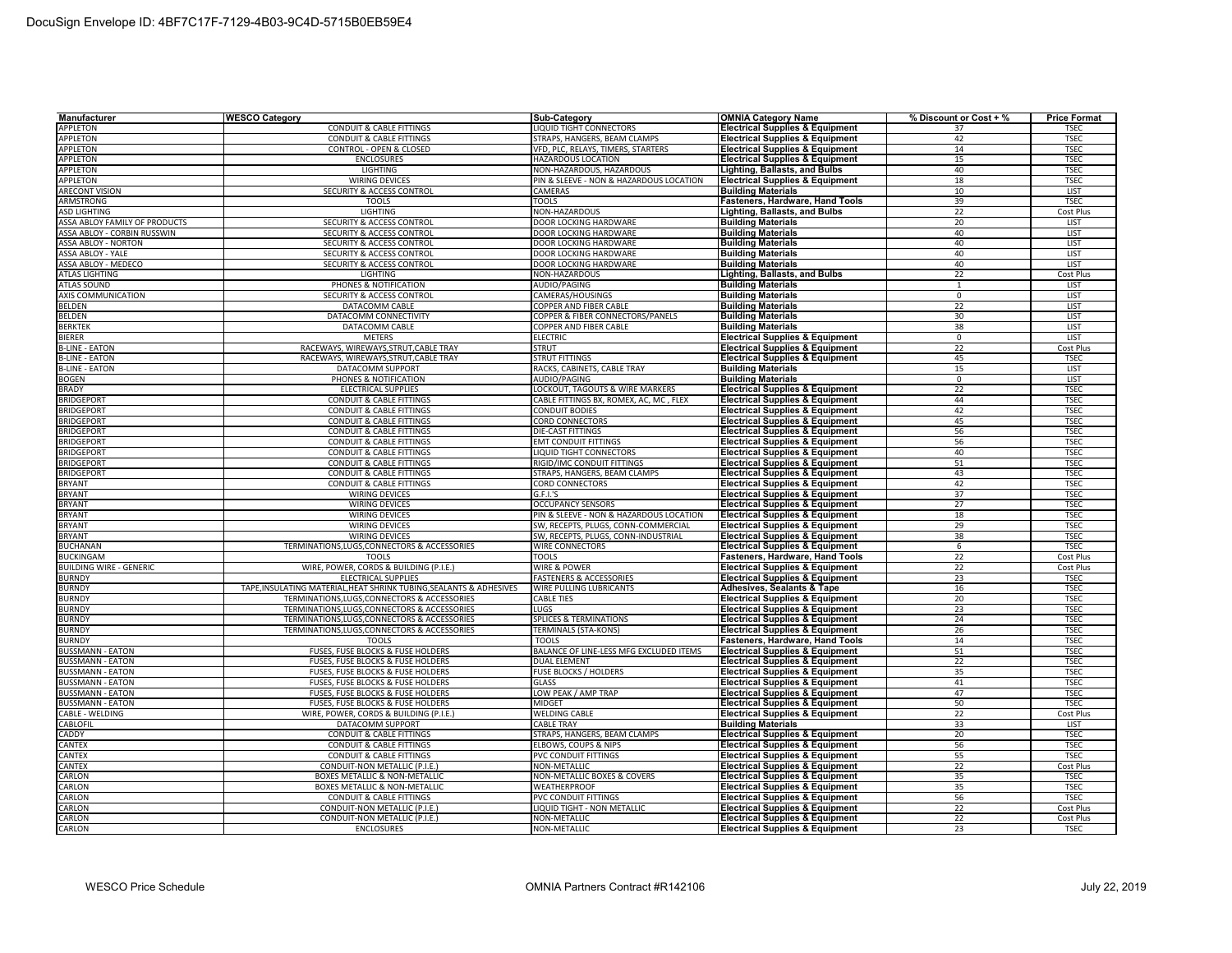| <b>Manufacturer</b>                    | <b>WESCO Category</b>                                                      | Sub-Category                                                  | <b>OMNIA Category Name</b>                                                               | % Discount or Cost + % | <b>Price Format</b>        |
|----------------------------------------|----------------------------------------------------------------------------|---------------------------------------------------------------|------------------------------------------------------------------------------------------|------------------------|----------------------------|
| APPLETON                               | <b>CONDUIT &amp; CABLE FITTINGS</b>                                        | <b>LIQUID TIGHT CONNECTORS</b>                                | <b>Electrical Supplies &amp; Equipment</b>                                               | 37                     | <b>TSEC</b>                |
| <b>APPLETON</b>                        | <b>CONDUIT &amp; CABLE FITTINGS</b>                                        | STRAPS, HANGERS, BEAM CLAMPS                                  | <b>Electrical Supplies &amp; Equipment</b>                                               | 42                     | <b>TSEC</b>                |
| APPLETON                               | <b>CONTROL - OPEN &amp; CLOSED</b>                                         | VFD, PLC, RELAYS, TIMERS, STARTERS                            | <b>Electrical Supplies &amp; Equipment</b>                                               | 14                     | <b>TSEC</b>                |
| APPLETON                               | <b>ENCLOSURES</b>                                                          | HAZARDOUS LOCATION                                            | <b>Electrical Supplies &amp; Equipment</b>                                               | 15                     | <b>TSEC</b>                |
| APPLETON                               | <b>LIGHTING</b>                                                            | NON-HAZARDOUS, HAZARDOUS                                      | Lighting, Ballasts, and Bulbs                                                            | 40                     | <b>TSEC</b>                |
| APPLETON                               | <b>WIRING DEVICES</b>                                                      | PIN & SLEEVE - NON & HAZARDOUS LOCATION                       | <b>Electrical Supplies &amp; Equipment</b>                                               | 18                     | <b>TSEC</b>                |
| <b>ARECONT VISION</b>                  | SECURITY & ACCESS CONTROL                                                  | CAMERAS                                                       | <b>Building Materials</b>                                                                | 10                     | LIST                       |
| ARMSTRONG                              | <b>TOOLS</b>                                                               | TOOLS                                                         | Fasteners, Hardware, Hand Tools                                                          | 39                     | <b>TSEC</b>                |
| <b>ASD LIGHTING</b>                    | LIGHTING                                                                   | NON-HAZARDOUS                                                 | Lighting, Ballasts, and Bulbs                                                            | 22                     | <b>Cost Plus</b>           |
| ASSA ABLOY FAMILY OF PRODUCTS          | SECURITY & ACCESS CONTROL                                                  | DOOR LOCKING HARDWARE                                         | <b>Building Materials</b>                                                                | 20                     | LIST                       |
| ASSA ABLOY - CORBIN RUSSWIN            | <b>SECURITY &amp; ACCESS CONTROL</b>                                       | DOOR LOCKING HARDWARE                                         | <b>Building Materials</b>                                                                | 40                     | LIST                       |
| <b>ASSA ABLOY - NORTON</b>             | <b>SECURITY &amp; ACCESS CONTROL</b>                                       | DOOR LOCKING HARDWARE                                         | <b>Building Materials</b>                                                                | 40                     | <b>LIST</b>                |
| ASSA ABLOY - YALE                      | SECURITY & ACCESS CONTROL                                                  | DOOR LOCKING HARDWARE                                         | <b>Building Materials</b>                                                                | 40                     | LIST                       |
| ASSA ABLOY - MEDECO                    | <b>SECURITY &amp; ACCESS CONTROL</b>                                       | DOOR LOCKING HARDWARE                                         | <b>Building Materials</b>                                                                | 40                     | LIST                       |
| <b>ATLAS LIGHTING</b>                  | <b>LIGHTING</b>                                                            | NON-HAZARDOUS                                                 | Lighting, Ballasts, and Bulbs                                                            | 22                     | <b>Cost Plus</b>           |
| ATLAS SOUND                            | PHONES & NOTIFICATION                                                      | AUDIO/PAGING                                                  | <b>Building Materials</b>                                                                | 1                      | LIST                       |
| AXIS COMMUNICATION                     | <b>SECURITY &amp; ACCESS CONTROL</b>                                       | CAMERAS/HOUSINGS                                              | <b>Building Materials</b>                                                                | $\mathbf 0$            | LIST                       |
| BELDEN                                 | DATACOMM CABLE                                                             | COPPER AND FIBER CABLE                                        | <b>Building Materials</b>                                                                | 22                     | LIST                       |
| <b>BELDEN</b>                          | DATACOMM CONNECTIVITY                                                      | COPPER & FIBER CONNECTORS/PANELS                              | <b>Building Materials</b>                                                                | 30                     | LIST                       |
| <b>BERKTEK</b>                         | DATACOMM CABLE                                                             | COPPER AND FIBER CABLE                                        | <b>Building Materials</b>                                                                | 38                     | LIST                       |
| <b>BIERER</b>                          | <b>METERS</b>                                                              | <b>ELECTRIC</b>                                               | <b>Electrical Supplies &amp; Equipment</b>                                               | $\mathsf 0$            | LIST                       |
| <b>B-LINE - EATON</b>                  | RACEWAYS, WIREWAYS, STRUT, CABLE TRAY                                      | <b>STRUT</b>                                                  | <b>Electrical Supplies &amp; Equipment</b>                                               | 22                     | <b>Cost Plus</b>           |
| <b>B-LINE - EATON</b>                  | RACEWAYS, WIREWAYS, STRUT, CABLE TRAY                                      | STRUT FITTINGS                                                | <b>Electrical Supplies &amp; Equipment</b>                                               | 45                     | <b>TSEC</b>                |
| -LINE - EATON                          | <b>DATACOMM SUPPORT</b>                                                    | RACKS, CABINETS, CABLE TRAY                                   | <b>Building Materials</b>                                                                | 15                     | LIST                       |
| 3OGEN                                  | PHONES & NOTIFICATION                                                      | AUDIO/PAGING                                                  | <b>Building Materials</b>                                                                | $\overline{0}$         | <b>LIST</b>                |
| <b>BRADY</b>                           | <b>ELECTRICAL SUPPLIES</b>                                                 | LOCKOUT, TAGOUTS & WIRE MARKERS                               | <b>Electrical Supplies &amp; Equipment</b>                                               | 22                     | <b>TSEC</b>                |
| <b>BRIDGEPORT</b>                      | <b>CONDUIT &amp; CABLE FITTINGS</b>                                        | CABLE FITTINGS BX, ROMEX, AC, MC, FLEX                        | <b>Electrical Supplies &amp; Equipment</b>                                               | 44                     | <b>TSEC</b>                |
| <b>BRIDGEPORT</b>                      | <b>CONDUIT &amp; CABLE FITTINGS</b>                                        | CONDUIT BODIES                                                | <b>Electrical Supplies &amp; Equipment</b>                                               | 42                     | <b>TSEC</b>                |
| <b>BRIDGEPORT</b><br><b>BRIDGEPORT</b> | <b>CONDUIT &amp; CABLE FITTINGS</b><br><b>CONDUIT &amp; CABLE FITTINGS</b> | CORD CONNECTORS<br>DIE-CAST FITTINGS                          | <b>Electrical Supplies &amp; Equipment</b>                                               | 45<br>56               | <b>TSEC</b><br><b>TSEC</b> |
|                                        |                                                                            |                                                               | <b>Electrical Supplies &amp; Equipment</b>                                               |                        |                            |
| <b>BRIDGEPORT</b><br><b>BRIDGEPORT</b> | <b>CONDUIT &amp; CABLE FITTINGS</b><br><b>CONDUIT &amp; CABLE FITTINGS</b> | <b>EMT CONDUIT FITTINGS</b><br><b>LIQUID TIGHT CONNECTORS</b> | <b>Electrical Supplies &amp; Equipment</b><br><b>Electrical Supplies &amp; Equipment</b> | 56<br>40               | <b>TSEC</b><br><b>TSEC</b> |
| <b>BRIDGEPORT</b>                      | <b>CONDUIT &amp; CABLE FITTINGS</b>                                        | RIGID/IMC CONDUIT FITTINGS                                    | <b>Electrical Supplies &amp; Equipment</b>                                               | 51                     | <b>TSEC</b>                |
| <b>BRIDGEPORT</b>                      | <b>CONDUIT &amp; CABLE FITTINGS</b>                                        | STRAPS, HANGERS, BEAM CLAMPS                                  | <b>Electrical Supplies &amp; Equipment</b>                                               | 43                     | <b>TSEC</b>                |
| <b>BRYANT</b>                          | <b>CONDUIT &amp; CABLE FITTINGS</b>                                        | <b>CORD CONNECTORS</b>                                        | <b>Electrical Supplies &amp; Equipment</b>                                               | 42                     | <b>TSEC</b>                |
| <b>BRYANT</b>                          | WIRING DEVICES                                                             | G.F.I.'S                                                      | <b>Electrical Supplies &amp; Equipment</b>                                               | 37                     | <b>TSEC</b>                |
| RYANT                                  | <b>WIRING DEVICES</b>                                                      | <b>OCCUPANCY SENSORS</b>                                      | <b>Electrical Supplies &amp; Equipment</b>                                               | 27                     | <b>TSEC</b>                |
| <b>BRYANT</b>                          | <b>WIRING DEVICES</b>                                                      | PIN & SLEEVE - NON & HAZARDOUS LOCATION                       | <b>Electrical Supplies &amp; Equipment</b>                                               | 18                     | <b>TSEC</b>                |
| <b>BRYANT</b>                          | <b>WIRING DEVICES</b>                                                      | SW, RECEPTS, PLUGS, CONN-COMMERCIAL                           | <b>Electrical Supplies &amp; Equipment</b>                                               | 29                     | <b>TSEC</b>                |
| <b>BRYANT</b>                          | <b>WIRING DEVICES</b>                                                      | SW, RECEPTS, PLUGS, CONN-INDUSTRIAL                           | <b>Electrical Supplies &amp; Equipment</b>                                               | 38                     | <b>TSEC</b>                |
| <b>BUCHANAN</b>                        | TERMINATIONS, LUGS, CONNECTORS & ACCESSORIES                               | WIRE CONNECTORS                                               | <b>Electrical Supplies &amp; Equipment</b>                                               | 6                      | <b>TSEC</b>                |
| <b>BUCKINGAM</b>                       | <b>TOOLS</b>                                                               | TOOLS                                                         | Fasteners, Hardware, Hand Tools                                                          | 22                     | <b>Cost Plus</b>           |
| <b>BUILDING WIRE - GENERIC</b>         | WIRE, POWER, CORDS & BUILDING (P.I.E.)                                     | WIRE & POWER                                                  | <b>Electrical Supplies &amp; Equipment</b>                                               | 22                     | <b>Cost Plus</b>           |
| <b>BURNDY</b>                          | <b>ELECTRICAL SUPPLIES</b>                                                 | <b>FASTENERS &amp; ACCESSORIES</b>                            | <b>Electrical Supplies &amp; Equipment</b>                                               | 23                     | <b>TSEC</b>                |
| <b>BURNDY</b>                          | TAPE, INSULATING MATERIAL, HEAT SHRINK TUBING, SEALANTS & ADHESIVES        | WIRE PULLING LUBRICANTS                                       | <b>Adhesives, Sealants &amp; Tape</b>                                                    | 16                     | <b>TSEC</b>                |
| <b>BURNDY</b>                          | TERMINATIONS, LUGS, CONNECTORS & ACCESSORIES                               | <b>CABLE TIES</b>                                             | <b>Electrical Supplies &amp; Equipment</b>                                               | 20                     | <b>TSEC</b>                |
| <b>BURNDY</b>                          | TERMINATIONS, LUGS, CONNECTORS & ACCESSORIES                               | LUGS                                                          | <b>Electrical Supplies &amp; Equipment</b>                                               | 23                     | <b>TSEC</b>                |
| <b>BURNDY</b>                          | TERMINATIONS, LUGS, CONNECTORS & ACCESSORIES                               | <b>SPLICES &amp; TERMINATIONS</b>                             | <b>Electrical Supplies &amp; Equipment</b>                                               | 24                     | <b>TSEC</b>                |
| <b>BURNDY</b>                          | TERMINATIONS, LUGS, CONNECTORS & ACCESSORIES                               | <b>TERMINALS (STA-KONS)</b>                                   | <b>Electrical Supplies &amp; Equipment</b>                                               | 26                     | <b>TSEC</b>                |
| <b>URNDY</b>                           | <b>TOOLS</b>                                                               | <b>TOOLS</b>                                                  | Fasteners, Hardware, Hand Tools                                                          | 14                     | <b>TSEC</b>                |
| <b>BUSSMANN - EATON</b>                | FUSES, FUSE BLOCKS & FUSE HOLDERS                                          | BALANCE OF LINE-LESS MFG EXCLUDED ITEMS                       | <b>Electrical Supplies &amp; Equipment</b>                                               | 51                     | <b>TSEC</b>                |
| <b>BUSSMANN - EATON</b>                | FUSES, FUSE BLOCKS & FUSE HOLDERS                                          | <b>DUAL ELEMENT</b>                                           | <b>Electrical Supplies &amp; Equipment</b>                                               | 22                     | <b>TSEC</b>                |
| <b>BUSSMANN - EATON</b>                | FUSES, FUSE BLOCKS & FUSE HOLDERS                                          | FUSE BLOCKS / HOLDERS                                         | <b>Electrical Supplies &amp; Equipment</b>                                               | 35                     | <b>TSEC</b>                |
| <b>BUSSMANN - EATON</b>                | FUSES, FUSE BLOCKS & FUSE HOLDERS                                          | GLASS                                                         | <b>Electrical Supplies &amp; Equipment</b>                                               | 41                     | <b>TSEC</b>                |
| <b>BUSSMANN - EATON</b>                | FUSES, FUSE BLOCKS & FUSE HOLDERS                                          | LOW PEAK / AMP TRAP                                           | <b>Electrical Supplies &amp; Equipment</b>                                               | 47                     | <b>TSEC</b>                |
| <b>BUSSMANN - EATON</b>                | FUSES, FUSE BLOCKS & FUSE HOLDERS                                          | MIDGET                                                        | <b>Electrical Supplies &amp; Equipment</b>                                               | 50                     | <b>TSEC</b>                |
| CABLE - WELDING                        | WIRE, POWER, CORDS & BUILDING (P.I.E.)                                     | <b>WELDING CABLE</b>                                          | <b>Electrical Supplies &amp; Equipment</b>                                               | 22                     | <b>Cost Plus</b>           |
| CABLOFIL                               | DATACOMM SUPPORT                                                           | CABLE TRAY                                                    | <b>Building Materials</b>                                                                | 33                     | <b>LIST</b>                |
| CADDY                                  | <b>CONDUIT &amp; CABLE FITTINGS</b>                                        | STRAPS, HANGERS, BEAM CLAMPS                                  | <b>Electrical Supplies &amp; Equipment</b>                                               | 20                     | <b>TSEC</b>                |
| CANTEX                                 | <b>CONDUIT &amp; CABLE FITTINGS</b>                                        | ELBOWS, COUPS & NIPS                                          | <b>Electrical Supplies &amp; Equipment</b>                                               | 56                     | <b>TSEC</b>                |
| CANTEX                                 | <b>CONDUIT &amp; CABLE FITTINGS</b>                                        | PVC CONDUIT FITTINGS                                          | <b>Electrical Supplies &amp; Equipment</b>                                               | 55                     | <b>TSEC</b>                |
| CANTEX                                 | CONDUIT-NON METALLIC (P.I.E.)                                              | NON-METALLIC                                                  | <b>Electrical Supplies &amp; Equipment</b>                                               | 22                     | <b>Cost Plus</b>           |
| <b>ARLON</b>                           | <b>BOXES METALLIC &amp; NON-METALLIC</b>                                   | NON-METALLIC BOXES & COVERS                                   | <b>Electrical Supplies &amp; Equipment</b>                                               | 35                     | <b>TSEC</b>                |
| <b>ARLON</b>                           | BOXES METALLIC & NON-METALLIC                                              | <b>WEATHERPROOF</b>                                           | <b>Electrical Supplies &amp; Equipment</b>                                               | 35                     | <b>TSEC</b>                |
| <b>ARLON</b>                           | <b>CONDUIT &amp; CABLE FITTINGS</b>                                        | PVC CONDUIT FITTINGS                                          | <b>Electrical Supplies &amp; Equipment</b>                                               | 56                     | <b>TSEC</b>                |
| <b>ARLON</b>                           | CONDUIT-NON METALLIC (P.I.E.)                                              | <b>IQUID TIGHT - NON METALLIC</b>                             | <b>Electrical Supplies &amp; Equipment</b>                                               | 22                     | <b>Cost Plus</b>           |
| CARLON                                 | CONDUIT-NON METALLIC (P.I.E.)                                              | NON-METALLIC                                                  | <b>Electrical Supplies &amp; Equipment</b>                                               | 22                     | Cost Plus                  |
| CARLON                                 | <b>ENCLOSURES</b>                                                          | <b>NON-METALLIC</b>                                           | <b>Electrical Supplies &amp; Equipment</b>                                               | 23                     | <b>TSEC</b>                |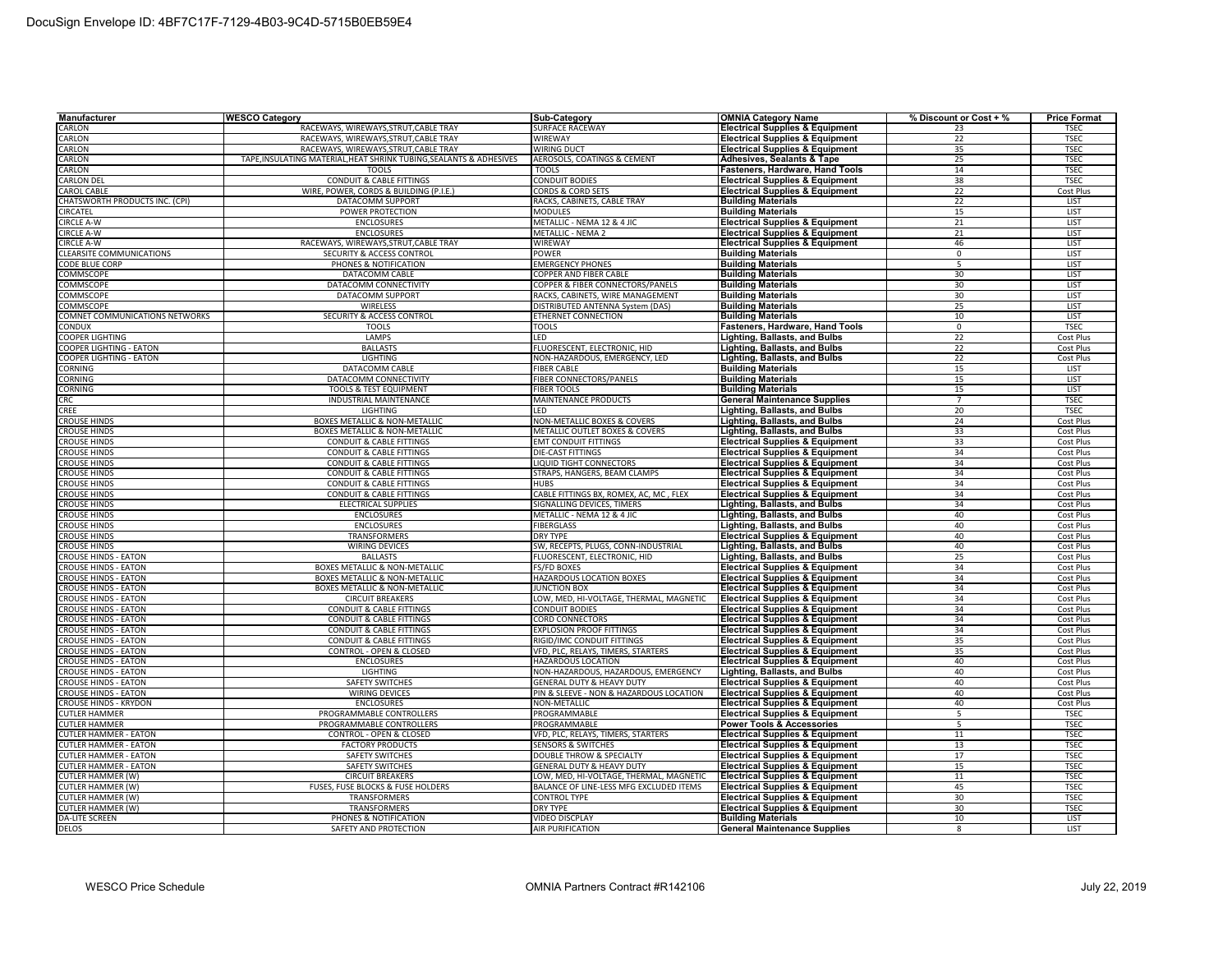| Manufacturer                   | <b>WESCO Category</b>                                               | Sub-Category                            | <b>OMNIA Category Name</b>                 | % Discount or Cost + % | <b>Price Format</b> |
|--------------------------------|---------------------------------------------------------------------|-----------------------------------------|--------------------------------------------|------------------------|---------------------|
| CARLON                         | RACEWAYS, WIREWAYS.STRUT.CABLE TRAY                                 | <b>SURFACE RACEWAY</b>                  | <b>Electrical Supplies &amp; Equipment</b> | 23                     | <b>TSEC</b>         |
| CARLON                         | RACEWAYS, WIREWAYS, STRUT, CABLE TRAY                               | <b>WIREWAY</b>                          | <b>Electrical Supplies &amp; Equipment</b> | 22                     | <b>TSEC</b>         |
| CARLON                         | RACEWAYS, WIREWAYS, STRUT, CABLE TRAY                               | WIRING DUCT                             | <b>Electrical Supplies &amp; Equipment</b> | 35                     | <b>TSEC</b>         |
| CARLON                         | TAPE, INSULATING MATERIAL, HEAT SHRINK TUBING, SEALANTS & ADHESIVES | AEROSOLS, COATINGS & CEMENT             | <b>Adhesives, Sealants &amp; Tape</b>      | 25                     | <b>TSEC</b>         |
| CARLON                         | <b>TOOLS</b>                                                        | <b>TOOLS</b>                            | Fasteners, Hardware, Hand Tools            | 14                     | <b>TSEC</b>         |
| CARLON DEL                     | <b>CONDUIT &amp; CABLE FITTINGS</b>                                 | CONDUIT BODIES                          | <b>Electrical Supplies &amp; Equipment</b> | 38                     | <b>TSEC</b>         |
| <b>CAROL CABLE</b>             | WIRE, POWER, CORDS & BUILDING (P.I.E.)                              | CORDS & CORD SETS                       | <b>Electrical Supplies &amp; Equipment</b> | 22                     | <b>Cost Plus</b>    |
| CHATSWORTH PRODUCTS INC. (CPI) | DATACOMM SUPPORT                                                    | RACKS, CABINETS, CABLE TRAY             | <b>Building Materials</b>                  | 22                     | LIST                |
| CIRCATEL                       | POWER PROTECTION                                                    | <b>MODULES</b>                          | <b>Building Materials</b>                  | 15                     | LIST                |
| CIRCLE A-W                     | <b>ENCLOSURES</b>                                                   | METALLIC - NEMA 12 & 4 JIC              | <b>Electrical Supplies &amp; Equipment</b> | 21                     | <b>LIST</b>         |
| <b>IRCLE A-W</b>               | <b>ENCLOSURES</b>                                                   | <b>METALLIC - NEMA 2</b>                | <b>Electrical Supplies &amp; Equipment</b> | 21                     | <b>LIST</b>         |
| CIRCLE A-W                     | RACEWAYS, WIREWAYS, STRUT, CABLE TRAY                               | WIREWAY                                 | <b>Electrical Supplies &amp; Equipment</b> | 46                     | <b>LIST</b>         |
| CLEARSITE COMMUNICATIONS       | SECURITY & ACCESS CONTROL                                           | POWER                                   | <b>Building Materials</b>                  | $\mathsf 0$            | LIST                |
| ODE BLUE CORP                  | PHONES & NOTIFICATION                                               | <b>EMERGENCY PHONES</b>                 | <b>Building Materials</b>                  | 5                      | LIST                |
| COMMSCOPE                      | DATACOMM CABLE                                                      | COPPER AND FIBER CABLE                  | <b>Building Materials</b>                  | 30                     | LIST                |
| COMMSCOPE                      | DATACOMM CONNECTIVITY                                               | COPPER & FIBER CONNECTORS/PANELS        | <b>Building Materials</b>                  | 30                     | LIST                |
| COMMSCOPE                      | DATACOMM SUPPORT                                                    | RACKS, CABINETS, WIRE MANAGEMENT        | <b>Building Materials</b>                  | 30                     | LIST                |
| <b>COMMSCOPE</b>               | <b>WIRELESS</b>                                                     | DISTRIBUTED ANTENNA System (DAS)        | <b>Building Materials</b>                  | 25                     | LIST                |
| COMNET COMMUNICATIONS NETWORKS | SECURITY & ACCESS CONTROL                                           | ETHERNET CONNECTION                     | <b>Building Materials</b>                  | 10                     | <b>LIST</b>         |
|                                |                                                                     |                                         |                                            |                        | <b>TSEC</b>         |
| CONDUX                         | <b>TOOLS</b>                                                        | <b>TOOLS</b>                            | <b>Fasteners, Hardware, Hand Tools</b>     | $\mathbf 0$            |                     |
| <b>COOPER LIGHTING</b>         | <b>LAMPS</b>                                                        | LED                                     | Lighting, Ballasts, and Bulbs              | 22                     | <b>Cost Plus</b>    |
| <b>COOPER LIGHTING - EATON</b> | <b>BALLASTS</b>                                                     | FLUORESCENT, ELECTRONIC, HID            | <b>Lighting, Ballasts, and Bulbs</b>       | 22                     | Cost Plus           |
| <b>COOPER LIGHTING - EATON</b> | <b>LIGHTING</b>                                                     | NON-HAZARDOUS, EMERGENCY, LED           | Lighting, Ballasts, and Bulbs              | 22                     | <b>Cost Plus</b>    |
| <b>CORNING</b>                 | DATACOMM CABLE                                                      | <b>FIBER CABLE</b>                      | <b>Building Materials</b>                  | 15                     | <b>LIST</b>         |
| <b>CORNING</b>                 | DATACOMM CONNECTIVITY                                               | FIBER CONNECTORS/PANELS                 | <b>Building Materials</b>                  | 15                     | <b>LIST</b>         |
| <b>CORNING</b>                 | <b>TOOLS &amp; TEST EQUIPMENT</b>                                   | <b>FIBER TOOLS</b>                      | <b>Building Materials</b>                  | 15                     | <b>LIST</b>         |
| CRC                            | INDUSTRIAL MAINTENANCE                                              | MAINTENANCE PRODUCTS                    | <b>General Maintenance Supplies</b>        | $\overline{7}$         | <b>TSEC</b>         |
| <b>CREE</b>                    | <b>LIGHTING</b>                                                     | LED                                     | Lighting, Ballasts, and Bulbs              | 20                     | <b>TSEC</b>         |
| <b>CROUSE HINDS</b>            | BOXES METALLIC & NON-METALLIC                                       | NON-METALLIC BOXES & COVERS             | Lighting, Ballasts, and Bulbs              | 24                     | Cost Plus           |
| <b>CROUSE HINDS</b>            | BOXES METALLIC & NON-METALLIC                                       | METALLIC OUTLET BOXES & COVERS          | Lighting, Ballasts, and Bulbs              | 33                     | Cost Plus           |
| <b>CROUSE HINDS</b>            | <b>CONDUIT &amp; CABLE FITTINGS</b>                                 | <b>EMT CONDUIT FITTINGS</b>             | <b>Electrical Supplies &amp; Equipment</b> | 33                     | Cost Plus           |
| CROUSE HINDS                   | <b>CONDUIT &amp; CABLE FITTINGS</b>                                 | DIE-CAST FITTINGS                       | <b>Electrical Supplies &amp; Equipment</b> | 34                     | Cost Plus           |
| <b>CROUSE HINDS</b>            | <b>CONDUIT &amp; CABLE FITTINGS</b>                                 | LIQUID TIGHT CONNECTORS                 | <b>Electrical Supplies &amp; Equipment</b> | 34                     | Cost Plus           |
| <b>CROUSE HINDS</b>            | <b>CONDUIT &amp; CABLE FITTINGS</b>                                 | STRAPS, HANGERS, BEAM CLAMPS            | <b>Electrical Supplies &amp; Equipment</b> | 34                     | Cost Plus           |
| <b>CROUSE HINDS</b>            | <b>CONDUIT &amp; CABLE FITTINGS</b>                                 | <b>HUBS</b>                             | <b>Electrical Supplies &amp; Equipment</b> | 34                     | Cost Plus           |
| <b>CROUSE HINDS</b>            | <b>CONDUIT &amp; CABLE FITTINGS</b>                                 | CABLE FITTINGS BX, ROMEX, AC, MC, FLEX  | <b>Electrical Supplies &amp; Equipment</b> | 34                     | Cost Plus           |
| <b>CROUSE HINDS</b>            | <b>ELECTRICAL SUPPLIES</b>                                          | SIGNALLING DEVICES. TIMERS              | Lighting, Ballasts, and Bulbs              | 34                     | Cost Plus           |
| <b>CROUSE HINDS</b>            | <b>ENCLOSURES</b>                                                   | METALLIC - NEMA 12 & 4 JIC              | Lighting, Ballasts, and Bulbs              | 40                     | Cost Plus           |
| <b>CROUSE HINDS</b>            | <b>ENCLOSURES</b>                                                   | <b>FIBERGLASS</b>                       | <b>Lighting, Ballasts, and Bulbs</b>       | 40                     | Cost Plus           |
| CROUSE HINDS                   | <b>TRANSFORMERS</b>                                                 | <b>DRY TYPE</b>                         | <b>Electrical Supplies &amp; Equipment</b> | 40                     | <b>Cost Plus</b>    |
| <b>CROUSE HINDS</b>            | <b>WIRING DEVICES</b>                                               | SW, RECEPTS, PLUGS, CONN-INDUSTRIAL     | Lighting, Ballasts, and Bulbs              | 40                     | <b>Cost Plus</b>    |
| <b>CROUSE HINDS - EATON</b>    | <b>BALLASTS</b>                                                     | FLUORESCENT, ELECTRONIC, HID            | Lighting, Ballasts, and Bulbs              | 25                     | Cost Plus           |
| <b>CROUSE HINDS - EATON</b>    | BOXES METALLIC & NON-METALLIC                                       | <b>FS/FD BOXES</b>                      | <b>Electrical Supplies &amp; Equipment</b> | 34                     | Cost Plus           |
| <b>CROUSE HINDS - EATON</b>    | BOXES METALLIC & NON-METALLIC                                       | HAZARDOUS LOCATION BOXES                | <b>Electrical Supplies &amp; Equipment</b> | 34                     | <b>Cost Plus</b>    |
| <b>CROUSE HINDS - EATON</b>    | BOXES METALLIC & NON-METALLIC                                       | <b>JUNCTION BOX</b>                     | <b>Electrical Supplies &amp; Equipment</b> | 34                     | Cost Plus           |
| CROUSE HINDS - EATON           | <b>CIRCUIT BREAKERS</b>                                             | LOW, MED, HI-VOLTAGE, THERMAL, MAGNETIC | <b>Electrical Supplies &amp; Equipment</b> | 34                     | Cost Plus           |
| CROUSE HINDS - EATON           | <b>CONDUIT &amp; CABLE FITTINGS</b>                                 | CONDUIT BODIES                          | <b>Electrical Supplies &amp; Equipment</b> | 34                     | Cost Plus           |
| <b>CROUSE HINDS - EATON</b>    | <b>CONDUIT &amp; CABLE FITTINGS</b>                                 | <b>CORD CONNECTORS</b>                  | <b>Electrical Supplies &amp; Equipment</b> | 34                     | Cost Plus           |
| <b>CROUSE HINDS - EATON</b>    | <b>CONDUIT &amp; CABLE FITTINGS</b>                                 | <b>EXPLOSION PROOF FITTINGS</b>         | <b>Electrical Supplies &amp; Equipment</b> | 34                     | Cost Plus           |
| <b>CROUSE HINDS - EATON</b>    | <b>CONDUIT &amp; CABLE FITTINGS</b>                                 | RIGID/IMC CONDUIT FITTINGS              | <b>Electrical Supplies &amp; Equipment</b> | 35                     | <b>Cost Plus</b>    |
| <b>CROUSE HINDS - EATON</b>    | <b>CONTROL - OPEN &amp; CLOSED</b>                                  | VFD, PLC, RELAYS, TIMERS, STARTERS      | <b>Electrical Supplies &amp; Equipment</b> | 35                     | Cost Plus           |
| <b>CROUSE HINDS - EATON</b>    | <b>ENCLOSURES</b>                                                   | HAZARDOUS LOCATION                      | <b>Electrical Supplies &amp; Equipment</b> | 40                     | <b>Cost Plus</b>    |
| <b>CROUSE HINDS - EATON</b>    | <b>LIGHTING</b>                                                     | NON-HAZARDOUS, HAZARDOUS, EMERGENCY     | Lighting, Ballasts, and Bulbs              | 40                     | Cost Plus           |
| <b>CROUSE HINDS - EATON</b>    | <b>SAFETY SWITCHES</b>                                              | GENERAL DUTY & HEAVY DUTY               | <b>Electrical Supplies &amp; Equipment</b> | 40                     | <b>Cost Plus</b>    |
| <b>CROUSE HINDS - EATON</b>    | <b>WIRING DEVICES</b>                                               | PIN & SLEEVE - NON & HAZARDOUS LOCATION | <b>Electrical Supplies &amp; Equipment</b> | 40                     | <b>Cost Plus</b>    |
| <b>CROUSE HINDS - KRYDON</b>   | <b>ENCLOSURES</b>                                                   | NON-METALLIC                            | <b>Electrical Supplies &amp; Equipment</b> | 40                     | <b>Cost Plus</b>    |
| <b>CUTLER HAMMER</b>           | PROGRAMMABLE CONTROLLERS                                            | PROGRAMMABLE                            | <b>Electrical Supplies &amp; Equipment</b> | 5                      | <b>TSEC</b>         |
| <b>CUTLER HAMMER</b>           | PROGRAMMABLE CONTROLLERS                                            | PROGRAMMABLE                            | <b>Power Tools &amp; Accessories</b>       | 5                      | <b>TSEC</b>         |
| <b>CUTLER HAMMER - EATON</b>   | CONTROL - OPEN & CLOSED                                             | VFD, PLC, RELAYS, TIMERS, STARTERS      | <b>Electrical Supplies &amp; Equipment</b> | 11                     | <b>TSEC</b>         |
| <b>CUTLER HAMMER - EATON</b>   | <b>FACTORY PRODUCTS</b>                                             | <b>SENSORS &amp; SWITCHES</b>           | <b>Electrical Supplies &amp; Equipment</b> | 13                     | <b>TSEC</b>         |
| <b>CUTLER HAMMER - EATON</b>   | SAFETY SWITCHES                                                     | DOUBLE THROW & SPECIALTY                | <b>Electrical Supplies &amp; Equipment</b> | 17                     | <b>TSEC</b>         |
| <b>CUTLER HAMMER - EATON</b>   | <b>SAFETY SWITCHES</b>                                              | GENERAL DUTY & HEAVY DUTY               | <b>Electrical Supplies &amp; Equipment</b> | 15                     | <b>TSEC</b>         |
| <b>CUTLER HAMMER (W)</b>       | <b>CIRCUIT BREAKERS</b>                                             | LOW, MED, HI-VOLTAGE, THERMAL, MAGNETIC | <b>Electrical Supplies &amp; Equipment</b> | 11                     | <b>TSEC</b>         |
| <b>CUTLER HAMMER (W)</b>       | FUSES, FUSE BLOCKS & FUSE HOLDERS                                   | BALANCE OF LINE-LESS MFG EXCLUDED ITEMS | <b>Electrical Supplies &amp; Equipment</b> | 45                     | <b>TSEC</b>         |
| <b>CUTLER HAMMER (W)</b>       | TRANSFORMERS                                                        | CONTROL TYPE                            | <b>Electrical Supplies &amp; Equipment</b> | 30                     | <b>TSEC</b>         |
| CUTLER HAMMER (W)              | TRANSFORMERS                                                        | <b>DRY TYPE</b>                         | <b>Electrical Supplies &amp; Equipment</b> | 30                     | <b>TSEC</b>         |
| <b>DA-LITE SCREEN</b>          | PHONES & NOTIFICATION                                               | <b>VIDEO DISCPLAY</b>                   | <b>Building Materials</b>                  | 10                     | <b>LIST</b>         |
| <b>DELOS</b>                   | SAFETY AND PROTECTION                                               | <b>AIR PURIFICATION</b>                 | <b>General Maintenance Supplies</b>        | 8                      | LIST                |
|                                |                                                                     |                                         |                                            |                        |                     |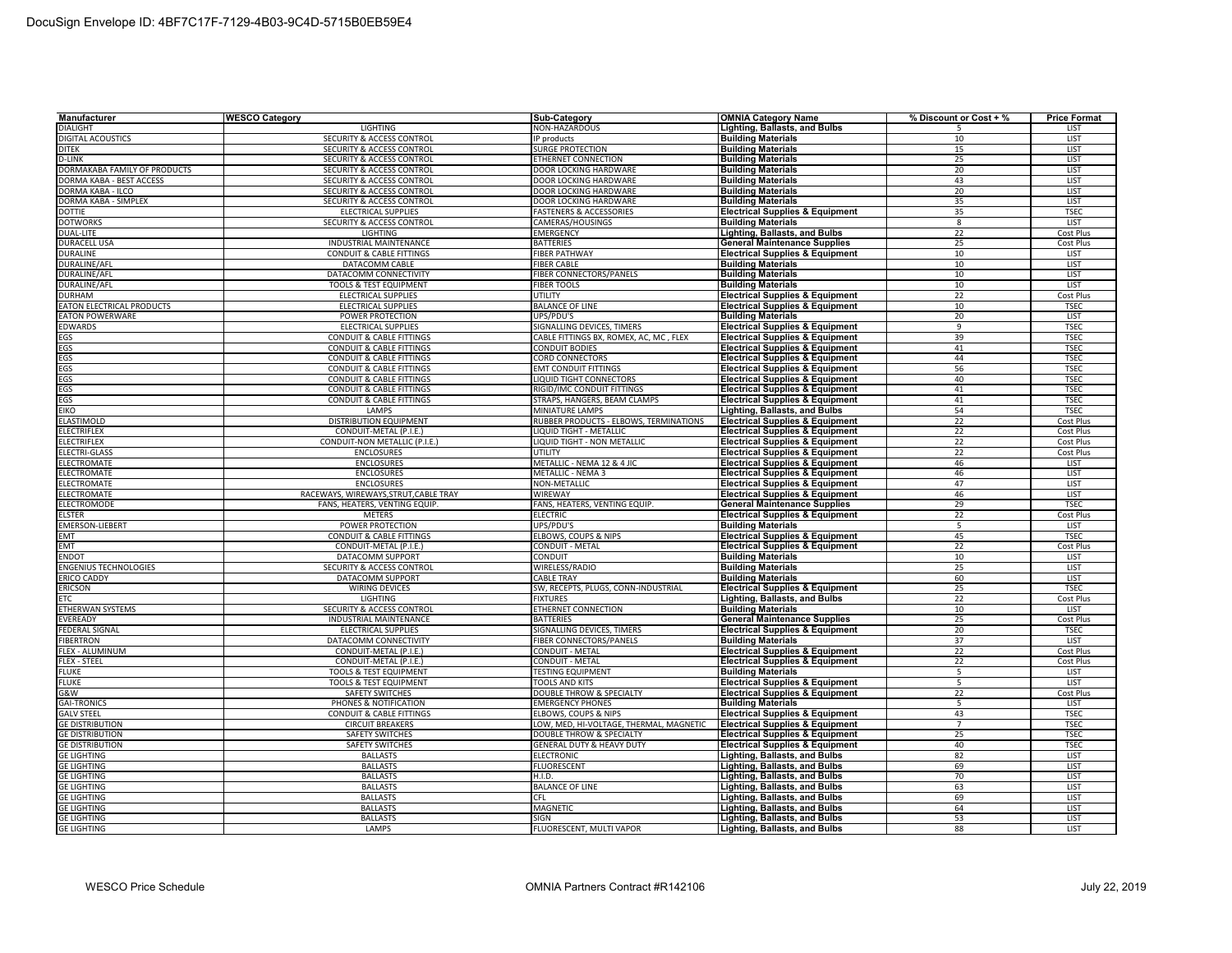| Manufacturer                             | <b>WESCO Category</b>                 | <b>Sub-Category</b>                     | <b>OMNIA Category Name</b>                 | % Discount or Cost + % | <b>Price Format</b> |
|------------------------------------------|---------------------------------------|-----------------------------------------|--------------------------------------------|------------------------|---------------------|
| <b>DIALIGHT</b>                          | LIGHTING                              | NON-HAZARDOUS                           | <b>Lighting, Ballasts, and Bulbs</b>       |                        | LIST                |
| DIGITAL ACOUSTICS                        | SECURITY & ACCESS CONTROL             | IP products                             | <b>Building Materials</b>                  | 10                     | LIST                |
| <b>DITEK</b>                             | <b>SECURITY &amp; ACCESS CONTROL</b>  | <b>SURGE PROTECTION</b>                 | <b>Building Materials</b>                  | 15                     | LIST                |
| D-LINK                                   | SECURITY & ACCESS CONTROL             | ETHERNET CONNECTION                     | <b>Building Materials</b>                  | 25                     | LIST                |
| DORMAKABA FAMILY OF PRODUCTS             | <b>SECURITY &amp; ACCESS CONTROL</b>  | DOOR LOCKING HARDWARE                   | <b>Building Materials</b>                  | 20                     | LIST                |
| DORMA KABA - BEST ACCESS                 | <b>SECURITY &amp; ACCESS CONTROL</b>  | DOOR LOCKING HARDWARE                   | <b>Building Materials</b>                  | 43                     | <b>LIST</b>         |
| DORMA KABA - ILCO                        | SECURITY & ACCESS CONTROL             | DOOR LOCKING HARDWARE                   | <b>Building Materials</b>                  | 20                     | LIST                |
| DORMA KABA - SIMPLEX                     | SECURITY & ACCESS CONTROL             | DOOR LOCKING HARDWARE                   | <b>Building Materials</b>                  | 35                     | LIST                |
| <b>DOTTIE</b>                            | ELECTRICAL SUPPLIES                   | <b>FASTENERS &amp; ACCESSORIES</b>      | <b>Electrical Supplies &amp; Equipment</b> | 35                     | <b>TSEC</b>         |
| <b>DOTWORKS</b>                          | SECURITY & ACCESS CONTROL             | CAMERAS/HOUSINGS                        | <b>Building Materials</b>                  | 8                      | <b>LIST</b>         |
| <b>DUAL-LITE</b>                         | <b>LIGHTING</b>                       | <b>EMERGENCY</b>                        | <b>Lighting, Ballasts, and Bulbs</b>       | 22                     | <b>Cost Plus</b>    |
| <b>DURACELL USA</b>                      | <b>INDUSTRIAL MAINTENANCE</b>         | <b>BATTERIES</b>                        | <b>General Maintenance Supplies</b>        | 25                     | <b>Cost Plus</b>    |
| <b>DURALINE</b>                          | <b>CONDUIT &amp; CABLE FITTINGS</b>   | <b>FIBER PATHWAY</b>                    | <b>Electrical Supplies &amp; Equipment</b> | 10                     | <b>LIST</b>         |
| DURALINE/AFI                             | DATACOMM CABLE                        | <b>FIBER CABLE</b>                      | <b>Building Materials</b>                  | 10                     | LIST                |
| DURALINE/AFI                             | DATACOMM CONNECTIVITY                 | FIBER CONNECTORS/PANELS                 | <b>Building Materials</b>                  | 10                     | LIST                |
| <b>DURALINE/AFL</b>                      | TOOLS & TEST EQUIPMENT                | <b>FIBER TOOLS</b>                      | <b>Building Materials</b>                  | 10                     | LIST                |
| <b>DURHAM</b>                            | ELECTRICAL SUPPLIES                   | <b>UTILITY</b>                          | <b>Electrical Supplies &amp; Equipment</b> | 22                     | Cost Plus           |
| EATON ELECTRICAL PRODUCTS                | <b>ELECTRICAL SUPPLIES</b>            | <b>BALANCE OF LINE</b>                  | <b>Electrical Supplies &amp; Equipment</b> | 10                     | <b>TSEC</b>         |
| <b>EATON POWERWARE</b>                   | POWER PROTECTION                      | UPS/PDU'S                               | <b>Building Materials</b>                  | 20                     | LIST                |
| EDWARDS                                  | <b>ELECTRICAL SUPPLIES</b>            | SIGNALLING DEVICES, TIMERS              | <b>Electrical Supplies &amp; Equipment</b> | 9                      | <b>TSEC</b>         |
| EGS                                      | <b>CONDUIT &amp; CABLE FITTINGS</b>   | CABLE FITTINGS BX, ROMEX, AC, MC, FLEX  | <b>Electrical Supplies &amp; Equipment</b> | 39                     | <b>TSEC</b>         |
| EGS                                      | <b>CONDUIT &amp; CABLE FITTINGS</b>   | <b>CONDUIT BODIES</b>                   | <b>Electrical Supplies &amp; Equipment</b> | 41                     | <b>TSEC</b>         |
| EGS                                      | <b>CONDUIT &amp; CABLE FITTINGS</b>   | <b>CORD CONNECTORS</b>                  | <b>Electrical Supplies &amp; Equipment</b> | 44                     | <b>TSEC</b>         |
| EGS                                      | <b>CONDUIT &amp; CABLE FITTINGS</b>   | <b>EMT CONDUIT FITTINGS</b>             | <b>Electrical Supplies &amp; Equipment</b> | 56                     | <b>TSEC</b>         |
| EGS                                      | <b>CONDUIT &amp; CABLE FITTINGS</b>   | <b>LIQUID TIGHT CONNECTORS</b>          | <b>Electrical Supplies &amp; Equipment</b> | 40                     | <b>TSEC</b>         |
| EGS                                      | <b>CONDUIT &amp; CABLE FITTINGS</b>   | RIGID/IMC CONDUIT FITTINGS              | <b>Electrical Supplies &amp; Equipment</b> | 41                     | <b>TSEC</b>         |
| EGS                                      | <b>CONDUIT &amp; CABLE FITTINGS</b>   | STRAPS, HANGERS, BEAM CLAMPS            | <b>Electrical Supplies &amp; Equipment</b> | 41                     | <b>TSEC</b>         |
| <b>EIKO</b>                              | LAMPS                                 | <b>MINIATURE LAMPS</b>                  | Lighting, Ballasts, and Bulbs              | 54                     | <b>TSEC</b>         |
| <b>ELASTIMOLD</b>                        | <b>DISTRIBUTION EQUIPMENT</b>         | RUBBER PRODUCTS - ELBOWS, TERMINATIONS  | <b>Electrical Supplies &amp; Equipment</b> | 22                     | Cost Plus           |
| <b>ELECTRIFLEX</b>                       | CONDUIT-METAL (P.I.E.)                | LIQUID TIGHT - METALLIC                 | <b>Electrical Supplies &amp; Equipment</b> | 22                     | <b>Cost Plus</b>    |
| <b>ELECTRIFLEX</b>                       | CONDUIT-NON METALLIC (P.I.E.)         | LIQUID TIGHT - NON METALLIC             | <b>Electrical Supplies &amp; Equipment</b> | 22                     | Cost Plus           |
| <b>ELECTRI-GLASS</b>                     | <b>ENCLOSURES</b>                     | <b>UTILITY</b>                          | <b>Electrical Supplies &amp; Equipment</b> | 22                     | <b>Cost Plus</b>    |
| <b>ELECTROMATE</b>                       | <b>ENCLOSURES</b>                     | METALLIC - NEMA 12 & 4 JIC              | <b>Electrical Supplies &amp; Equipment</b> | 46                     | LIST                |
| <b>ELECTROMATE</b>                       | <b>ENCLOSURES</b>                     | METALLIC - NEMA 3                       | <b>Electrical Supplies &amp; Equipment</b> | 46                     | <b>LIST</b>         |
| <b>ELECTROMATE</b>                       | <b>ENCLOSURES</b>                     | NON-METALLIC                            | <b>Electrical Supplies &amp; Equipment</b> | 47                     | <b>LIST</b>         |
| <b>ELECTROMATE</b>                       | RACEWAYS, WIREWAYS, STRUT, CABLE TRAY | <b>WIREWAY</b>                          | <b>Electrical Supplies &amp; Equipment</b> | 46                     | LIST                |
| <b>ELECTROMODE</b>                       | FANS, HEATERS, VENTING EQUIP.         | FANS, HEATERS, VENTING EQUIP.           | <b>General Maintenance Supplies</b>        | 29                     | <b>TSEC</b>         |
| <b>ELSTER</b>                            | <b>METERS</b>                         | <b>ELECTRIC</b>                         | <b>Electrical Supplies &amp; Equipment</b> | 22                     | <b>Cost Plus</b>    |
| <b>EMERSON-LIEBERT</b>                   | <b>POWER PROTECTION</b>               | UPS/PDU'S                               | <b>Building Materials</b>                  | 5                      | <b>LIST</b>         |
| EMT                                      | <b>CONDUIT &amp; CABLE FITTINGS</b>   | ELBOWS, COUPS & NIPS                    | <b>Electrical Supplies &amp; Equipment</b> | 45                     | <b>TSEC</b>         |
| <b>EMT</b>                               | CONDUIT-METAL (P.I.E.)                | CONDUIT - METAL                         | <b>Electrical Supplies &amp; Equipment</b> | 22                     | <b>Cost Plus</b>    |
| <b>ENDOT</b>                             | DATACOMM SUPPORT                      | <b>CONDUIT</b>                          | <b>Building Materials</b>                  | 10                     | LIST                |
| <b>ENGENIUS TECHNOLOGIES</b>             | <b>SECURITY &amp; ACCESS CONTROL</b>  | WIRELESS/RADIO                          | <b>Building Materials</b>                  | 25                     | LIST                |
| <b>ERICO CADDY</b>                       | DATACOMM SUPPORT                      | <b>CABLE TRAY</b>                       | <b>Building Materials</b>                  | 60                     | LIST                |
| <b>ERICSON</b>                           | <b>WIRING DEVICES</b>                 | SW, RECEPTS, PLUGS, CONN-INDUSTRIAL     | <b>Electrical Supplies &amp; Equipment</b> | 25                     | <b>TSEC</b>         |
| ETC                                      | <b>LIGHTING</b>                       | <b>FIXTURES</b>                         | <b>Lighting, Ballasts, and Bulbs</b>       | 22                     | <b>Cost Plus</b>    |
| ETHERWAN SYSTEMS                         | SECURITY & ACCESS CONTROL             | ETHERNET CONNECTION                     | <b>Building Materials</b>                  | 10                     | LIST                |
| EVEREADY                                 | <b>INDUSTRIAL MAINTENANCE</b>         | <b>BATTERIES</b>                        | <b>General Maintenance Supplies</b>        | 25                     | <b>Cost Plus</b>    |
| <b>FEDERAL SIGNAL</b>                    | ELECTRICAL SUPPLIES                   | SIGNALLING DEVICES, TIMERS              | <b>Electrical Supplies &amp; Equipment</b> | 20                     | <b>TSEC</b>         |
| <b>IBERTRON</b>                          | DATACOMM CONNECTIVITY                 | FIBER CONNECTORS/PANELS                 | <b>Building Materials</b>                  | 37                     | <b>LIST</b>         |
| FLEX - ALUMINUM                          | CONDUIT-METAL (P.I.E.)                | CONDUIT - METAL                         | <b>Electrical Supplies &amp; Equipment</b> | 22                     | <b>Cost Plus</b>    |
| FLEX - STEEL                             | CONDUIT-METAL (P.I.E.)                | <b>CONDUIT - METAL</b>                  | <b>Electrical Supplies &amp; Equipment</b> | 22                     | <b>Cost Plus</b>    |
| <b>FLUKE</b>                             | TOOLS & TEST EQUIPMENT                | <b>TESTING EQUIPMENT</b>                | <b>Building Materials</b>                  | 5                      | <b>LIST</b>         |
| FLUKE                                    | TOOLS & TEST EQUIPMENT                | <b>TOOLS AND KITS</b>                   | <b>Electrical Supplies &amp; Equipment</b> | 5                      | <b>LIST</b>         |
| G&W                                      | <b>SAFETY SWITCHES</b>                | DOUBLE THROW & SPECIALTY                | <b>Electrical Supplies &amp; Equipment</b> | 22                     | <b>Cost Plus</b>    |
| <b>GAI-TRONICS</b>                       | PHONES & NOTIFICATION                 | <b>EMERGENCY PHONES</b>                 | <b>Building Materials</b>                  | 5                      | <b>LIST</b>         |
| <b>GALV STEEL</b>                        | <b>CONDUIT &amp; CABLE FITTINGS</b>   | ELBOWS, COUPS & NIPS                    | <b>Electrical Supplies &amp; Equipment</b> | 43<br>$\overline{7}$   | <b>TSEC</b>         |
| <b>GE DISTRIBUTION</b>                   | <b>CIRCUIT BREAKERS</b>               | LOW, MED, HI-VOLTAGE, THERMAL, MAGNETIC | <b>Electrical Supplies &amp; Equipment</b> | 25                     | <b>TSEC</b>         |
| <b>GE DISTRIBUTION</b>                   | <b>SAFETY SWITCHES</b>                | DOUBLE THROW & SPECIALTY                | <b>Electrical Supplies &amp; Equipment</b> |                        | <b>TSEC</b>         |
| <b>GE DISTRIBUTION</b>                   | <b>SAFETY SWITCHES</b>                | GENERAL DUTY & HEAVY DUTY               | <b>Electrical Supplies &amp; Equipment</b> | 40                     | <b>TSEC</b>         |
| <b>GE LIGHTING</b>                       | <b>BALLASTS</b>                       | <b>ELECTRONIC</b>                       | <b>Lighting, Ballasts, and Bulbs</b>       | 82                     | LIST                |
| <b>GE LIGHTING</b>                       | <b>BALLASTS</b>                       | <b>FLUORESCENT</b>                      | <b>Lighting, Ballasts, and Bulbs</b>       | 69                     | LIST                |
| <b>GE LIGHTING</b>                       | <b>BALLASTS</b>                       | H.I.D.                                  | <b>Lighting, Ballasts, and Bulbs</b>       | 70                     | LIST                |
| <b>GE LIGHTING</b>                       | <b>BALLASTS</b>                       | <b>BALANCE OF LINE</b>                  | <b>Lighting, Ballasts, and Bulbs</b>       | 63                     | LIST                |
| <b>GE LIGHTING</b><br><b>GE LIGHTING</b> | <b>BALLASTS</b><br><b>BALLASTS</b>    | CFL<br><b>MAGNETIC</b>                  | Lighting, Ballasts, and Bulbs              | 69<br>64               | LIST<br>LIST        |
|                                          |                                       |                                         | Lighting, Ballasts, and Bulbs              |                        |                     |
| <b>GE LIGHTING</b>                       | <b>BALLASTS</b><br>LAMPS              | SIGN                                    | <b>Lighting, Ballasts, and Bulbs</b>       | 53<br>88               | LIST<br>LIST        |
| <b>GE LIGHTING</b>                       |                                       | FLUORESCENT, MULTI VAPOR                | Lighting, Ballasts, and Bulbs              |                        |                     |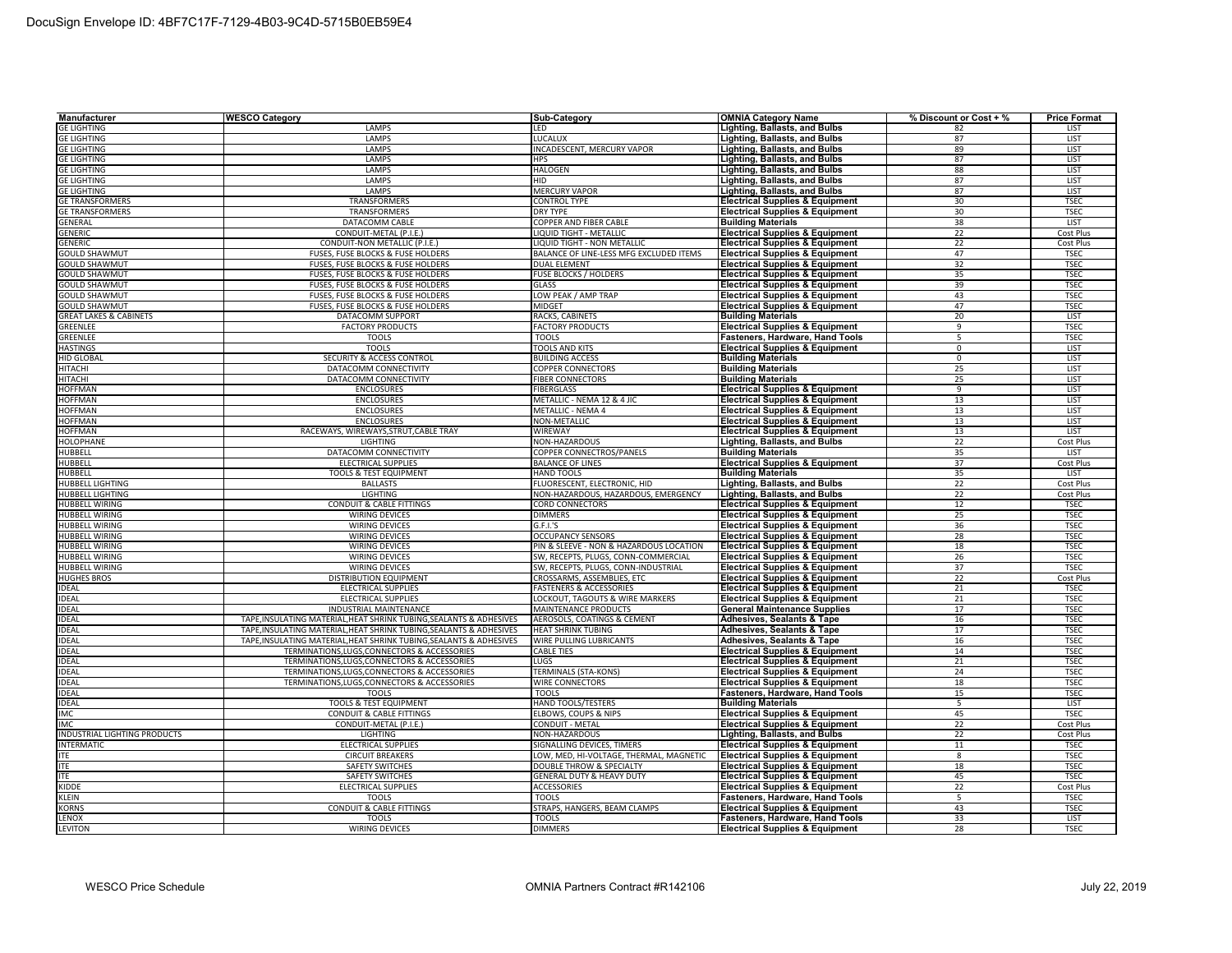| Manufacturer                      | <b>WESCO Category</b>                                               | <b>Sub-Category</b>                       | <b>OMNIA Category Name</b>                                 | % Discount or Cost + % | <b>Price Format</b>      |
|-----------------------------------|---------------------------------------------------------------------|-------------------------------------------|------------------------------------------------------------|------------------------|--------------------------|
| <b>GE LIGHTING</b>                | LAMPS                                                               | LED                                       | Lighting, Ballasts, and Bulbs                              | 82                     | LIST                     |
| <b>GE LIGHTING</b>                | LAMPS                                                               | LUCALUX                                   | Lighting, Ballasts, and Bulbs                              | 87                     | LIST                     |
| <b>GE LIGHTING</b>                | LAMPS                                                               | INCADESCENT, MERCURY VAPOR                | Lighting, Ballasts, and Bulbs                              | 89                     | LIST                     |
| <b>GE LIGHTING</b>                | LAMPS                                                               | <b>HPS</b>                                | Lighting, Ballasts, and Bulbs                              | 87                     | LIST                     |
| <b>GE LIGHTING</b>                | LAMPS                                                               | <b>HALOGEN</b>                            | Lighting, Ballasts, and Bulbs                              | 88                     | LIST                     |
| <b>GE LIGHTING</b>                | <b>LAMPS</b>                                                        | HID                                       | Lighting, Ballasts, and Bulbs                              | 87                     | <b>LIST</b>              |
| <b>GE LIGHTING</b>                | LAMPS                                                               | <b>MERCURY VAPOR</b>                      | Lighting, Ballasts, and Bulbs                              | 87                     | LIST                     |
| <b>GE TRANSFORMERS</b>            | <b>TRANSFORMERS</b>                                                 | <b>CONTROL TYPE</b>                       | <b>Electrical Supplies &amp; Equipment</b>                 | 30                     | <b>TSEC</b>              |
| <b>GE TRANSFORMERS</b>            | <b>TRANSFORMERS</b>                                                 | <b>DRY TYPE</b>                           | <b>Electrical Supplies &amp; Equipment</b>                 | 30                     | <b>TSEC</b>              |
| <b>GENERAL</b>                    | DATACOMM CABLE                                                      | COPPER AND FIBER CABLE                    | <b>Building Materials</b>                                  | 38                     | LIST                     |
| <b>GENERIC</b>                    | CONDUIT-METAL (P.I.E.)                                              | LIQUID TIGHT - METALLIC                   | <b>Electrical Supplies &amp; Equipment</b>                 | 22                     | Cost Plus                |
| <b>GENERIC</b>                    | CONDUIT-NON METALLIC (P.I.E.)                                       | LIQUID TIGHT - NON METALLIC               | <b>Electrical Supplies &amp; Equipment</b>                 | 22                     | <b>Cost Plus</b>         |
| <b>GOULD SHAWMUT</b>              | FUSES, FUSE BLOCKS & FUSE HOLDERS                                   | BALANCE OF LINE-LESS MFG EXCLUDED ITEMS   | <b>Electrical Supplies &amp; Equipment</b>                 | 47                     | <b>TSEC</b>              |
| <b>GOULD SHAWMUT</b>              | FUSES, FUSE BLOCKS & FUSE HOLDERS                                   | <b>DUAL ELEMENT</b>                       | <b>Electrical Supplies &amp; Equipment</b>                 | 32                     | <b>TSEC</b>              |
| <b>GOULD SHAWMUT</b>              | <b>FUSES. FUSE BLOCKS &amp; FUSE HOLDERS</b>                        | <b>FUSE BLOCKS / HOLDERS</b>              | <b>Electrical Supplies &amp; Equipment</b>                 | 35                     | <b>TSEC</b>              |
| <b>GOULD SHAWMUT</b>              | FUSES, FUSE BLOCKS & FUSE HOLDERS                                   | GLASS                                     | <b>Electrical Supplies &amp; Equipment</b>                 | 39                     | <b>TSEC</b>              |
| <b>GOULD SHAWMUT</b>              | FUSES, FUSE BLOCKS & FUSE HOLDERS                                   | LOW PEAK / AMP TRAP                       | <b>Electrical Supplies &amp; Equipment</b>                 | 43                     | <b>TSEC</b>              |
| <b>GOULD SHAWMUT</b>              | FUSES, FUSE BLOCKS & FUSE HOLDERS                                   | MIDGET                                    | <b>Electrical Supplies &amp; Equipment</b>                 | 47                     | <b>TSEC</b>              |
| <b>GREAT LAKES &amp; CABINETS</b> | DATACOMM SUPPORT                                                    | RACKS, CABINETS                           | <b>Building Materials</b>                                  | 20                     | <b>LIST</b>              |
| GREENLEE                          | <b>FACTORY PRODUCTS</b>                                             | <b>FACTORY PRODUCTS</b>                   | <b>Electrical Supplies &amp; Equipment</b>                 | 9                      | <b>TSEC</b>              |
| <b>GREENLEE</b>                   | <b>TOOLS</b>                                                        | <b>TOOLS</b>                              | Fasteners, Hardware, Hand Tools                            | 5                      | <b>TSEC</b>              |
| <b>HASTINGS</b>                   | <b>TOOLS</b>                                                        | <b>TOOLS AND KITS</b>                     | <b>Electrical Supplies &amp; Equipment</b>                 | $\mathbf 0$            | LIST                     |
| <b>HID GLOBAI</b>                 | <b>SECURITY &amp; ACCESS CONTROL</b>                                | <b>BUILDING ACCESS</b>                    | <b>Building Materials</b>                                  | $\mathbf 0$            | LIST                     |
| <b>HITACHI</b>                    | DATACOMM CONNECTIVITY                                               | <b>COPPER CONNECTORS</b>                  | <b>Building Materials</b>                                  | 25                     | LIST                     |
| <b>HITACHI</b>                    | DATACOMM CONNECTIVITY                                               | <b>FIBER CONNECTORS</b>                   | <b>Building Materials</b>                                  | 25                     | <b>LIST</b>              |
| <b>HOFFMAN</b>                    | <b>ENCLOSURES</b>                                                   | <b>FIBERGLASS</b>                         | <b>Electrical Supplies &amp; Equipment</b>                 | 9                      | <b>LIST</b>              |
| <b>IOFFMAN</b>                    | <b>ENCLOSURES</b>                                                   | METALLIC - NEMA 12 & 4 JIC                | <b>Electrical Supplies &amp; Equipment</b>                 | 13                     | <b>LIST</b>              |
| <b>IOFFMAN</b>                    | <b>ENCLOSURES</b>                                                   | METALLIC - NEMA 4                         | <b>Electrical Supplies &amp; Equipment</b>                 | 13                     | <b>LIST</b>              |
| <b>HOFFMAN</b>                    | <b>ENCLOSURES</b>                                                   | NON-METALLIC                              | <b>Electrical Supplies &amp; Equipment</b>                 | 13                     | LIST                     |
| <b>HOFFMAN</b>                    | RACEWAYS, WIREWAYS, STRUT, CABLE TRAY<br><b>LIGHTING</b>            | WIREWAY                                   | <b>Electrical Supplies &amp; Equipment</b>                 | 13<br>22               | LIST                     |
| HOLOPHANE                         | DATACOMM CONNECTIVITY                                               | NON-HAZARDOUS<br>COPPER CONNECTROS/PANELS | Lighting, Ballasts, and Bulbs<br><b>Building Materials</b> | 35                     | Cost Plus<br><b>LIST</b> |
| HUBBELL<br>HUBBELL                | <b>ELECTRICAL SUPPLIES</b>                                          | <b>BALANCE OF LINES</b>                   | <b>Electrical Supplies &amp; Equipment</b>                 | 37                     | Cost Plus                |
| HUBBELL                           | TOOLS & TEST EQUIPMENT                                              | <b>HAND TOOLS</b>                         | <b>Building Materials</b>                                  | 35                     | LIST                     |
| <b>HUBBELL LIGHTING</b>           | <b>BALLASTS</b>                                                     | FLUORESCENT, ELECTRONIC, HID              | Lighting, Ballasts, and Bulbs                              | 22                     | Cost Plus                |
| HUBBELL LIGHTING                  | <b>LIGHTING</b>                                                     | NON-HAZARDOUS, HAZARDOUS, EMERGENCY       | <b>Lighting, Ballasts, and Bulbs</b>                       | 22                     | Cost Plus                |
| <b>IUBBELL WIRING</b>             | <b>CONDUIT &amp; CABLE FITTINGS</b>                                 | <b>CORD CONNECTORS</b>                    | <b>Electrical Supplies &amp; Equipment</b>                 | 12                     | <b>TSEC</b>              |
| <b>HUBBELL WIRING</b>             | WIRING DEVICES                                                      | <b>DIMMERS</b>                            | <b>Electrical Supplies &amp; Equipment</b>                 | 25                     | <b>TSEC</b>              |
| <b>HUBBELL WIRING</b>             | <b>WIRING DEVICES</b>                                               | G.F.I.'S                                  | <b>Electrical Supplies &amp; Equipment</b>                 | 36                     | <b>TSEC</b>              |
| <b>HUBBELL WIRING</b>             | <b>WIRING DEVICES</b>                                               | <b>OCCUPANCY SENSORS</b>                  | <b>Electrical Supplies &amp; Equipment</b>                 | 28                     | <b>TSEC</b>              |
| <b>HUBBELL WIRING</b>             | <b>WIRING DEVICES</b>                                               | PIN & SLEEVE - NON & HAZARDOUS LOCATION   | <b>Electrical Supplies &amp; Equipment</b>                 | 18                     | <b>TSEC</b>              |
| <b>HUBBELL WIRING</b>             | <b>WIRING DEVICES</b>                                               | SW, RECEPTS, PLUGS, CONN-COMMERCIAL       | <b>Electrical Supplies &amp; Equipment</b>                 | 26                     | <b>TSEC</b>              |
| <b>HUBBELL WIRING</b>             | <b>WIRING DEVICES</b>                                               | SW. RECEPTS. PLUGS. CONN-INDUSTRIAL       | <b>Electrical Supplies &amp; Equipment</b>                 | 37                     | <b>TSEC</b>              |
| <b>HUGHES BROS</b>                | <b>DISTRIBUTION EQUIPMENT</b>                                       | CROSSARMS, ASSEMBLIES, ETC                | <b>Electrical Supplies &amp; Equipment</b>                 | 22                     | Cost Plus                |
| <b>IDEAL</b>                      | ELECTRICAL SUPPLIES                                                 | <b>FASTENERS &amp; ACCESSORIES</b>        | <b>Electrical Supplies &amp; Equipment</b>                 | $\overline{21}$        | <b>TSEC</b>              |
| <b>IDEAL</b>                      | <b>ELECTRICAL SUPPLIES</b>                                          | LOCKOUT, TAGOUTS & WIRE MARKERS           | <b>Electrical Supplies &amp; Equipment</b>                 | 21                     | <b>TSEC</b>              |
| <b>IDEAL</b>                      | <b>INDUSTRIAL MAINTENANCE</b>                                       | MAINTENANCE PRODUCTS                      | <b>General Maintenance Supplies</b>                        | 17                     | <b>TSEC</b>              |
| <b>IDEAL</b>                      | TAPE, INSULATING MATERIAL, HEAT SHRINK TUBING, SEALANTS & ADHESIVES | AEROSOLS, COATINGS & CEMENT               | <b>Adhesives, Sealants &amp; Tape</b>                      | 16                     | <b>TSEC</b>              |
| <b>IDEAL</b>                      | TAPE.INSULATING MATERIAL.HEAT SHRINK TUBING.SEALANTS & ADHESIVES    | <b>HEAT SHRINK TUBING</b>                 | Adhesives. Sealants & Tape                                 | 17                     | <b>TSEC</b>              |
| <b>IDEAL</b>                      | TAPE, INSULATING MATERIAL, HEAT SHRINK TUBING, SEALANTS & ADHESIVES | WIRE PULLING LUBRICANTS                   | <b>Adhesives, Sealants &amp; Tape</b>                      | 16                     | <b>TSEC</b>              |
| <b>IDEAL</b>                      | TERMINATIONS, LUGS, CONNECTORS & ACCESSORIES                        | <b>CABLE TIES</b>                         | <b>Electrical Supplies &amp; Equipment</b>                 | 14                     | <b>TSEC</b>              |
| <b>IDEAL</b>                      | TERMINATIONS.LUGS.CONNECTORS & ACCESSORIES                          | LUGS                                      | <b>Electrical Supplies &amp; Equipment</b>                 | 21                     | <b>TSEC</b>              |
| <b>IDEAL</b>                      | TERMINATIONS, LUGS, CONNECTORS & ACCESSORIES                        | TERMINALS (STA-KONS)                      | <b>Electrical Supplies &amp; Equipment</b>                 | 24                     | <b>TSEC</b>              |
| <b>IDEAL</b>                      | TERMINATIONS, LUGS, CONNECTORS & ACCESSORIES                        | WIRE CONNECTORS                           | <b>Electrical Supplies &amp; Equipment</b>                 | 18                     | <b>TSEC</b>              |
| <b>IDEAL</b>                      | <b>TOOLS</b>                                                        | <b>TOOLS</b>                              | Fasteners, Hardware, Hand Tools                            | 15                     | <b>TSEC</b>              |
| <b>IDEAL</b>                      | <b>TOOLS &amp; TEST EQUIPMENT</b>                                   | <b>HAND TOOLS/TESTERS</b>                 | <b>Building Materials</b>                                  | 5                      | <b>LIST</b>              |
| IMC                               | <b>CONDUIT &amp; CABLE FITTINGS</b>                                 | ELBOWS, COUPS & NIPS                      | <b>Electrical Supplies &amp; Equipment</b>                 | 45                     | <b>TSEC</b>              |
| <b>IMC</b>                        | CONDUIT-METAL (P.I.E.)                                              | CONDUIT - METAL                           | <b>Electrical Supplies &amp; Equipment</b>                 | $\overline{22}$        | <b>Cost Plus</b>         |
| INDUSTRIAL LIGHTING PRODUCTS      | <b>LIGHTING</b>                                                     | NON-HAZARDOUS                             | Lighting, Ballasts, and Bulbs                              | 22                     | Cost Plus                |
| <b>INTERMATIC</b>                 | <b>ELECTRICAL SUPPLIES</b>                                          | SIGNALLING DEVICES, TIMERS                | <b>Electrical Supplies &amp; Equipment</b>                 | 11                     | <b>TSEC</b>              |
| <b>ITE</b>                        | <b>CIRCUIT BREAKERS</b>                                             | LOW, MED, HI-VOLTAGE, THERMAL, MAGNETIC   | <b>Electrical Supplies &amp; Equipment</b>                 | 8                      | <b>TSEC</b>              |
| <b>ITE</b>                        | <b>SAFETY SWITCHES</b>                                              | DOUBLE THROW & SPECIALTY                  | <b>Electrical Supplies &amp; Equipment</b>                 | 18                     | <b>TSEC</b>              |
| <b>ITE</b>                        | <b>SAFETY SWITCHES</b>                                              | GENERAL DUTY & HEAVY DUTY                 | <b>Electrical Supplies &amp; Equipment</b>                 | 45                     | <b>TSEC</b>              |
| KIDDE                             | ELECTRICAL SUPPLIES                                                 | <b>ACCESSORIES</b>                        | <b>Electrical Supplies &amp; Equipment</b>                 | 22                     | Cost Plus                |
| <b>KLEIN</b>                      | <b>TOOLS</b>                                                        | <b>TOOLS</b>                              | Fasteners, Hardware, Hand Tools                            | 5                      | <b>TSEC</b>              |
| <b>KORNS</b>                      | <b>CONDUIT &amp; CABLE FITTINGS</b>                                 | <b>STRAPS, HANGERS, BEAM CLAMPS</b>       | <b>Electrical Supplies &amp; Equipment</b>                 | 43                     | <b>TSEC</b>              |
| LENOX                             | <b>TOOLS</b>                                                        | <b>TOOLS</b>                              | Fasteners, Hardware, Hand Tools                            | 33                     | LIST                     |
| <b>LEVITON</b>                    | WIRING DEVICES                                                      | <b>DIMMERS</b>                            | <b>Electrical Supplies &amp; Equipment</b>                 | 28                     | <b>TSEC</b>              |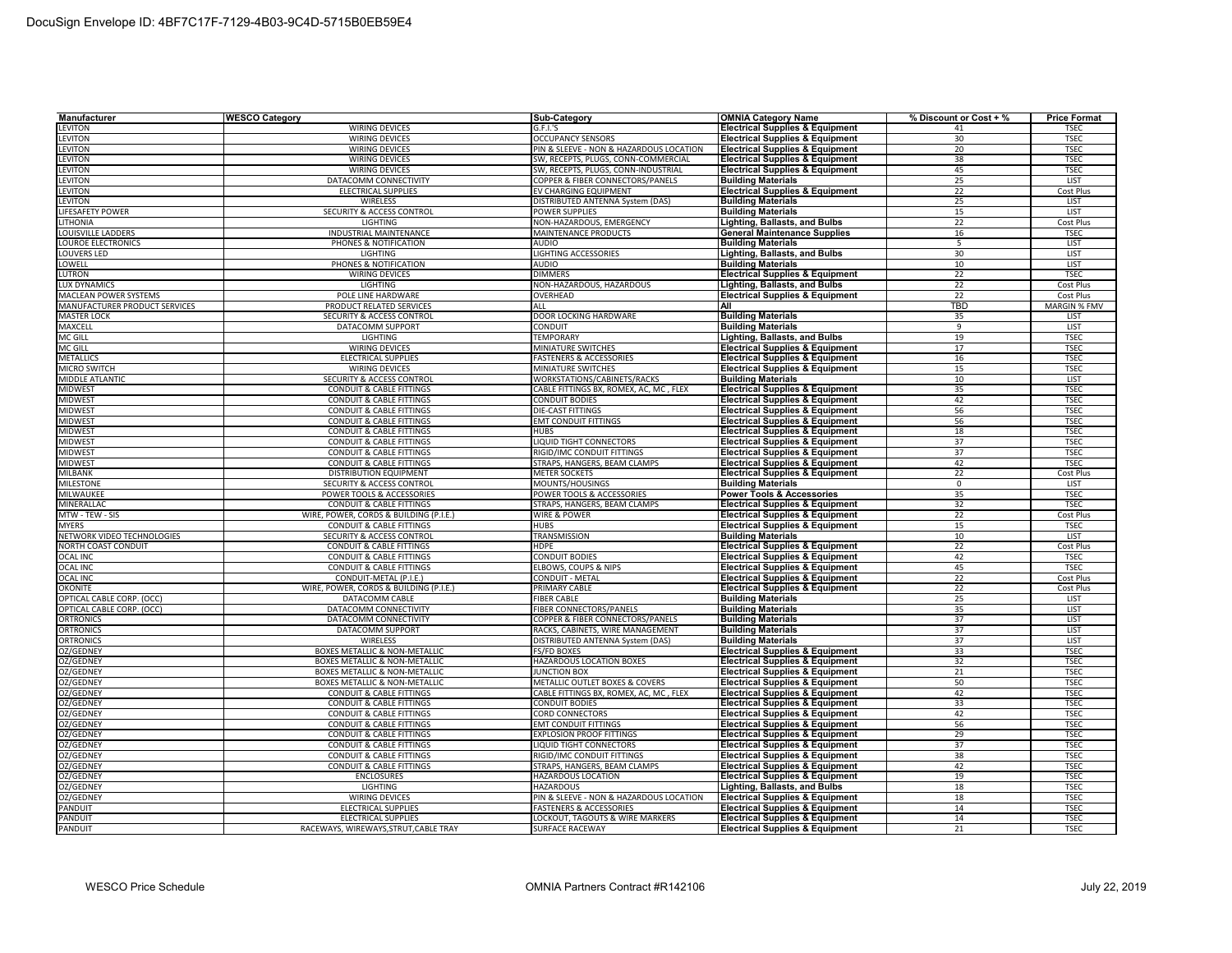| <b>Manufacturer</b>              | <b>WESCO Category</b>                                                      | Sub-Category                                               | <b>OMNIA Category Name</b>                                                               | % Discount or Cost + % | <b>Price Format</b>        |
|----------------------------------|----------------------------------------------------------------------------|------------------------------------------------------------|------------------------------------------------------------------------------------------|------------------------|----------------------------|
| <b>LEVITON</b>                   | <b>WIRING DEVICES</b>                                                      | G.F.I.'S                                                   | <b>Electrical Supplies &amp; Equipment</b>                                               | 41                     | <b>TSEC</b>                |
| <b>EVITON</b>                    | <b>WIRING DEVICES</b>                                                      | <b>OCCUPANCY SENSORS</b>                                   | <b>Electrical Supplies &amp; Equipment</b>                                               | 30                     | <b>TSEC</b>                |
| LEVITON                          | <b>WIRING DEVICES</b>                                                      | PIN & SLEEVE - NON & HAZARDOUS LOCATION                    | <b>Electrical Supplies &amp; Equipment</b>                                               | 20                     | <b>TSEC</b>                |
| LEVITON                          | <b>WIRING DEVICES</b>                                                      | SW, RECEPTS, PLUGS, CONN-COMMERCIAL                        | <b>Electrical Supplies &amp; Equipment</b>                                               | 38                     | <b>TSEC</b>                |
| LEVITON                          | WIRING DEVICES                                                             | SW, RECEPTS, PLUGS, CONN-INDUSTRIAL                        | <b>Electrical Supplies &amp; Equipment</b>                                               | 45                     | <b>TSEC</b>                |
| LEVITON                          | DATACOMM CONNECTIVITY                                                      | COPPER & FIBER CONNECTORS/PANELS                           | <b>Building Materials</b>                                                                | 25                     | <b>LIST</b>                |
| LEVITON                          | <b>ELECTRICAL SUPPLIES</b>                                                 | EV CHARGING EQUIPMENT                                      | <b>Electrical Supplies &amp; Equipment</b>                                               | 22                     | <b>Cost Plus</b>           |
| <b>EVITON</b>                    | WIRELESS                                                                   | DISTRIBUTED ANTENNA System (DAS)                           | <b>Building Materials</b>                                                                | 25                     | <b>LIST</b>                |
| <b>IFESAFETY POWER</b>           | SECURITY & ACCESS CONTROL                                                  | POWER SUPPLIES                                             | <b>Building Materials</b>                                                                | 15                     | LIST                       |
| <b>ITHONIA</b>                   | <b>LIGHTING</b>                                                            | NON-HAZARDOUS, EMERGENCY                                   | Lighting, Ballasts, and Bulbs                                                            | 22                     | <b>Cost Plus</b>           |
| LOUISVILLE LADDERS               | <b>INDUSTRIAL MAINTENANCE</b>                                              | MAINTENANCE PRODUCTS                                       | <b>General Maintenance Supplies</b>                                                      | 16                     | <b>TSEC</b>                |
| LOUROE ELECTRONICS               | PHONES & NOTIFICATION                                                      | <b>AUDIO</b>                                               | <b>Building Materials</b>                                                                | -5                     | <b>LIST</b>                |
| LOUVERS LED                      | LIGHTING                                                                   | LIGHTING ACCESSORIES                                       | Lighting, Ballasts, and Bulbs                                                            | 30                     | LIST                       |
| LOWELL                           | PHONES & NOTIFICATION                                                      | AUDIO                                                      | <b>Building Materials</b>                                                                | 10                     | LIST                       |
| <b>LUTRON</b>                    | WIRING DEVICES                                                             | <b>DIMMERS</b>                                             | <b>Electrical Supplies &amp; Equipment</b>                                               | 22                     | <b>TSEC</b>                |
| LUX DYNAMICS                     | <b>LIGHTING</b>                                                            | NON-HAZARDOUS, HAZARDOUS                                   | <b>Lighting, Ballasts, and Bulbs</b>                                                     | 22                     | <b>Cost Plus</b>           |
| <b>MACLEAN POWER SYSTEMS</b>     | POLE LINE HARDWARE                                                         | OVERHEAD                                                   | <b>Electrical Supplies &amp; Equipment</b>                                               | 22                     | Cost Plus                  |
| MANUFACTURER PRODUCT SERVICES    | PRODUCT RELATED SERVICES                                                   | ALL                                                        | All                                                                                      | TBD                    | <b>MARGIN % FMV</b>        |
| <b>MASTER LOCK</b>               | <b>SECURITY &amp; ACCESS CONTROL</b>                                       | DOOR LOCKING HARDWARE                                      | <b>Building Materials</b>                                                                | 35                     | LIST                       |
| MAXCELL                          | DATACOMM SUPPORT                                                           | CONDUIT                                                    | <b>Building Materials</b>                                                                | 9                      | <b>LIST</b>                |
| <b>MC GILL</b>                   | <b>LIGHTING</b>                                                            | <b>TEMPORARY</b>                                           | Lighting, Ballasts, and Bulbs                                                            | 19                     | <b>TSEC</b>                |
| MC GILL                          | <b>WIRING DEVICES</b>                                                      | <b>MINIATURE SWITCHES</b>                                  | <b>Electrical Supplies &amp; Equipment</b>                                               | 17                     | <b>TSEC</b>                |
| <b>METALLICS</b>                 | <b>ELECTRICAL SUPPLIES</b>                                                 | <b>FASTENERS &amp; ACCESSORIES</b>                         | <b>Electrical Supplies &amp; Equipment</b>                                               | 16                     | <b>TSEC</b>                |
| <b>MICRO SWITCH</b>              | <b>WIRING DEVICES</b>                                                      | <b>MINIATURE SWITCHES</b>                                  | <b>Electrical Supplies &amp; Equipment</b>                                               | 15                     | <b>TSEC</b>                |
| <b>MIDDLE ATLANTIC</b>           | SECURITY & ACCESS CONTROL                                                  | WORKSTATIONS/CABINETS/RACKS                                | <b>Building Materials</b>                                                                | 10                     | <b>LIST</b>                |
| <b>MIDWEST</b><br><b>MIDWEST</b> | <b>CONDUIT &amp; CABLE FITTINGS</b><br><b>CONDUIT &amp; CABLE FITTINGS</b> | CABLE FITTINGS BX, ROMEX, AC, MC, FLEX<br>CONDUIT BODIES   | <b>Electrical Supplies &amp; Equipment</b>                                               | 35                     | <b>TSEC</b>                |
| <b>MIDWEST</b>                   | <b>CONDUIT &amp; CABLE FITTINGS</b>                                        | <b>DIE-CAST FITTINGS</b>                                   | <b>Electrical Supplies &amp; Equipment</b><br><b>Electrical Supplies &amp; Equipment</b> | 42                     | <b>TSEC</b><br><b>TSEC</b> |
|                                  |                                                                            |                                                            |                                                                                          | 56                     | <b>TSEC</b>                |
| <b>MIDWEST</b>                   | <b>CONDUIT &amp; CABLE FITTINGS</b><br><b>CONDUIT &amp; CABLE FITTINGS</b> | <b>EMT CONDUIT FITTINGS</b><br><b>HUBS</b>                 | <b>Electrical Supplies &amp; Equipment</b>                                               | 56                     |                            |
| <b>MIDWEST</b><br><b>MIDWEST</b> | <b>CONDUIT &amp; CABLE FITTINGS</b>                                        | LIQUID TIGHT CONNECTORS                                    | <b>Electrical Supplies &amp; Equipment</b><br><b>Electrical Supplies &amp; Equipment</b> | 18<br>37               | <b>TSEC</b><br><b>TSEC</b> |
|                                  | <b>CONDUIT &amp; CABLE FITTINGS</b>                                        |                                                            |                                                                                          | 37                     | <b>TSEC</b>                |
| <b>MIDWEST</b><br><b>MIDWEST</b> | <b>CONDUIT &amp; CABLE FITTINGS</b>                                        | RIGID/IMC CONDUIT FITTINGS<br>STRAPS, HANGERS, BEAM CLAMPS | <b>Electrical Supplies &amp; Equipment</b><br><b>Electrical Supplies &amp; Equipment</b> | 42                     | <b>TSEC</b>                |
| MILBANK                          | <b>DISTRIBUTION EQUIPMENT</b>                                              | <b>METER SOCKETS</b>                                       | <b>Electrical Supplies &amp; Equipment</b>                                               | 22                     | Cost Plus                  |
| <b>MILESTONE</b>                 | SECURITY & ACCESS CONTROL                                                  | MOUNTS/HOUSINGS                                            | <b>Building Materials</b>                                                                | $^{\circ}$             | <b>LIST</b>                |
| MILWAUKEE                        | POWER TOOLS & ACCESSORIES                                                  | POWER TOOLS & ACCESSORIES                                  | <b>Power Tools &amp; Accessories</b>                                                     | 35                     | <b>TSEC</b>                |
| MINERALLAC                       | <b>CONDUIT &amp; CABLE FITTINGS</b>                                        | STRAPS, HANGERS, BEAM CLAMPS                               | <b>Electrical Supplies &amp; Equipment</b>                                               | 32                     | <b>TSEC</b>                |
| MTW - TEW - SIS                  | WIRE, POWER, CORDS & BUILDING (P.I.E.)                                     | WIRE & POWER                                               | <b>Electrical Supplies &amp; Equipment</b>                                               | 22                     | <b>Cost Plus</b>           |
| <b>MYERS</b>                     | <b>CONDUIT &amp; CABLE FITTINGS</b>                                        | HUBS                                                       | <b>Electrical Supplies &amp; Equipment</b>                                               | 15                     | <b>TSEC</b>                |
| NETWORK VIDEO TECHNOLOGIES       | <b>SECURITY &amp; ACCESS CONTROL</b>                                       | TRANSMISSION                                               | <b>Building Materials</b>                                                                | 10                     | <b>LIST</b>                |
| NORTH COAST CONDUIT              | <b>CONDUIT &amp; CABLE FITTINGS</b>                                        | HDPE                                                       | <b>Electrical Supplies &amp; Equipment</b>                                               | 22                     | <b>Cost Plus</b>           |
| <b>OCAL INC</b>                  | <b>CONDUIT &amp; CABLE FITTINGS</b>                                        | <b>CONDUIT BODIES</b>                                      | <b>Electrical Supplies &amp; Equipment</b>                                               | 42                     | <b>TSEC</b>                |
| <b>OCAL INC</b>                  | <b>CONDUIT &amp; CABLE FITTINGS</b>                                        | ELBOWS, COUPS & NIPS                                       | <b>Electrical Supplies &amp; Equipment</b>                                               | 45                     | <b>TSEC</b>                |
| <b>OCAL INC</b>                  | CONDUIT-METAL (P.I.E.)                                                     | CONDUIT - METAL                                            | <b>Electrical Supplies &amp; Equipment</b>                                               | 22                     | <b>Cost Plus</b>           |
| <b>OKONITE</b>                   | WIRE, POWER, CORDS & BUILDING (P.I.E.)                                     | PRIMARY CABLE                                              | <b>Electrical Supplies &amp; Equipment</b>                                               | 22                     | Cost Plus                  |
| OPTICAL CABLE CORP. (OCC)        | DATACOMM CABLE                                                             | <b>FIBER CABLE</b>                                         | <b>Building Materials</b>                                                                | 25                     | <b>LIST</b>                |
| OPTICAL CABLE CORP. (OCC)        | DATACOMM CONNECTIVITY                                                      | <b>FIBER CONNECTORS/PANELS</b>                             | <b>Building Materials</b>                                                                | 35                     | LIST                       |
| <b>ORTRONICS</b>                 | DATACOMM CONNECTIVITY                                                      | COPPER & FIBER CONNECTORS/PANELS                           | <b>Building Materials</b>                                                                | 37                     | LIST                       |
| <b>ORTRONICS</b>                 | DATACOMM SUPPORT                                                           | RACKS, CABINETS, WIRE MANAGEMENT                           | <b>Building Materials</b>                                                                | 37                     | LIST                       |
| <b>ORTRONICS</b>                 | WIRELESS                                                                   | DISTRIBUTED ANTENNA System (DAS)                           | <b>Building Materials</b>                                                                | 37                     | LIST                       |
| OZ/GEDNEY                        | <b>BOXES METALLIC &amp; NON-METALLIC</b>                                   | <b>FS/FD BOXES</b>                                         | <b>Electrical Supplies &amp; Equipment</b>                                               | 33                     | <b>TSEC</b>                |
| OZ/GEDNEY                        | BOXES METALLIC & NON-METALLIC                                              | HAZARDOUS LOCATION BOXES                                   | <b>Electrical Supplies &amp; Equipment</b>                                               | 32                     | <b>TSEC</b>                |
| OZ/GEDNEY                        | BOXES METALLIC & NON-METALLIC                                              | JUNCTION BOX                                               | <b>Electrical Supplies &amp; Equipment</b>                                               | 21                     | <b>TSEC</b>                |
| OZ/GEDNEY                        | <b>BOXES METALLIC &amp; NON-METALLIC</b>                                   | METALLIC OUTLET BOXES & COVERS                             | <b>Electrical Supplies &amp; Equipment</b>                                               | 50                     | <b>TSEC</b>                |
| OZ/GEDNEY                        | <b>CONDUIT &amp; CABLE FITTINGS</b>                                        | CABLE FITTINGS BX, ROMEX, AC, MC, FLEX                     | <b>Electrical Supplies &amp; Equipment</b>                                               | 42                     | <b>TSEC</b>                |
| OZ/GEDNEY                        | <b>CONDUIT &amp; CABLE FITTINGS</b>                                        | <b>CONDUIT BODIES</b>                                      | <b>Electrical Supplies &amp; Equipment</b>                                               | 33                     | <b>TSEC</b>                |
| OZ/GEDNEY                        | <b>CONDUIT &amp; CABLE FITTINGS</b>                                        | <b>CORD CONNECTORS</b>                                     | <b>Electrical Supplies &amp; Equipment</b>                                               | 42                     | <b>TSEC</b>                |
| OZ/GEDNEY                        | <b>CONDUIT &amp; CABLE FITTINGS</b>                                        | <b>EMT CONDUIT FITTINGS</b>                                | <b>Electrical Supplies &amp; Equipment</b>                                               | 56                     | <b>TSEC</b>                |
| OZ/GEDNEY                        | <b>CONDUIT &amp; CABLE FITTINGS</b>                                        | <b>EXPLOSION PROOF FITTINGS</b>                            | <b>Electrical Supplies &amp; Equipment</b>                                               | 29                     | <b>TSEC</b>                |
| OZ/GEDNEY                        | <b>CONDUIT &amp; CABLE FITTINGS</b>                                        | LIQUID TIGHT CONNECTORS                                    | <b>Electrical Supplies &amp; Equipment</b>                                               | 37                     | <b>TSEC</b>                |
| OZ/GEDNEY                        | <b>CONDUIT &amp; CABLE FITTINGS</b>                                        | RIGID/IMC CONDUIT FITTINGS                                 | <b>Electrical Supplies &amp; Equipment</b>                                               | 38                     | <b>TSEC</b>                |
| OZ/GEDNEY                        | <b>CONDUIT &amp; CABLE FITTINGS</b>                                        | STRAPS, HANGERS, BEAM CLAMPS                               | <b>Electrical Supplies &amp; Equipment</b>                                               | 42                     | <b>TSEC</b>                |
| OZ/GEDNEY                        | <b>ENCLOSURES</b>                                                          | HAZARDOUS LOCATION                                         | <b>Electrical Supplies &amp; Equipment</b>                                               | 19                     | <b>TSEC</b>                |
| OZ/GEDNEY                        | <b>LIGHTING</b>                                                            | <b>HAZARDOUS</b>                                           | <b>Lighting, Ballasts, and Bulbs</b>                                                     | 18                     | <b>TSEC</b>                |
| OZ/GEDNEY                        | <b>WIRING DEVICES</b>                                                      | PIN & SLEEVE - NON & HAZARDOUS LOCATION                    | <b>Electrical Supplies &amp; Equipment</b>                                               | 18                     | <b>TSEC</b>                |
| PANDUIT                          | <b>ELECTRICAL SUPPLIES</b>                                                 | <b>FASTENERS &amp; ACCESSORIES</b>                         | <b>Electrical Supplies &amp; Equipment</b>                                               | 14                     | <b>TSEC</b>                |
| PANDUIT                          | ELECTRICAL SUPPLIES                                                        | LOCKOUT, TAGOUTS & WIRE MARKERS                            | <b>Electrical Supplies &amp; Equipment</b>                                               | 14                     | <b>TSEC</b>                |
| PANDUIT                          | RACEWAYS, WIREWAYS, STRUT, CABLE TRAY                                      | <b>SURFACE RACEWAY</b>                                     | <b>Electrical Supplies &amp; Equipment</b>                                               | 21                     | <b>TSEC</b>                |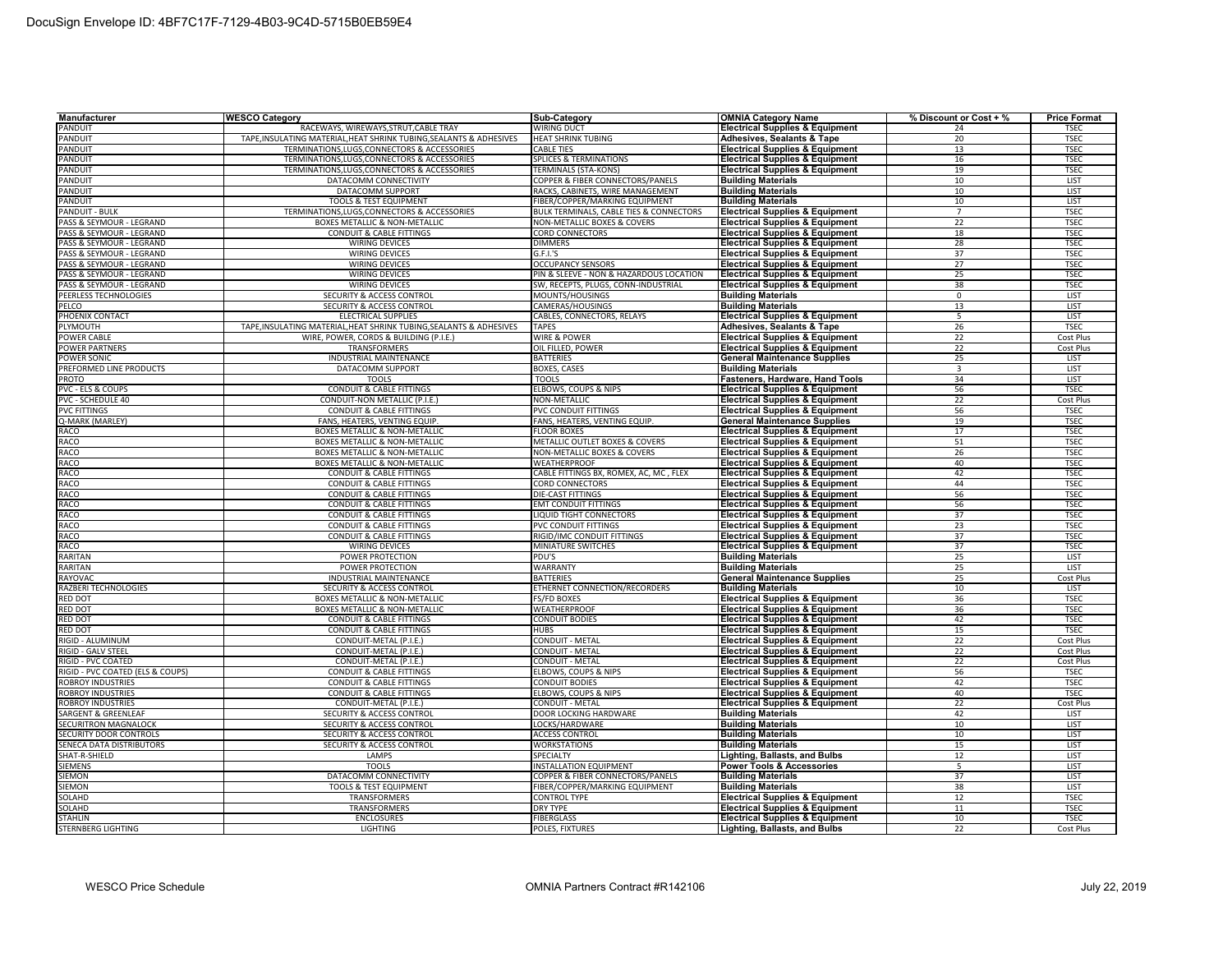| <b>Manufacturer</b>              | <b>WESCO Category</b>                                               | Sub-Category                            | <b>OMNIA Category Name</b>                 | % Discount or Cost + % | <b>Price Format</b> |
|----------------------------------|---------------------------------------------------------------------|-----------------------------------------|--------------------------------------------|------------------------|---------------------|
| PANDUIT                          | RACEWAYS, WIREWAYS, STRUT, CABLE TRAY                               | WIRING DUCT                             | <b>Electrical Supplies &amp; Equipment</b> | 24                     | <b>TSEC</b>         |
| PANDUIT                          | TAPE, INSULATING MATERIAL, HEAT SHRINK TUBING, SEALANTS & ADHESIVES | <b>HEAT SHRINK TUBING</b>               | <b>Adhesives, Sealants &amp; Tape</b>      | 20                     | <b>TSEC</b>         |
| PANDUIT                          | TERMINATIONS, LUGS, CONNECTORS & ACCESSORIES                        | <b>CABLE TIES</b>                       | <b>Electrical Supplies &amp; Equipment</b> | 13                     | <b>TSEC</b>         |
| PANDUIT                          | TERMINATIONS.LUGS.CONNECTORS & ACCESSORIES                          | <b>SPLICES &amp; TERMINATIONS</b>       | <b>Electrical Supplies &amp; Equipment</b> | 16                     | <b>TSEC</b>         |
| PANDUIT                          | TERMINATIONS, LUGS, CONNECTORS & ACCESSORIES                        | TERMINALS (STA-KONS)                    | <b>Electrical Supplies &amp; Equipment</b> | 19                     | <b>TSEC</b>         |
| PANDUIT                          | DATACOMM CONNECTIVITY                                               | COPPER & FIBER CONNECTORS/PANELS        | <b>Building Materials</b>                  | 10                     | LIST                |
| PANDUIT                          | DATACOMM SUPPORT                                                    | RACKS, CABINETS, WIRE MANAGEMENT        | <b>Building Materials</b>                  | 10                     | LIST                |
| PANDUIT                          | <b>TOOLS &amp; TEST EQUIPMENT</b>                                   | FIBER/COPPER/MARKING EQUIPMENT          | <b>Building Materials</b>                  | 10                     | <b>LIST</b>         |
| PANDUIT - BULK                   | TERMINATIONS, LUGS, CONNECTORS & ACCESSORIES                        | BULK TERMINALS, CABLE TIES & CONNECTORS | <b>Electrical Supplies &amp; Equipment</b> | $\overline{7}$         | <b>TSEC</b>         |
| PASS & SEYMOUR - LEGRAND         | BOXES METALLIC & NON-METALLIC                                       | NON-METALLIC BOXES & COVERS             | <b>Electrical Supplies &amp; Equipment</b> | 22                     | <b>TSEC</b>         |
| PASS & SEYMOUR - LEGRAND         | <b>CONDUIT &amp; CABLE FITTINGS</b>                                 | <b>CORD CONNECTORS</b>                  | <b>Electrical Supplies &amp; Equipment</b> | 18                     | <b>TSEC</b>         |
| PASS & SEYMOUR - LEGRAND         | <b>WIRING DEVICES</b>                                               | <b>DIMMERS</b>                          | <b>Electrical Supplies &amp; Equipment</b> | 28                     | <b>TSEC</b>         |
| PASS & SEYMOUR - LEGRAND         | <b>WIRING DEVICES</b>                                               | G.F.I.'S                                | <b>Electrical Supplies &amp; Equipment</b> | 37                     | <b>TSEC</b>         |
| PASS & SEYMOUR - LEGRAND         | WIRING DEVICES                                                      | <b>OCCUPANCY SENSORS</b>                | <b>Electrical Supplies &amp; Equipment</b> | 27                     | <b>TSEC</b>         |
| PASS & SEYMOUR - LEGRAND         | <b>WIRING DEVICES</b>                                               | PIN & SLEEVE - NON & HAZARDOUS LOCATION | <b>Electrical Supplies &amp; Equipment</b> | 25                     | <b>TSEC</b>         |
| PASS & SEYMOUR - LEGRAND         | <b>WIRING DEVICES</b>                                               | SW, RECEPTS, PLUGS, CONN-INDUSTRIAL     | <b>Electrical Supplies &amp; Equipment</b> | 38                     | <b>TSEC</b>         |
| PEERLESS TECHNOLOGIES            | <b>SECURITY &amp; ACCESS CONTROL</b>                                | MOUNTS/HOUSINGS                         | <b>Building Materials</b>                  | $\mathsf 0$            | LIST                |
| PELCO                            | <b>SECURITY &amp; ACCESS CONTROL</b>                                | CAMERAS/HOUSINGS                        | <b>Building Materials</b>                  | 13                     | <b>LIST</b>         |
| PHOENIX CONTACT                  | <b>ELECTRICAL SUPPLIES</b>                                          | CABLES, CONNECTORS, RELAYS              | <b>Electrical Supplies &amp; Equipment</b> | 5                      | LIST                |
| PLYMOUTH                         | TAPE, INSULATING MATERIAL, HEAT SHRINK TUBING, SEALANTS & ADHESIVES | <b>TAPES</b>                            | <b>Adhesives, Sealants &amp; Tape</b>      | 26                     | <b>TSEC</b>         |
| POWER CABLE                      |                                                                     | WIRE & POWER                            |                                            | 22                     |                     |
|                                  | WIRE, POWER, CORDS & BUILDING (P.I.E.)                              |                                         | <b>Electrical Supplies &amp; Equipment</b> |                        | Cost Plus           |
| <b>POWER PARTNERS</b>            | TRANSFORMERS                                                        | OIL FILLED, POWER                       | <b>Electrical Supplies &amp; Equipment</b> | 22                     | Cost Plus           |
| POWER SONIC                      | <b>INDUSTRIAL MAINTENANCE</b>                                       | <b>BATTERIES</b>                        | <b>General Maintenance Supplies</b>        | 25                     | LIST                |
| PREFORMED LINE PRODUCTS          | DATACOMM SUPPORT                                                    | <b>BOXES, CASES</b>                     | <b>Building Materials</b>                  | 3                      | <b>LIST</b>         |
| PROTO                            | <b>TOOLS</b>                                                        | <b>TOOLS</b>                            | Fasteners, Hardware, Hand Tools            | 34                     | <b>LIST</b>         |
| PVC - ELS & COUPS                | <b>CONDUIT &amp; CABLE FITTINGS</b>                                 | ELBOWS, COUPS & NIPS                    | <b>Electrical Supplies &amp; Equipment</b> | 56                     | <b>TSEC</b>         |
| PVC - SCHEDULE 40                | CONDUIT-NON METALLIC (P.I.E.)                                       | NON-METALLIC                            | <b>Electrical Supplies &amp; Equipment</b> | 22                     | <b>Cost Plus</b>    |
| <b>PVC FITTINGS</b>              | <b>CONDUIT &amp; CABLE FITTINGS</b>                                 | PVC CONDUIT FITTINGS                    | <b>Electrical Supplies &amp; Equipment</b> | 56                     | <b>TSEC</b>         |
| Q-MARK (MARLEY)                  | FANS, HEATERS, VENTING EQUIP.                                       | FANS, HEATERS, VENTING EQUIP.           | <b>General Maintenance Supplies</b>        | 19                     | <b>TSEC</b>         |
| RACO                             | <b>BOXES METALLIC &amp; NON-METALLIC</b>                            | <b>FLOOR BOXES</b>                      | <b>Electrical Supplies &amp; Equipment</b> | 17                     | <b>TSEC</b>         |
| RACO                             | BOXES METALLIC & NON-METALLIC                                       | METALLIC OUTLET BOXES & COVERS          | <b>Electrical Supplies &amp; Equipment</b> | 51                     | <b>TSEC</b>         |
| <b>RACO</b>                      | BOXES METALLIC & NON-METALLIC                                       | NON-METALLIC BOXES & COVERS             | <b>Electrical Supplies &amp; Equipment</b> | 26                     | <b>TSEC</b>         |
| <b>RACO</b>                      | BOXES METALLIC & NON-METALLIC                                       | <b>WEATHERPROOF</b>                     | <b>Electrical Supplies &amp; Equipment</b> | 40                     | <b>TSEC</b>         |
| <b>RACO</b>                      | <b>CONDUIT &amp; CABLE FITTINGS</b>                                 | CABLE FITTINGS BX, ROMEX, AC, MC, FLEX  | <b>Electrical Supplies &amp; Equipment</b> | 42                     | <b>TSEC</b>         |
| RACO                             | <b>CONDUIT &amp; CABLE FITTINGS</b>                                 | <b>CORD CONNECTORS</b>                  | <b>Electrical Supplies &amp; Equipment</b> | 44                     | <b>TSEC</b>         |
| RACO                             | <b>CONDUIT &amp; CABLE FITTINGS</b>                                 | DIE-CAST FITTINGS                       | <b>Electrical Supplies &amp; Equipment</b> | 56                     | <b>TSEC</b>         |
| <b>RACO</b>                      | <b>CONDUIT &amp; CABLE FITTINGS</b>                                 | <b>EMT CONDUIT FITTINGS</b>             | <b>Electrical Supplies &amp; Equipment</b> | 56                     | <b>TSEC</b>         |
| RACO                             | <b>CONDUIT &amp; CABLE FITTINGS</b>                                 | LIQUID TIGHT CONNECTORS                 | <b>Electrical Supplies &amp; Equipment</b> | 37                     | <b>TSEC</b>         |
| RACO                             | <b>CONDUIT &amp; CABLE FITTINGS</b>                                 | PVC CONDUIT FITTINGS                    | <b>Electrical Supplies &amp; Equipment</b> | 23                     | <b>TSEC</b>         |
| RACO                             | <b>CONDUIT &amp; CABLE FITTINGS</b>                                 | RIGID/IMC CONDUIT FITTINGS              | <b>Electrical Supplies &amp; Equipment</b> | 37                     | <b>TSEC</b>         |
| RACO                             | <b>WIRING DEVICES</b>                                               | MINIATURE SWITCHES                      | <b>Electrical Supplies &amp; Equipment</b> | 37                     | <b>TSEC</b>         |
| RARITAN                          | <b>POWER PROTECTION</b>                                             | PDU'S                                   | <b>Building Materials</b>                  | 25                     | LIST                |
| RARITAN                          | POWER PROTECTION                                                    | WARRANTY                                | <b>Building Materials</b>                  | 25                     | LIST                |
| RAYOVAC                          | <b>INDUSTRIAL MAINTENANCE</b>                                       | <b>BATTERIES</b>                        | <b>General Maintenance Supplies</b>        | 25                     | <b>Cost Plus</b>    |
| RAZBERI TECHNOLOGIES             | SECURITY & ACCESS CONTROL                                           | ETHERNET CONNECTION/RECORDERS           | <b>Building Materials</b>                  | 10                     | <b>LIST</b>         |
| RED DOT                          | BOXES METALLIC & NON-METALLIC                                       | <b>FS/FD BOXES</b>                      | <b>Electrical Supplies &amp; Equipment</b> | 36                     | <b>TSEC</b>         |
| <b>RED DOT</b>                   | BOXES METALLIC & NON-METALLIC                                       | <b>WEATHERPROOF</b>                     | <b>Electrical Supplies &amp; Equipment</b> | 36                     | <b>TSEC</b>         |
| <b>RED DOT</b>                   | <b>CONDUIT &amp; CABLE FITTINGS</b>                                 | <b>CONDUIT BODIES</b>                   | <b>Electrical Supplies &amp; Equipment</b> | 42                     | <b>TSEC</b>         |
| RED DOT                          | <b>CONDUIT &amp; CABLE FITTINGS</b>                                 | <b>HUBS</b>                             | <b>Electrical Supplies &amp; Equipment</b> | 15                     | <b>TSEC</b>         |
| RIGID - ALUMINUM                 | CONDUIT-METAL (P.I.E.)                                              | CONDUIT - METAL                         | <b>Electrical Supplies &amp; Equipment</b> | 22                     | <b>Cost Plus</b>    |
| RIGID - GALV STEEL               | CONDUIT-METAL (P.I.E.)                                              | CONDUIT - METAL                         | <b>Electrical Supplies &amp; Equipment</b> | 22                     | <b>Cost Plus</b>    |
| RIGID - PVC COATED               | CONDUIT-METAL (P.I.E.)                                              | <b>CONDUIT - METAL</b>                  | <b>Electrical Supplies &amp; Equipment</b> | 22                     | Cost Plus           |
| RIGID - PVC COATED (ELS & COUPS) | <b>CONDUIT &amp; CABLE FITTINGS</b>                                 | ELBOWS, COUPS & NIPS                    | <b>Electrical Supplies &amp; Equipment</b> | 56                     | <b>TSEC</b>         |
| <b>ROBROY INDUSTRIES</b>         | CONDUIT & CABLE FITTINGS                                            | CONDUIT BODIES                          | <b>Electrical Supplies &amp; Equipment</b> | 42                     | <b>TSEC</b>         |
| ROBROY INDUSTRIES                | <b>CONDUIT &amp; CABLE FITTINGS</b>                                 | ELBOWS, COUPS & NIPS                    | <b>Electrical Supplies &amp; Equipment</b> | 40                     | <b>TSEC</b>         |
| <b>ROBROY INDUSTRIES</b>         | CONDUIT-METAL (P.I.E.)                                              | <b>CONDUIT - METAL</b>                  | <b>Electrical Supplies &amp; Equipment</b> | 22                     | <b>Cost Plus</b>    |
| <b>SARGENT &amp; GREENLEAF</b>   | <b>SECURITY &amp; ACCESS CONTROL</b>                                | <b>DOOR LOCKING HARDWARE</b>            | <b>Building Materials</b>                  | 42                     | LIST                |
| SECURITRON MAGNALOCK             | SECURITY & ACCESS CONTROL                                           | LOCKS/HARDWARE                          | <b>Building Materials</b>                  | 10                     | LIST                |
| <b>SECURITY DOOR CONTROLS</b>    | SECURITY & ACCESS CONTROL                                           | <b>ACCESS CONTROL</b>                   | <b>Building Materials</b>                  | 10                     | LIST                |
| SENECA DATA DISTRIBUTORS         | SECURITY & ACCESS CONTROL                                           | <b>WORKSTATIONS</b>                     | <b>Building Materials</b>                  | 15                     | LIST                |
| SHAT-R-SHIELD                    | LAMPS                                                               | SPECIALTY                               | <b>Lighting, Ballasts, and Bulbs</b>       | 12                     | LIST                |
| <b>SIEMENS</b>                   | <b>TOOLS</b>                                                        | <b>INSTALLATION EQUIPMENT</b>           | <b>Power Tools &amp; Accessories</b>       | 5                      | LIST                |
| <b>IEMON</b>                     | DATACOMM CONNECTIVITY                                               | COPPER & FIBER CONNECTORS/PANELS        | <b>Building Materials</b>                  | 37                     | LIST                |
| <b>IEMON</b>                     | TOOLS & TEST EQUIPMENT                                              | FIBER/COPPER/MARKING EQUIPMENT          | <b>Building Materials</b>                  | 38                     | LIST                |
| OLAHD                            | <b>TRANSFORMERS</b>                                                 | <b>CONTROL TYPE</b>                     | <b>Electrical Supplies &amp; Equipment</b> | 12                     | <b>TSEC</b>         |
| OLAHD                            | TRANSFORMERS                                                        | <b>DRY TYPE</b>                         | <b>Electrical Supplies &amp; Equipment</b> | 11                     | <b>TSEC</b>         |
| TAHLIN                           | <b>ENCLOSURES</b>                                                   | <b>FIBERGLASS</b>                       | <b>Electrical Supplies &amp; Equipment</b> | 10 <sup>1</sup>        | <b>TSEC</b>         |
| <b>STERNBERG LIGHTING</b>        | <b>LIGHTING</b>                                                     | POLES, FIXTURES                         | <b>Lighting, Ballasts, and Bulbs</b>       | 22                     | <b>Cost Plus</b>    |
|                                  |                                                                     |                                         |                                            |                        |                     |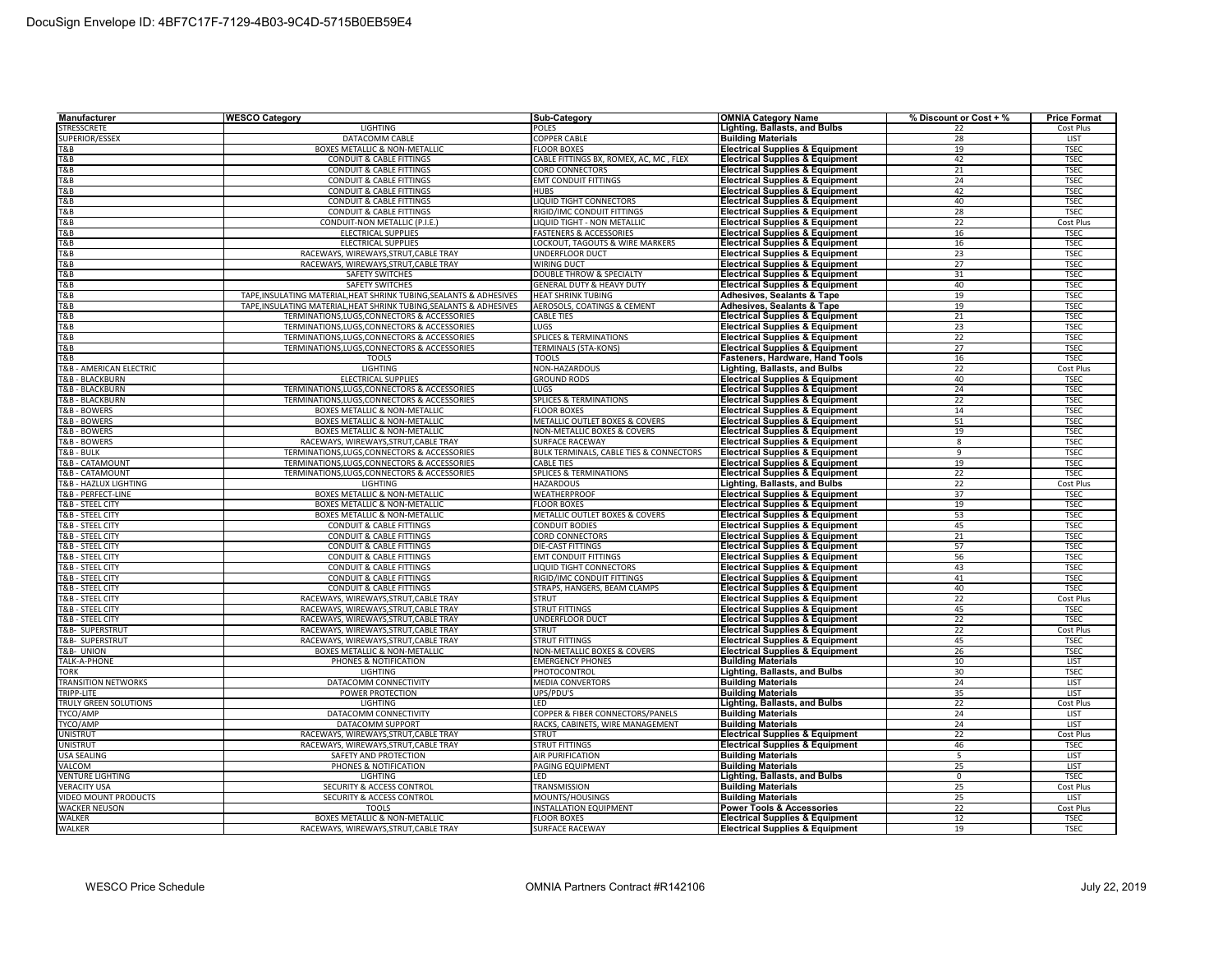| <b>Manufacturer</b>        | <b>WESCO Category</b>                                               | Sub-Category                            | <b>OMNIA Category Name</b>                                                               | % Discount or Cost + %  | <b>Price Format</b>        |
|----------------------------|---------------------------------------------------------------------|-----------------------------------------|------------------------------------------------------------------------------------------|-------------------------|----------------------------|
| <b>STRESSCRETE</b>         | <b>LIGHTING</b>                                                     | <b>POLES</b>                            | Lighting, Ballasts, and Bulbs                                                            | 22                      | <b>Cost Plus</b>           |
| SUPERIOR/ESSEX             | DATACOMM CABLE                                                      | <b>COPPER CABLE</b>                     | <b>Building Materials</b>                                                                | 28                      | <b>LIST</b>                |
| T&B                        | BOXES METALLIC & NON-METALLIC                                       | <b>FLOOR BOXES</b>                      | <b>Electrical Supplies &amp; Equipment</b>                                               | 19                      | <b>TSEC</b>                |
| T&B                        | <b>CONDUIT &amp; CABLE FITTINGS</b>                                 | CABLE FITTINGS BX, ROMEX, AC, MC, FLEX  | <b>Electrical Supplies &amp; Equipment</b>                                               | 42                      | <b>TSEC</b>                |
| T&B                        | <b>CONDUIT &amp; CABLE FITTINGS</b>                                 | <b>CORD CONNECTORS</b>                  | <b>Electrical Supplies &amp; Equipment</b>                                               | 21                      | <b>TSEC</b>                |
| T&B                        | <b>CONDUIT &amp; CABLE FITTINGS</b>                                 | <b>EMT CONDUIT FITTINGS</b>             | <b>Electrical Supplies &amp; Equipment</b>                                               | 24                      | <b>TSEC</b>                |
| T&B                        | <b>CONDUIT &amp; CABLE FITTINGS</b>                                 | <b>HUBS</b>                             | <b>Electrical Supplies &amp; Equipment</b>                                               | 42                      | <b>TSEC</b>                |
| T&B                        | <b>CONDUIT &amp; CABLE FITTINGS</b>                                 | LIQUID TIGHT CONNECTORS                 | <b>Electrical Supplies &amp; Equipment</b>                                               | 40                      | <b>TSEC</b>                |
| T&B                        | <b>CONDUIT &amp; CABLE FITTINGS</b>                                 | RIGID/IMC CONDUIT FITTINGS              | <b>Electrical Supplies &amp; Equipment</b>                                               | 28                      | <b>TSEC</b>                |
| T&B                        | CONDUIT-NON METALLIC (P.I.E.)                                       | LIQUID TIGHT - NON METALLIC             | <b>Electrical Supplies &amp; Equipment</b>                                               | 22                      | <b>Cost Plus</b>           |
| T&B                        |                                                                     | <b>FASTENERS &amp; ACCESSORIES</b>      | <b>Electrical Supplies &amp; Equipment</b>                                               | 16                      |                            |
| T&B                        | <b>ELECTRICAL SUPPLIES</b><br><b>ELECTRICAL SUPPLIES</b>            | LOCKOUT, TAGOUTS & WIRE MARKERS         |                                                                                          |                         | <b>TSEC</b><br><b>TSEC</b> |
|                            |                                                                     |                                         | <b>Electrical Supplies &amp; Equipment</b>                                               | 16                      |                            |
| T&B                        | RACEWAYS, WIREWAYS, STRUT, CABLE TRAY                               | UNDERFLOOR DUCT                         | <b>Electrical Supplies &amp; Equipment</b>                                               | 23                      | <b>TSEC</b>                |
| T&B                        | RACEWAYS, WIREWAYS, STRUT, CABLE TRAY                               | <b>WIRING DUCT</b>                      | <b>Electrical Supplies &amp; Equipment</b>                                               | 27                      | <b>TSEC</b>                |
| T&B                        | <b>SAFETY SWITCHES</b>                                              | <b>DOUBLE THROW &amp; SPECIALTY</b>     | <b>Electrical Supplies &amp; Equipment</b>                                               | 31                      | <b>TSEC</b>                |
| T&B                        | <b>SAFETY SWITCHES</b>                                              | GENERAL DUTY & HEAVY DUTY               | <b>Electrical Supplies &amp; Equipment</b>                                               | 40                      | <b>TSEC</b>                |
| T&B                        | TAPE, INSULATING MATERIAL, HEAT SHRINK TUBING, SEALANTS & ADHESIVES | <b>HEAT SHRINK TUBING</b>               | <b>Adhesives, Sealants &amp; Tape</b>                                                    | 19                      | <b>TSEC</b>                |
| T&B                        | TAPE, INSULATING MATERIAL, HEAT SHRINK TUBING, SEALANTS & ADHESIVES | AEROSOLS, COATINGS & CEMENT             | <b>Adhesives, Sealants &amp; Tape</b>                                                    | 19                      | <b>TSEC</b>                |
| T&B                        | TERMINATIONS, LUGS, CONNECTORS & ACCESSORIES                        | <b>CABLE TIES</b>                       | <b>Electrical Supplies &amp; Equipment</b>                                               | 21                      | <b>TSEC</b>                |
| T&B                        | TERMINATIONS, LUGS, CONNECTORS & ACCESSORIES                        | LUGS                                    | <b>Electrical Supplies &amp; Equipment</b>                                               | 23                      | <b>TSEC</b>                |
| T&B                        | TERMINATIONS, LUGS, CONNECTORS & ACCESSORIES                        | <b>SPLICES &amp; TERMINATIONS</b>       | <b>Electrical Supplies &amp; Equipment</b>                                               | 22                      | <b>TSEC</b>                |
| T&B                        | TERMINATIONS, LUGS, CONNECTORS & ACCESSORIES                        | <b>TERMINALS (STA-KONS)</b>             | <b>Electrical Supplies &amp; Equipment</b>                                               | 27                      | <b>TSEC</b>                |
| T&B                        | <b>TOOLS</b>                                                        | <b>TOOLS</b>                            | <b>Fasteners, Hardware, Hand Tools</b>                                                   | 16                      | <b>TSEC</b>                |
| T&B - AMERICAN ELECTRIC    | <b>LIGHTING</b>                                                     | NON-HAZARDOUS                           | Lighting, Ballasts, and Bulbs                                                            | 22                      | <b>Cost Plus</b>           |
| T&B - BLACKBURN            | <b>ELECTRICAL SUPPLIES</b>                                          | <b>GROUND RODS</b>                      | <b>Electrical Supplies &amp; Equipment</b>                                               | 40                      | <b>TSEC</b>                |
| T&B - BLACKBURN            | TERMINATIONS, LUGS, CONNECTORS & ACCESSORIES                        | LUGS                                    | <b>Electrical Supplies &amp; Equipment</b>                                               | 24                      | <b>TSEC</b>                |
| T&B - BLACKBURN            | TERMINATIONS, LUGS, CONNECTORS & ACCESSORIES                        | <b>SPLICES &amp; TERMINATIONS</b>       | <b>Electrical Supplies &amp; Equipment</b>                                               | 22                      | <b>TSEC</b>                |
| T&B - BOWERS               | <b>BOXES METALLIC &amp; NON-METALLIC</b>                            | <b>FLOOR BOXES</b>                      | <b>Electrical Supplies &amp; Equipment</b>                                               | 14                      | <b>TSEC</b>                |
| T&B - BOWERS               | BOXES METALLIC & NON-METALLIC                                       | METALLIC OUTLET BOXES & COVERS          | <b>Electrical Supplies &amp; Equipment</b>                                               | 51                      | <b>TSEC</b>                |
| T&B - BOWERS               | BOXES METALLIC & NON-METALLIC                                       | NON-METALLIC BOXES & COVERS             | <b>Electrical Supplies &amp; Equipment</b>                                               | 19                      | <b>TSEC</b>                |
| T&B - BOWERS               | RACEWAYS, WIREWAYS, STRUT, CABLE TRAY                               | <b>SURFACE RACEWAY</b>                  | <b>Electrical Supplies &amp; Equipment</b>                                               | $\overline{\mathbf{8}}$ | <b>TSEC</b>                |
| T&B - BULK                 | TERMINATIONS, LUGS, CONNECTORS & ACCESSORIES                        | BULK TERMINALS, CABLE TIES & CONNECTORS | <b>Electrical Supplies &amp; Equipment</b>                                               | 9                       | <b>TSEC</b>                |
| T&B - CATAMOUNT            | TERMINATIONS, LUGS, CONNECTORS & ACCESSORIES                        | CABLE TIES                              | <b>Electrical Supplies &amp; Equipment</b>                                               | 19                      | <b>TSEC</b>                |
| T&B - CATAMOUNT            | TERMINATIONS, LUGS, CONNECTORS & ACCESSORIES                        | <b>SPLICES &amp; TERMINATIONS</b>       | <b>Electrical Supplies &amp; Equipment</b>                                               | 22                      | <b>TSEC</b>                |
| T&B - HAZLUX LIGHTING      | <b>LIGHTING</b>                                                     | <b>HAZARDOUS</b>                        | Lighting, Ballasts, and Bulbs                                                            | 22                      | <b>Cost Plus</b>           |
| T&B - PERFECT-LINE         | BOXES METALLIC & NON-METALLIC                                       | WEATHERPROOF                            | <b>Electrical Supplies &amp; Equipment</b>                                               | 37                      | <b>TSEC</b>                |
| T&B - STEEL CITY           | BOXES METALLIC & NON-METALLIC                                       | <b>FLOOR BOXES</b>                      | <b>Electrical Supplies &amp; Equipment</b>                                               | 19                      | <b>TSEC</b>                |
| T&B - STEEL CITY           | BOXES METALLIC & NON-METALLIC                                       | METALLIC OUTLET BOXES & COVERS          | <b>Electrical Supplies &amp; Equipment</b>                                               | 53                      | <b>TSEC</b>                |
| T&B - STEEL CITY           | <b>CONDUIT &amp; CABLE FITTINGS</b>                                 | CONDUIT BODIES                          | <b>Electrical Supplies &amp; Equipment</b>                                               | 45                      | <b>TSEC</b>                |
| T&B - STEEL CITY           | <b>CONDUIT &amp; CABLE FITTINGS</b>                                 | <b>CORD CONNECTORS</b>                  | <b>Electrical Supplies &amp; Equipment</b>                                               | 21                      | <b>TSEC</b>                |
| T&B - STEEL CITY           | <b>CONDUIT &amp; CABLE FITTINGS</b>                                 | <b>DIE-CAST FITTINGS</b>                | <b>Electrical Supplies &amp; Equipment</b>                                               | 57                      | <b>TSEC</b>                |
| T&B - STEEL CITY           | <b>CONDUIT &amp; CABLE FITTINGS</b>                                 | <b>EMT CONDUIT FITTINGS</b>             | <b>Electrical Supplies &amp; Equipment</b>                                               | 56                      | <b>TSEC</b>                |
| T&B - STEEL CITY           | <b>CONDUIT &amp; CABLE FITTINGS</b>                                 | LIQUID TIGHT CONNECTORS                 | <b>Electrical Supplies &amp; Equipment</b>                                               | 43                      | <b>TSEC</b>                |
| T&B - STEEL CITY           | <b>CONDUIT &amp; CABLE FITTINGS</b>                                 | RIGID/IMC CONDUIT FITTINGS              | <b>Electrical Supplies &amp; Equipment</b>                                               | 41                      | <b>TSEC</b>                |
| T&B - STEEL CITY           | <b>CONDUIT &amp; CABLE FITTINGS</b>                                 | STRAPS, HANGERS, BEAM CLAMPS            |                                                                                          | 40                      | <b>TSEC</b>                |
| T&B - STEEL CITY           | RACEWAYS, WIREWAYS, STRUT, CABLE TRAY                               | <b>STRUT</b>                            | <b>Electrical Supplies &amp; Equipment</b><br><b>Electrical Supplies &amp; Equipment</b> | 22                      | <b>Cost Plus</b>           |
|                            |                                                                     |                                         |                                                                                          |                         |                            |
| T&B - STEEL CITY           | RACEWAYS, WIREWAYS, STRUT, CABLE TRAY                               | <b>STRUT FITTINGS</b>                   | <b>Electrical Supplies &amp; Equipment</b>                                               | 45                      | <b>TSEC</b>                |
| T&B - STEEL CITY           | RACEWAYS, WIREWAYS, STRUT, CABLE TRAY                               | <b>UNDERFLOOR DUCT</b>                  | <b>Electrical Supplies &amp; Equipment</b>                                               | 22                      | <b>TSEC</b>                |
| <b>T&amp;B- SUPERSTRUT</b> | RACEWAYS, WIREWAYS, STRUT, CABLE TRAY                               | <b>STRUT</b>                            | <b>Electrical Supplies &amp; Equipment</b>                                               | 22                      | <b>Cost Plus</b>           |
| <b>T&amp;B- SUPERSTRUT</b> | RACEWAYS, WIREWAYS, STRUT, CABLE TRAY                               | <b>STRUT FITTINGS</b>                   | <b>Electrical Supplies &amp; Equipment</b>                                               | 45                      | <b>TSEC</b>                |
| T&B- UNION                 | BOXES METALLIC & NON-METALLIC                                       | NON-METALLIC BOXES & COVERS             | <b>Electrical Supplies &amp; Equipment</b>                                               | 26                      | <b>TSEC</b>                |
| <b>TALK-A-PHONE</b>        | PHONES & NOTIFICATION                                               | <b>EMERGENCY PHONES</b>                 | <b>Building Materials</b>                                                                | 10                      | <b>LIST</b>                |
| <b>TORK</b>                | <b>LIGHTING</b>                                                     | PHOTOCONTROL                            | <b>Lighting, Ballasts, and Bulbs</b>                                                     | 30                      | <b>TSEC</b>                |
| <b>TRANSITION NETWORKS</b> | DATACOMM CONNECTIVITY                                               | <b>MEDIA CONVERTORS</b>                 | <b>Building Materials</b>                                                                | 24                      | LIST                       |
| TRIPP-LITE                 | <b>POWER PROTECTION</b>                                             | UPS/PDU'S                               | <b>Building Materials</b>                                                                | 35                      | <b>LIST</b>                |
| TRULY GREEN SOLUTIONS      | <b>LIGHTING</b>                                                     | <b>LED</b>                              | Lighting, Ballasts, and Bulbs                                                            | 22                      | Cost Plus                  |
| TYCO/AMP                   | DATACOMM CONNECTIVITY                                               | COPPER & FIBER CONNECTORS/PANELS        | <b>Building Materials</b>                                                                | 24                      | LIST                       |
| TYCO/AMP                   | <b>DATACOMM SUPPORT</b>                                             | RACKS, CABINETS, WIRE MANAGEMENT        | <b>Building Materials</b>                                                                | 24                      | <b>LIST</b>                |
| <b>UNISTRUT</b>            | RACEWAYS, WIREWAYS, STRUT, CABLE TRAY                               | <b>STRUT</b>                            | <b>Electrical Supplies &amp; Equipment</b>                                               | 22                      | Cost Plus                  |
| <b>UNISTRUT</b>            | RACEWAYS, WIREWAYS, STRUT, CABLE TRAY                               | STRUT FITTINGS                          | <b>Electrical Supplies &amp; Equipment</b>                                               | 46                      | <b>TSEC</b>                |
| <b>USA SEALING</b>         | SAFETY AND PROTECTION                                               | <b>AIR PURIFICATION</b>                 | <b>Building Materials</b>                                                                | 5                       | LIST                       |
| VALCOM                     | PHONES & NOTIFICATION                                               | <b>PAGING EQUIPMENT</b>                 | <b>Building Materials</b>                                                                | 25                      | <b>LIST</b>                |
| <b>VENTURE LIGHTING</b>    | <b>LIGHTING</b>                                                     | LED                                     | Lighting, Ballasts, and Bulbs                                                            | 0                       | <b>TSEC</b>                |
| <b>VERACITY USA</b>        | SECURITY & ACCESS CONTROL                                           | <b>TRANSMISSION</b>                     | <b>Building Materials</b>                                                                | 25                      | Cost Plus                  |
| VIDEO MOUNT PRODUCTS       | SECURITY & ACCESS CONTROL                                           | MOUNTS/HOUSINGS                         | <b>Building Materials</b>                                                                | 25                      | LIST                       |
| <b>WACKER NEUSON</b>       | <b>TOOLS</b>                                                        | INSTALLATION EQUIPMENT                  | <b>Power Tools &amp; Accessories</b>                                                     | 22                      | <b>Cost Plus</b>           |
| WALKER                     | BOXES METALLIC & NON-METALLIC                                       | <b>FLOOR BOXES</b>                      | <b>Electrical Supplies &amp; Equipment</b>                                               | 12                      | <b>TSEC</b>                |
| WALKER                     | RACEWAYS, WIREWAYS, STRUT, CABLE TRAY                               | <b>SURFACE RACEWAY</b>                  | <b>Electrical Supplies &amp; Equipment</b>                                               | 19                      | <b>TSEC</b>                |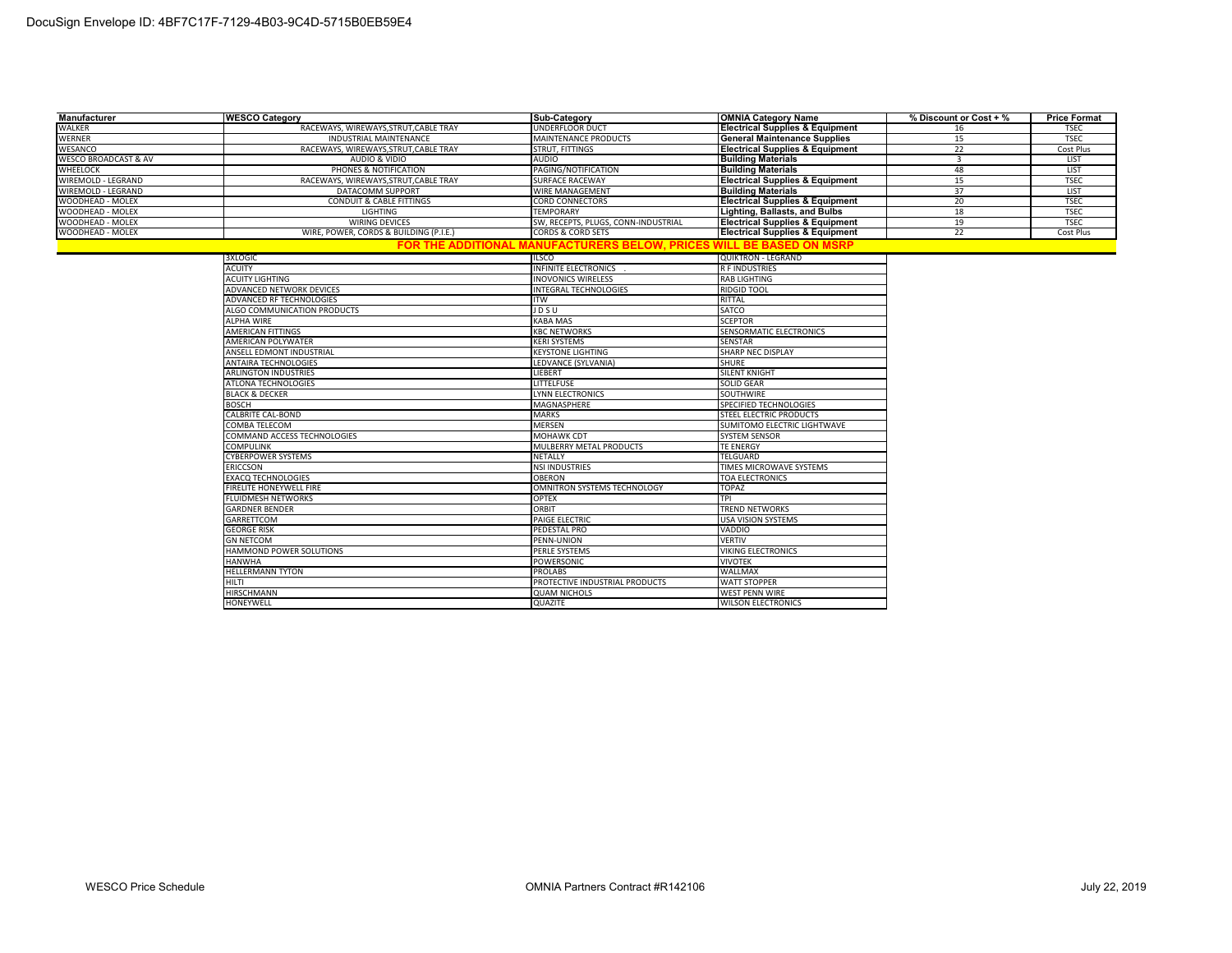| <b>Manufacturer</b>             | <b>WESCO Category</b>                  | Sub-Category                        | <b>OMNIA Category Name</b>                 | % Discount or Cost + % | <b>Price Format</b> |
|---------------------------------|----------------------------------------|-------------------------------------|--------------------------------------------|------------------------|---------------------|
| WALKER                          | RACEWAYS, WIREWAYS, STRUT, CABLE TRAY  | <b>UNDERFLOOR DUCT</b>              | <b>Electrical Supplies &amp; Equipment</b> |                        | <b>TSEC</b>         |
| WERNER                          | <b>INDUSTRIAL MAINTENANCE</b>          | MAINTENANCE PRODUCTS                | <b>General Maintenance Supplies</b>        |                        | <b>TSEC</b>         |
| WESANCO                         | RACEWAYS, WIREWAYS, STRUT, CABLE TRAY  | STRUT, FITTINGS                     | <b>Electrical Supplies &amp; Equipment</b> |                        | Cost Plus           |
| <b>WESCO BROADCAST &amp; AV</b> | AUDIO & VIDIO                          | <b>AUDIO</b>                        | <b>Building Materials</b>                  |                        | <b>LIST</b>         |
| <b>WHEELOCK</b>                 | PHONES & NOTIFICATION                  | PAGING/NOTIFICATION                 | <b>Building Materials</b>                  | 48                     | LIST                |
| WIREMOLD - LEGRAND              | RACEWAYS, WIREWAYS, STRUT, CABLE TRAY  | <b>SURFACE RACEWAY</b>              | <b>Electrical Supplies &amp; Equipment</b> |                        | <b>TSEC</b>         |
| WIREMOLD - LEGRAND              | DATACOMM SUPPORT                       | <b>WIRE MANAGEMENT</b>              | <b>Building Materials</b>                  |                        | LIST                |
| WOODHEAD - MOLEX                | <b>CONDUIT &amp; CABLE FITTINGS</b>    | <b>CORD CONNECTORS</b>              | <b>Electrical Supplies &amp; Equipment</b> | 20.                    | <b>TSEC</b>         |
| WOODHEAD - MOLEX                | LIGHTING                               | <b>TEMPORARY</b>                    | Lighting, Ballasts, and Bulbs              |                        | <b>TSEC</b>         |
| WOODHEAD - MOLEX                | <b>WIRING DEVICES</b>                  | SW, RECEPTS, PLUGS, CONN-INDUSTRIAL | <b>Electrical Supplies &amp; Equipment</b> |                        | <b>TSEC</b>         |
| WOODHEAD - MOLEX                | WIRE, POWER, CORDS & BUILDING (P.I.E.) | <b>CORDS &amp; CORD SETS</b>        | <b>Electrical Supplies &amp; Equipment</b> |                        | Cost Plus           |
|                                 |                                        |                                     |                                            |                        |                     |
|                                 | 3XLOGIC                                | <b>ILSCO</b>                        | <b>OUIKTRON - LEGRAND</b>                  |                        |                     |

| 3XLOGIC                         | ILSCO                              | IQUIKTRON - LEGRAND            |
|---------------------------------|------------------------------------|--------------------------------|
| <b>ACUITY</b>                   | INFINITE ELECTRONICS.              | <b>R F INDUSTRIES</b>          |
| <b>ACUITY LIGHTING</b>          | <b>INOVONICS WIRELESS</b>          | <b>RAB LIGHTING</b>            |
| <b>ADVANCED NETWORK DEVICES</b> | <b>INTEGRAL TECHNOLOGIES</b>       | <b>RIDGID TOOL</b>             |
| ADVANCED RE TECHNOLOGIES        | <b>ITW</b>                         | RITTAL                         |
| ALGO COMMUNICATION PRODUCTS     | JDSU                               | SATCO                          |
| ALPHA WIRE                      | <b>KABA MAS</b>                    | <b>SCEPTOR</b>                 |
| <b>AMERICAN FITTINGS</b>        | <b>KBC NETWORKS</b>                | SENSORMATIC ELECTRONICS        |
| AMERICAN POLYWATER              | <b>KERI SYSTEMS</b>                | <b>SENSTAR</b>                 |
| ANSELL EDMONT INDUSTRIAL        | <b>KEYSTONE LIGHTING</b>           | <b>SHARP NEC DISPLAY</b>       |
| <b>ANTAIRA TECHNOLOGIES</b>     | LEDVANCE (SYLVANIA)                | <b>SHURE</b>                   |
| <b>ARLINGTON INDUSTRIES</b>     | LIEBERT                            | <b>SILENT KNIGHT</b>           |
| ATLONA TECHNOLOGIES             | <b>LITTELFUSE</b>                  | <b>SOLID GEAR</b>              |
| <b>BLACK &amp; DECKER</b>       | <b>LYNN ELECTRONICS</b>            | SOUTHWIRE                      |
| <b>BOSCH</b>                    | <b>MAGNASPHERE</b>                 | <b>SPECIFIED TECHNOLOGIES</b>  |
| <b>CALBRITE CAL-BOND</b>        | <b>MARKS</b>                       | <b>STEEL ELECTRIC PRODUCTS</b> |
| COMBA TELECOM                   | <b>MERSEN</b>                      | SUMITOMO ELECTRIC LIGHTWAVE    |
| COMMAND ACCESS TECHNOLOGIES     | <b>MOHAWK CDT</b>                  | <b>SYSTEM SENSOR</b>           |
| <b>COMPULINK</b>                | MULBERRY METAL PRODUCTS            | <b>TF ENFRGY</b>               |
| <b>CYBERPOWER SYSTEMS</b>       | NETALLY                            | <b>TELGUARD</b>                |
| <b>ERICCSON</b>                 | <b>NSI INDUSTRIES</b>              | <b>TIMES MICROWAVE SYSTEMS</b> |
| <b>EXACO TECHNOLOGIES</b>       | <b>OBERON</b>                      | <b>TOA ELECTRONICS</b>         |
| <b>FIRELITE HONEYWELL FIRE</b>  | <b>OMNITRON SYSTEMS TECHNOLOGY</b> | <b>TOPAZ</b>                   |
| <b>FLUIDMESH NETWORKS</b>       | <b>OPTEX</b>                       | <b>TPI</b>                     |
| <b>GARDNER BENDER</b>           | ORBIT                              | <b>TREND NETWORKS</b>          |
| <b>GARRETTCOM</b>               | PAIGE ELECTRIC                     | <b>USA VISION SYSTEMS</b>      |
| <b>GEORGE RISK</b>              | PEDESTAL PRO                       | VADDIO                         |
| <b>GN NETCOM</b>                | PENN-UNION                         | <b>VERTIV</b>                  |
| <b>HAMMOND POWER SOLUTIONS</b>  | PERLE SYSTEMS                      | <b>VIKING ELECTRONICS</b>      |
| <b>HANWHA</b>                   | <b>POWERSONIC</b>                  | <b>VIVOTEK</b>                 |
| <b>HELLERMANN TYTON</b>         | <b>PROLABS</b>                     | WALLMAX                        |
| <b>HILTI</b>                    | PROTECTIVE INDUSTRIAL PRODUCTS     | <b>WATT STOPPER</b>            |
| <b>HIRSCHMANN</b>               | <b>QUAM NICHOLS</b>                | <b>WEST PENN WIRE</b>          |
| HONEYWELL                       | QUAZITE                            | <b>WILSON ELECTRONICS</b>      |
|                                 |                                    |                                |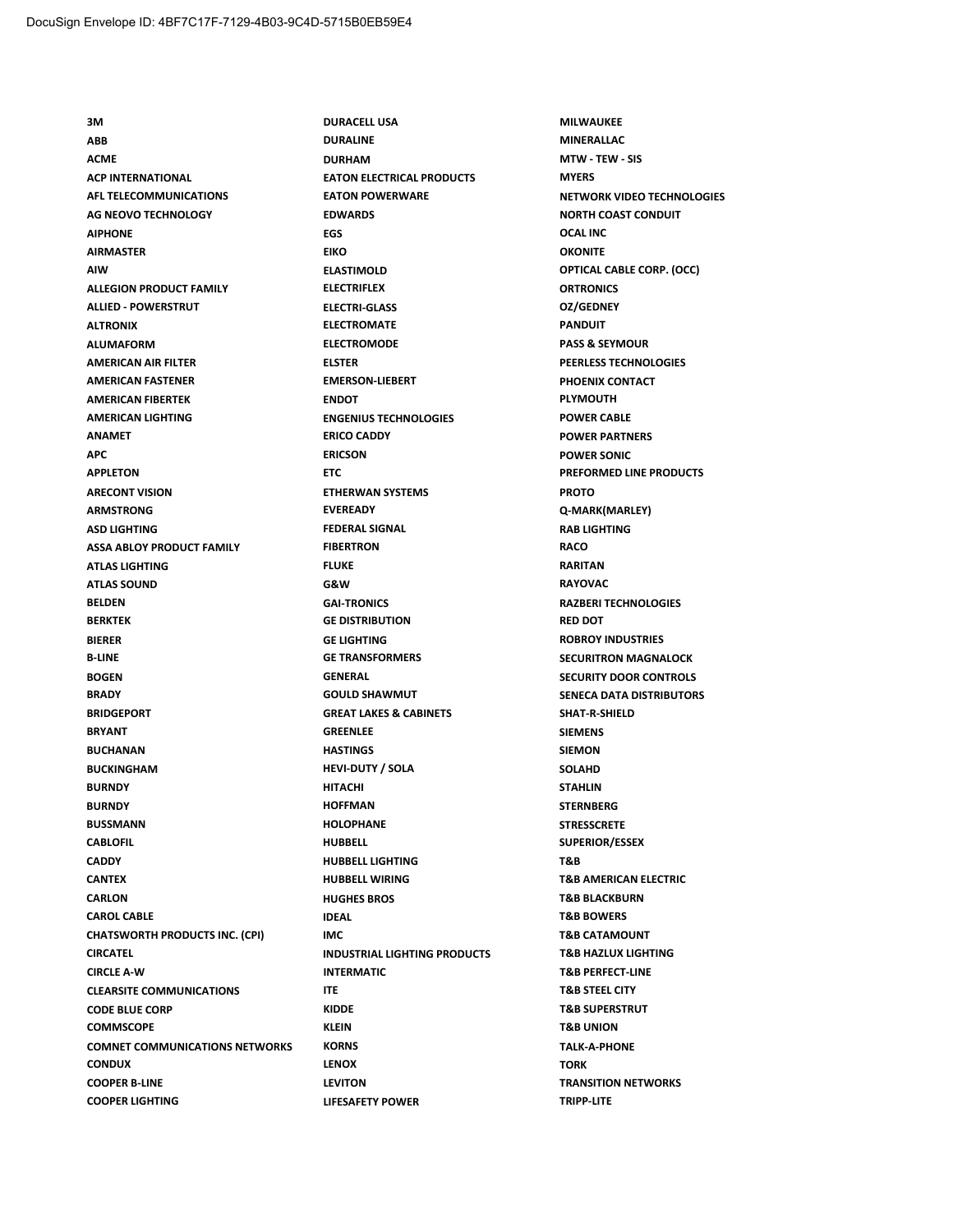**3M DURACELL USA MILWAUKEE ABB DURALINE MINERALLAC ACME DURHAM MTW - TEW - SIS ACP INTERNATIONAL EATON ELECTRICAL PRODUCTS MYERS AFL TELECOMMUNICATIONS EATON POWERWARE NETWORK VIDEO TECHNOLOGIES AG NEOVO TECHNOLOGY EDWARDS NORTH COAST CONDUIT AIPHONE EGS OCAL INC AIRMASTER EIKO OKONITE AIW ELASTIMOLD OPTICAL CABLE CORP. (OCC) ALLEGION PRODUCT FAMILY ELECTRIFLEX ORTRONICS ALLIED - POWERSTRUT ELECTRI-GLASS OZ/GEDNEY ALTRONIX ELECTROMATE PANDUIT ALUMAFORM ELECTROMODE PASS & SEYMOUR AMERICAN AIR FILTER ELSTER PEERLESS TECHNOLOGIES AMERICAN FASTENER EMERSON-LIEBERT PHOENIX CONTACT AMERICAN FIBERTEK ENDOT PLYMOUTH AMERICAN LIGHTING ENGENIUS TECHNOLOGIES POWER CABLE ANAMET ERICO CADDY POWER PARTNERS APC ERICSON POWER SONIC APPLETON ETC PREFORMED LINE PRODUCTS ARECONT VISION ETHERWAN SYSTEMS PROTO ARMSTRONG EVEREADY Q-MARK(MARLEY) ASD LIGHTING FEDERAL SIGNAL RAB LIGHTING ASSA ABLOY PRODUCT FAMILY FIBERTRON RACO ATLAS LIGHTING FLUKE RARITAN ATLAS SOUND G&W RAYOVAC BELDEN GAI-TRONICS RAZBERI TECHNOLOGIES BERKTEK GE DISTRIBUTION RED DOT BIERER GE LIGHTING ROBROY INDUSTRIES B-LINE GE TRANSFORMERS SECURITRON MAGNALOCK BOGEN GENERAL SECURITY DOOR CONTROLS BRADY GOULD SHAWMUT SENECA DATA DISTRIBUTORS BRIDGEPORT GREAT LAKES & CABINETS SHAT-R-SHIELD BRYANT GREENLEE SIEMENS BUCHANAN HASTINGS SIEMON BUCKINGHAM HEVI-DUTY / SOLA SOLAHD BURNDY HITACHI STAHLIN BURNDY HOFFMAN STERNBERG BUSSMANN HOLOPHANE STRESSCRETE CABLOFIL HUBBELL SUPERIOR/ESSEX CADDY HUBBELL LIGHTING T&B CANTEX HUBBELL WIRING T&B AMERICAN ELECTRIC CARLON HUGHES BROS T&B BLACKBURN CAROL CABLE IDEAL T&B BOWERS CHATSWORTH PRODUCTS INC. (CPI) IMC T&B CATAMOUNT CIRCATEL INDUSTRIAL LIGHTING PRODUCTS T&B HAZLUX LIGHTING CIRCLE A-W INTERMATIC T&B PERFECT-LINE CLEARSITE COMMUNICATIONS ITE T&B STEEL CITY CODE BLUE CORP KIDDE T&B SUPERSTRUT COMMSCOPE KLEIN T&B UNION COMNET COMMUNICATIONS NETWORKS KORNS TALK-A-PHONE CONDUX LENOX TORK COOPER B-LINE LEVITON TRANSITION NETWORKS COOPER LIGHTING LIFESAFETY POWER TRIPP-LITE**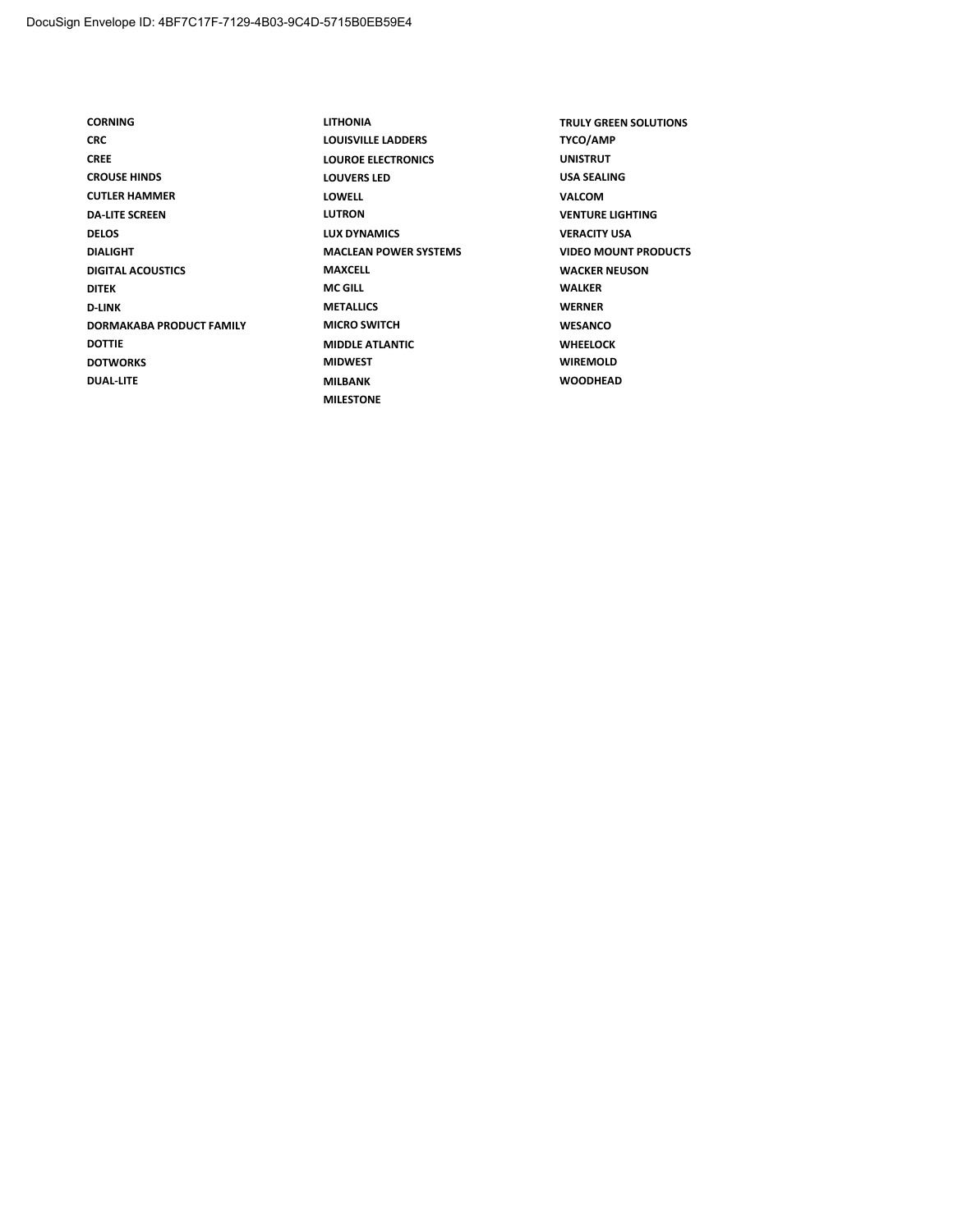| <b>CORNING</b>           | <b>LITHONIA</b>              | <b>TRULY GREEN</b> |
|--------------------------|------------------------------|--------------------|
| <b>CRC</b>               | <b>LOUISVILLE LADDERS</b>    | <b>TYCO/AMP</b>    |
| <b>CREE</b>              | <b>LOUROE ELECTRONICS</b>    | <b>UNISTRUT</b>    |
| <b>CROUSE HINDS</b>      | <b>LOUVERS LED</b>           | <b>USA SEALING</b> |
| <b>CUTLER HAMMER</b>     | <b>LOWELL</b>                | <b>VALCOM</b>      |
| <b>DA-LITE SCREEN</b>    | <b>LUTRON</b>                | <b>VENTURE LIG</b> |
| <b>DELOS</b>             | <b>LUX DYNAMICS</b>          | <b>VERACITY US</b> |
| <b>DIALIGHT</b>          | <b>MACLEAN POWER SYSTEMS</b> | <b>VIDEO MOUN</b>  |
| <b>DIGITAL ACOUSTICS</b> | <b>MAXCELL</b>               | <b>WACKER NEU</b>  |
| <b>DITEK</b>             | <b>MC GILL</b>               | <b>WALKER</b>      |
| <b>D-LINK</b>            | <b>METALLICS</b>             | <b>WERNER</b>      |
| DORMAKABA PRODUCT FAMILY | <b>MICRO SWITCH</b>          | <b>WESANCO</b>     |
| <b>DOTTIE</b>            | <b>MIDDLE ATLANTIC</b>       | <b>WHEELOCK</b>    |
| <b>DOTWORKS</b>          | <b>MIDWEST</b>               | <b>WIREMOLD</b>    |
| <b>DUAL-LITE</b>         | <b>MILBANK</b>               | <b>WOODHEAD</b>    |
|                          | <b>BALLECTORUE</b>           |                    |

**CRC LOUISVILLE LADDERS TYCO/AMP CREE LOUROE ELECTRONICS UNISTRUT DA-LITE SCREEN LUTRON VENTURE LIGHTING DERACITY USA DOTE ATLANTIC WHEELOCK MILESTONE**

**CORNING LITHONIA TRULY GREEN SOLUTIONS DIALIGHT MACLEAN POWER SYSTEMS VIDEO MOUNT PRODUCTS WACKER NEUSON**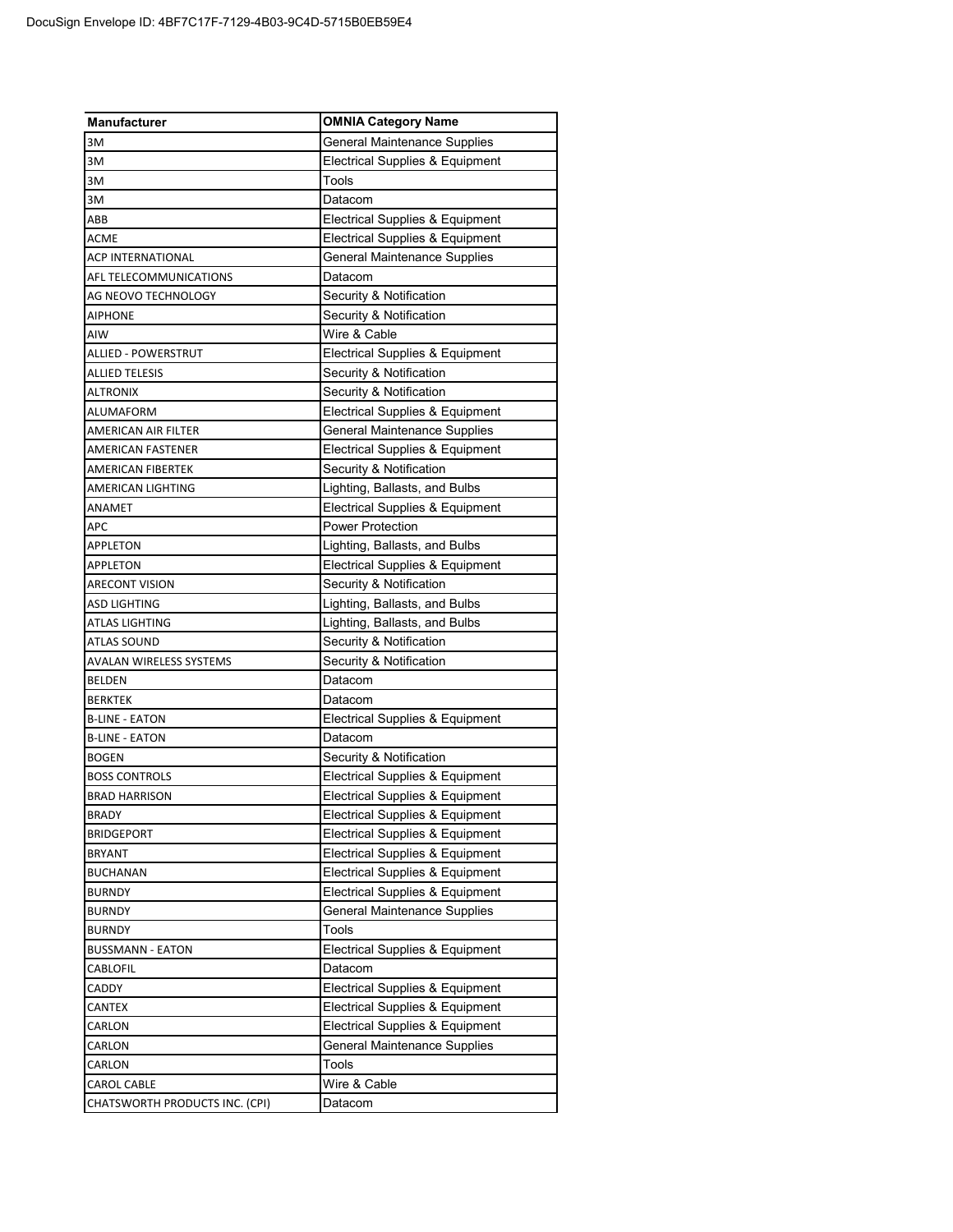| <b>Manufacturer</b>            | <b>OMNIA Category Name</b>                 |
|--------------------------------|--------------------------------------------|
| 3M                             | <b>General Maintenance Supplies</b>        |
| 3M                             | Electrical Supplies & Equipment            |
| 3M                             | Tools                                      |
| 3M                             | Datacom                                    |
| ABB                            | <b>Electrical Supplies &amp; Equipment</b> |
| <b>ACME</b>                    | <b>Electrical Supplies &amp; Equipment</b> |
| <b>ACP INTERNATIONAL</b>       | General Maintenance Supplies               |
| AFL TELECOMMUNICATIONS         | Datacom                                    |
| AG NEOVO TECHNOLOGY            | Security & Notification                    |
| <b>AIPHONE</b>                 | Security & Notification                    |
| AIW                            | Wire & Cable                               |
| ALLIED - POWERSTRUT            | <b>Electrical Supplies &amp; Equipment</b> |
| <b>ALLIED TELESIS</b>          | Security & Notification                    |
| <b>ALTRONIX</b>                | Security & Notification                    |
| ALUMAFORM                      | <b>Electrical Supplies &amp; Equipment</b> |
| <b>AMERICAN AIR FILTER</b>     | <b>General Maintenance Supplies</b>        |
| <b>AMERICAN FASTENER</b>       | Electrical Supplies & Equipment            |
| AMERICAN FIBERTEK              | Security & Notification                    |
| <b>AMERICAN LIGHTING</b>       | Lighting, Ballasts, and Bulbs              |
| <b>ANAMET</b>                  | <b>Electrical Supplies &amp; Equipment</b> |
| <b>APC</b>                     | <b>Power Protection</b>                    |
| <b>APPLETON</b>                | Lighting, Ballasts, and Bulbs              |
| <b>APPLETON</b>                | <b>Electrical Supplies &amp; Equipment</b> |
| <b>ARECONT VISION</b>          | Security & Notification                    |
| ASD LIGHTING                   | Lighting, Ballasts, and Bulbs              |
| ATLAS LIGHTING                 | Lighting, Ballasts, and Bulbs              |
| ATLAS SOUND                    | Security & Notification                    |
| AVALAN WIRELESS SYSTEMS        | Security & Notification                    |
| <b>BELDEN</b>                  | Datacom                                    |
| <b>BERKTEK</b>                 | Datacom                                    |
| <b>B-LINE - EATON</b>          | Electrical Supplies & Equipment            |
| <b>B-LINE - EATON</b>          | Datacom                                    |
| <b>BOGEN</b>                   | Security & Notification                    |
| <b>BOSS CONTROLS</b>           | <b>Electrical Supplies &amp; Equipment</b> |
| <b>BRAD HARRISON</b>           | Electrical Supplies & Equipment            |
| <b>BRADY</b>                   | Electrical Supplies & Equipment            |
| <b>BRIDGEPORT</b>              | Electrical Supplies & Equipment            |
| <b>BRYANT</b>                  | <b>Electrical Supplies &amp; Equipment</b> |
| <b>BUCHANAN</b>                | <b>Electrical Supplies &amp; Equipment</b> |
| <b>BURNDY</b>                  | Electrical Supplies & Equipment            |
| <b>BURNDY</b>                  | General Maintenance Supplies               |
| <b>BURNDY</b>                  | Tools                                      |
| <b>BUSSMANN - EATON</b>        | Electrical Supplies & Equipment            |
| CABLOFIL                       | Datacom                                    |
| CADDY                          | <b>Electrical Supplies &amp; Equipment</b> |
| CANTEX                         | Electrical Supplies & Equipment            |
| CARLON                         | Electrical Supplies & Equipment            |
| CARLON                         | <b>General Maintenance Supplies</b>        |
| CARLON                         | Tools                                      |
| <b>CAROL CABLE</b>             | Wire & Cable                               |
| CHATSWORTH PRODUCTS INC. (CPI) | Datacom                                    |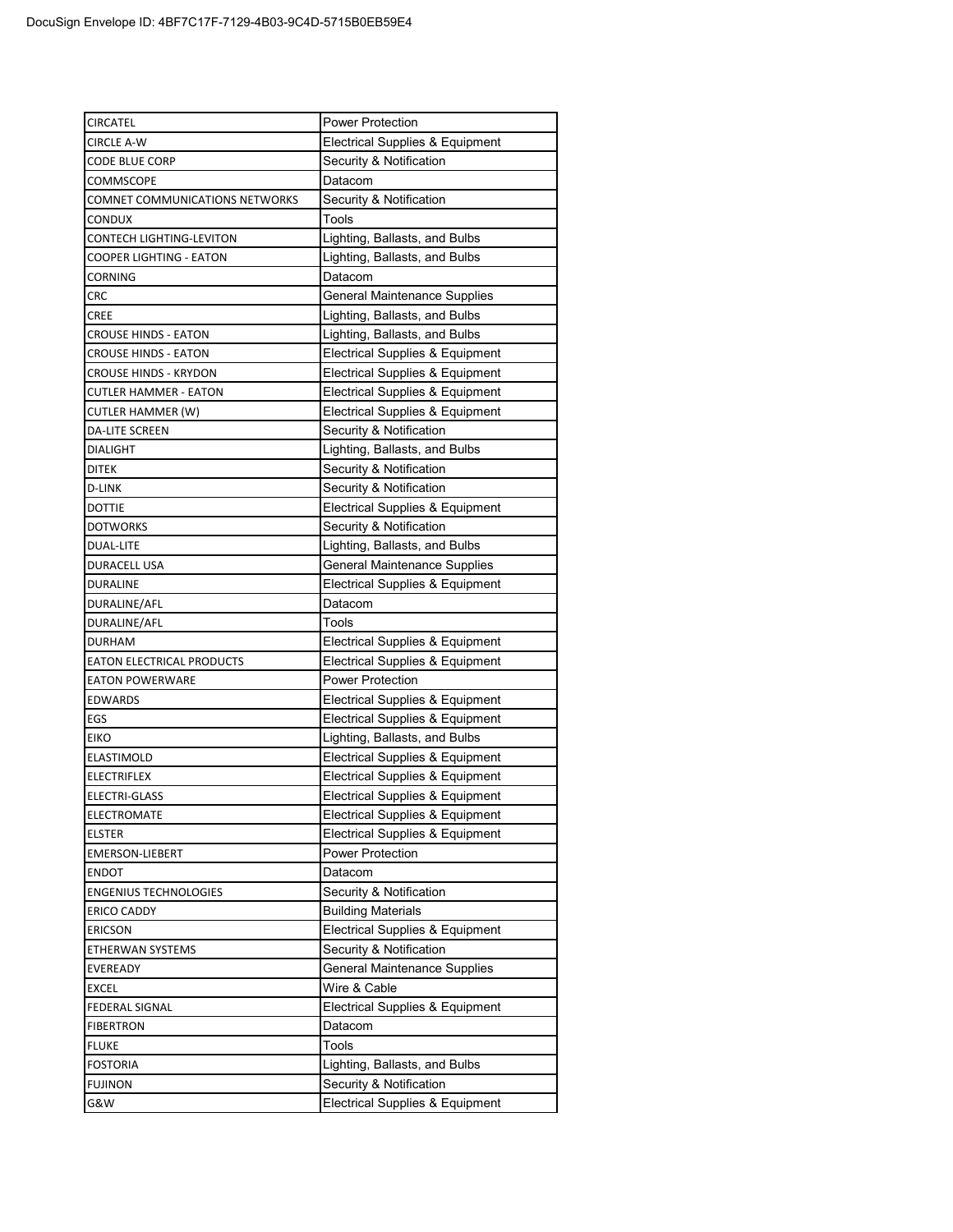| <b>CIRCATEL</b>                                                                                               |                                                            |
|---------------------------------------------------------------------------------------------------------------|------------------------------------------------------------|
|                                                                                                               | <b>Power Protection</b>                                    |
| <b>CIRCLE A-W</b>                                                                                             | <b>Electrical Supplies &amp; Equipment</b>                 |
| <b>CODE BLUE CORP</b>                                                                                         | Security & Notification                                    |
| COMMSCOPE                                                                                                     | Datacom                                                    |
| COMNET COMMUNICATIONS NETWORKS                                                                                | Security & Notification                                    |
| <b>CONDUX</b>                                                                                                 | Tools                                                      |
| CONTECH LIGHTING-LEVITON                                                                                      | Lighting, Ballasts, and Bulbs                              |
| COOPER LIGHTING - EATON                                                                                       | Lighting, Ballasts, and Bulbs                              |
| <b>CORNING</b>                                                                                                | Datacom                                                    |
| CRC                                                                                                           | General Maintenance Supplies                               |
| <b>CREE</b>                                                                                                   | Lighting, Ballasts, and Bulbs                              |
| CROUSE HINDS - EATON                                                                                          | Lighting, Ballasts, and Bulbs                              |
| <b>CROUSE HINDS - EATON</b>                                                                                   | Electrical Supplies & Equipment                            |
| CROUSE HINDS - KRYDON                                                                                         | Electrical Supplies & Equipment                            |
| <b>CUTLER HAMMER - EATON</b>                                                                                  | Electrical Supplies & Equipment                            |
| CUTLER HAMMER (W)                                                                                             | Electrical Supplies & Equipment                            |
| <b>DA-LITE SCREEN</b>                                                                                         | Security & Notification                                    |
| <b>DIALIGHT</b>                                                                                               | Lighting, Ballasts, and Bulbs                              |
| <b>DITEK</b>                                                                                                  | Security & Notification                                    |
| D-LINK                                                                                                        | Security & Notification                                    |
| <b>DOTTIE</b>                                                                                                 | Electrical Supplies & Equipment                            |
| <b>DOTWORKS</b>                                                                                               | Security & Notification                                    |
| DUAL-LITE                                                                                                     | Lighting, Ballasts, and Bulbs                              |
| DURACELL USA                                                                                                  | General Maintenance Supplies                               |
| DURALINE                                                                                                      | Electrical Supplies & Equipment                            |
| DURALINE/AFL                                                                                                  | Datacom                                                    |
| DURALINE/AFL                                                                                                  | Tools                                                      |
| DURHAM                                                                                                        | Electrical Supplies & Equipment                            |
|                                                                                                               |                                                            |
|                                                                                                               |                                                            |
| EATON ELECTRICAL PRODUCTS                                                                                     | Electrical Supplies & Equipment                            |
| <b>EATON POWERWARE</b>                                                                                        | <b>Power Protection</b>                                    |
| <b>EDWARDS</b>                                                                                                | Electrical Supplies & Equipment                            |
| <b>EGS</b>                                                                                                    | Electrical Supplies & Equipment                            |
|                                                                                                               | Lighting, Ballasts, and Bulbs                              |
| <b>EIKO</b><br><b>ELASTIMOLD</b>                                                                              | <b>Electrical Supplies &amp; Equipment</b>                 |
|                                                                                                               | Electrical Supplies & Equipment                            |
|                                                                                                               | Electrical Supplies & Equipment                            |
|                                                                                                               | Electrical Supplies & Equipment                            |
|                                                                                                               | Electrical Supplies & Equipment                            |
|                                                                                                               | Power Protection                                           |
| <b>ELECTRIFLEX</b><br>ELECTRI-GLASS<br><b>ELECTROMATE</b><br>ELSTER<br><b>EMERSON-LIEBERT</b><br><b>ENDOT</b> | Datacom                                                    |
|                                                                                                               | Security & Notification                                    |
| <b>ENGENIUS TECHNOLOGIES</b><br><b>ERICO CADDY</b>                                                            | <b>Building Materials</b>                                  |
| <b>ERICSON</b>                                                                                                | Electrical Supplies & Equipment                            |
| ETHERWAN SYSTEMS                                                                                              | Security & Notification                                    |
| EVEREADY                                                                                                      | General Maintenance Supplies                               |
| EXCEL                                                                                                         | Wire & Cable                                               |
|                                                                                                               | Electrical Supplies & Equipment                            |
|                                                                                                               | Datacom                                                    |
|                                                                                                               | Tools                                                      |
| <b>FEDERAL SIGNAL</b><br><b>FIBERTRON</b><br><b>FLUKE</b><br><b>FOSTORIA</b>                                  | Lighting, Ballasts, and Bulbs                              |
| <b>FUJINON</b><br>G&W                                                                                         | Security & Notification<br>Electrical Supplies & Equipment |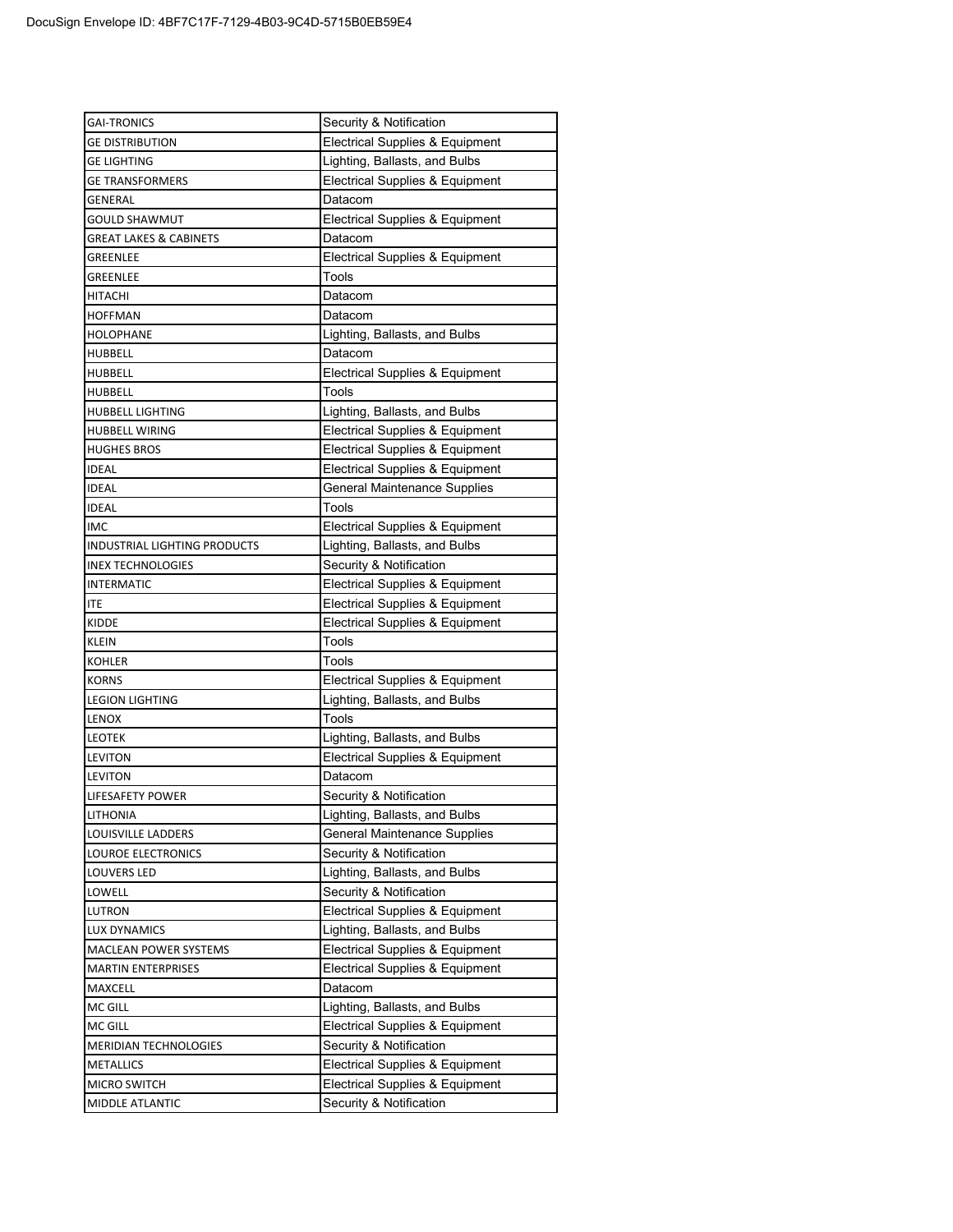| <b>GAI-TRONICS</b>                | Security & Notification                                               |
|-----------------------------------|-----------------------------------------------------------------------|
| <b>GE DISTRIBUTION</b>            | <b>Electrical Supplies &amp; Equipment</b>                            |
| <b>GE LIGHTING</b>                | Lighting, Ballasts, and Bulbs                                         |
| <b>GE TRANSFORMERS</b>            | Electrical Supplies & Equipment                                       |
| GENERAL                           | Datacom                                                               |
| <b>GOULD SHAWMUT</b>              | Electrical Supplies & Equipment                                       |
| <b>GREAT LAKES &amp; CABINETS</b> | Datacom                                                               |
| GREENLEE                          | <b>Electrical Supplies &amp; Equipment</b>                            |
| <b>GREENLEE</b>                   | Tools                                                                 |
| <b>HITACHI</b>                    | Datacom                                                               |
| <b>HOFFMAN</b>                    | Datacom                                                               |
| HOLOPHANE                         | Lighting, Ballasts, and Bulbs                                         |
| HUBBELL                           | Datacom                                                               |
| <b>HUBBELL</b>                    | <b>Electrical Supplies &amp; Equipment</b>                            |
| <b>HUBBELL</b>                    | Tools                                                                 |
| <b>HUBBELL LIGHTING</b>           | Lighting, Ballasts, and Bulbs                                         |
| <b>HUBBELL WIRING</b>             | <b>Electrical Supplies &amp; Equipment</b>                            |
| <b>HUGHES BROS</b>                | Electrical Supplies & Equipment                                       |
| <b>IDEAL</b>                      | <b>Electrical Supplies &amp; Equipment</b>                            |
| <b>IDEAL</b>                      | <b>General Maintenance Supplies</b>                                   |
| <b>IDEAL</b>                      | Tools                                                                 |
| <b>IMC</b>                        | Electrical Supplies & Equipment                                       |
| INDUSTRIAL LIGHTING PRODUCTS      | Lighting, Ballasts, and Bulbs                                         |
| <b>INEX TECHNOLOGIES</b>          | Security & Notification                                               |
| <b>INTERMATIC</b>                 | <b>Electrical Supplies &amp; Equipment</b>                            |
| <b>ITE</b>                        | Electrical Supplies & Equipment                                       |
| KIDDE                             | Electrical Supplies & Equipment                                       |
| KLEIN                             | Tools                                                                 |
| <b>KOHLER</b>                     | Tools                                                                 |
| <b>KORNS</b>                      | Electrical Supplies & Equipment                                       |
| <b>LEGION LIGHTING</b>            | Lighting, Ballasts, and Bulbs                                         |
| <b>LENOX</b>                      | Tools                                                                 |
| <b>LEOTEK</b>                     | Lighting, Ballasts, and Bulbs                                         |
| <b>LEVITON</b>                    | Electrical Supplies & Equipment                                       |
| <b>LEVITON</b>                    | Datacom                                                               |
| LIFESAFETY POWER                  | Security & Notification                                               |
| <b>LITHONIA</b>                   | Lighting, Ballasts, and Bulbs                                         |
| LOUISVILLE LADDERS                | <b>General Maintenance Supplies</b>                                   |
| LOUROE ELECTRONICS                | Security & Notification                                               |
| LOUVERS LED                       | Lighting, Ballasts, and Bulbs                                         |
| LOWELL                            | Security & Notification                                               |
| LUTRON                            | Electrical Supplies & Equipment                                       |
| LUX DYNAMICS                      | Lighting, Ballasts, and Bulbs                                         |
| <b>MACLEAN POWER SYSTEMS</b>      | <b>Electrical Supplies &amp; Equipment</b>                            |
| <b>MARTIN ENTERPRISES</b>         | Electrical Supplies & Equipment                                       |
| MAXCELL                           | Datacom                                                               |
| MC GILL                           | Lighting, Ballasts, and Bulbs                                         |
| <b>MC GILL</b>                    | Electrical Supplies & Equipment                                       |
| MERIDIAN TECHNOLOGIES             | Security & Notification                                               |
| <b>METALLICS</b>                  | Electrical Supplies & Equipment                                       |
| MICRO SWITCH                      |                                                                       |
|                                   |                                                                       |
| MIDDLE ATLANTIC                   | <b>Electrical Supplies &amp; Equipment</b><br>Security & Notification |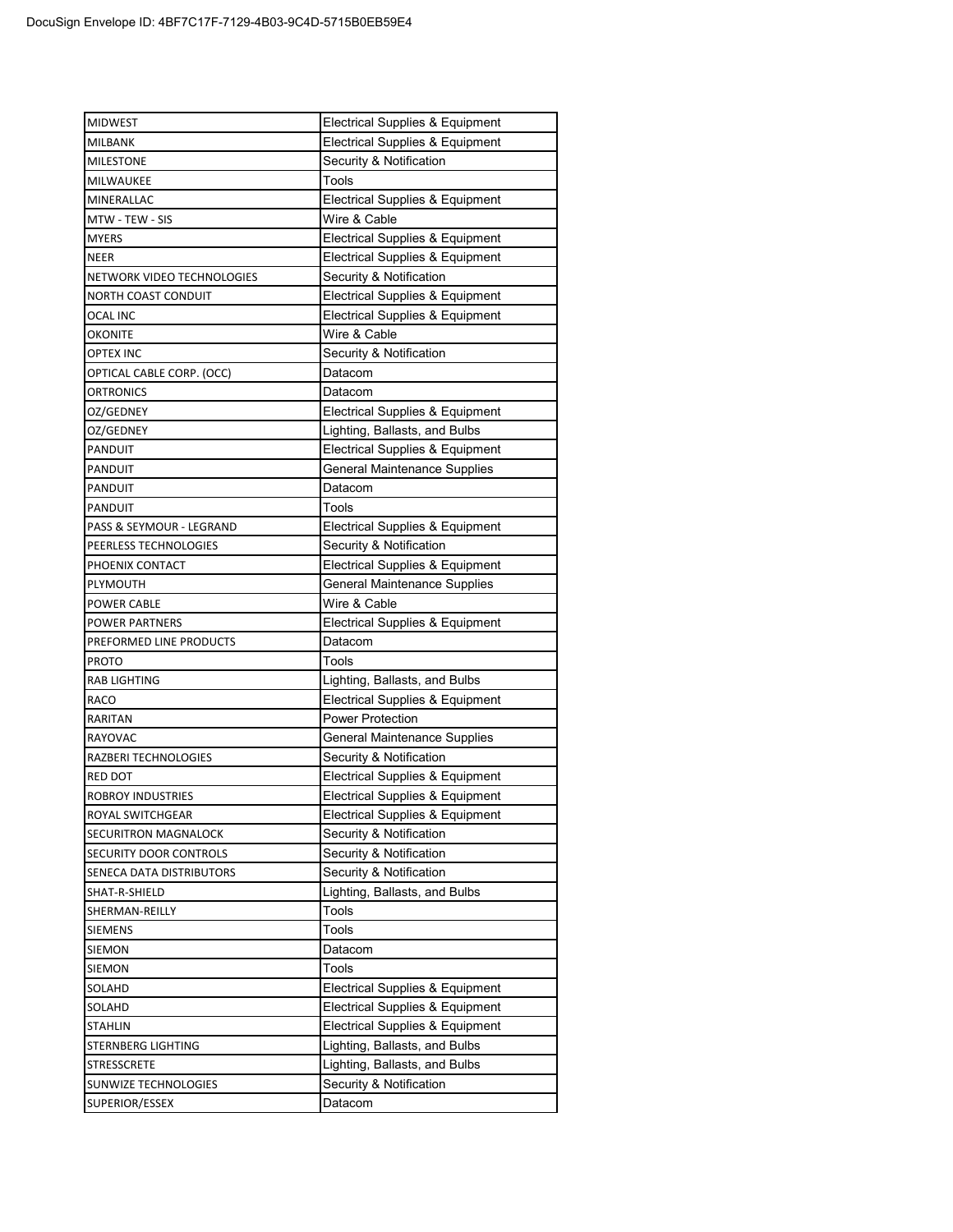| <b>MIDWEST</b>              | <b>Electrical Supplies &amp; Equipment</b> |
|-----------------------------|--------------------------------------------|
| MILBANK                     | <b>Electrical Supplies &amp; Equipment</b> |
| <b>MILESTONE</b>            | Security & Notification                    |
| MILWAUKEE                   | Tools                                      |
| MINERALLAC                  | <b>Electrical Supplies &amp; Equipment</b> |
| MTW - TEW - SIS             | Wire & Cable                               |
| <b>MYERS</b>                | <b>Electrical Supplies &amp; Equipment</b> |
| <b>NEER</b>                 | <b>Electrical Supplies &amp; Equipment</b> |
| NETWORK VIDEO TECHNOLOGIES  | Security & Notification                    |
| NORTH COAST CONDUIT         | <b>Electrical Supplies &amp; Equipment</b> |
| <b>OCAL INC</b>             | <b>Electrical Supplies &amp; Equipment</b> |
| OKONITE                     | Wire & Cable                               |
| OPTEX INC                   | Security & Notification                    |
| OPTICAL CABLE CORP. (OCC)   | Datacom                                    |
| <b>ORTRONICS</b>            | Datacom                                    |
| OZ/GEDNEY                   | Electrical Supplies & Equipment            |
| OZ/GEDNEY                   | Lighting, Ballasts, and Bulbs              |
| <b>PANDUIT</b>              | <b>Electrical Supplies &amp; Equipment</b> |
| <b>PANDUIT</b>              | <b>General Maintenance Supplies</b>        |
| <b>PANDUIT</b>              | Datacom                                    |
| <b>PANDUIT</b>              | Tools                                      |
| PASS & SEYMOUR - LEGRAND    | Electrical Supplies & Equipment            |
| PEERLESS TECHNOLOGIES       | Security & Notification                    |
| PHOENIX CONTACT             | <b>Electrical Supplies &amp; Equipment</b> |
| PLYMOUTH                    | General Maintenance Supplies               |
| POWER CABLE                 | Wire & Cable                               |
| <b>POWER PARTNERS</b>       | Electrical Supplies & Equipment            |
| PREFORMED LINE PRODUCTS     | Datacom                                    |
| <b>PROTO</b>                | Tools                                      |
| <b>RAB LIGHTING</b>         | Lighting, Ballasts, and Bulbs              |
| RACO                        | <b>Electrical Supplies &amp; Equipment</b> |
| RARITAN                     | <b>Power Protection</b>                    |
| RAYOVAC                     | General Maintenance Supplies               |
| RAZBERI TECHNOLOGIES        | Security & Notification                    |
| <b>RED DOT</b>              | <b>Electrical Supplies &amp; Equipment</b> |
| <b>ROBROY INDUSTRIES</b>    | <b>Electrical Supplies &amp; Equipment</b> |
| ROYAL SWITCHGEAR            | Electrical Supplies & Equipment            |
| <b>SECURITRON MAGNALOCK</b> | Security & Notification                    |
| SECURITY DOOR CONTROLS      | Security & Notification                    |
| SENECA DATA DISTRIBUTORS    | Security & Notification                    |
| SHAT-R-SHIELD               | Lighting, Ballasts, and Bulbs              |
| SHERMAN-REILLY              | Tools                                      |
| SIEMENS                     | Tools                                      |
| SIEMON                      | Datacom                                    |
| SIEMON                      | Tools                                      |
| SOLAHD                      | Electrical Supplies & Equipment            |
| SOLAHD                      | Electrical Supplies & Equipment            |
| <b>STAHLIN</b>              | Electrical Supplies & Equipment            |
| STERNBERG LIGHTING          | Lighting, Ballasts, and Bulbs              |
| <b>STRESSCRETE</b>          | Lighting, Ballasts, and Bulbs              |
| SUNWIZE TECHNOLOGIES        | Security & Notification                    |
| SUPERIOR/ESSEX              | Datacom                                    |